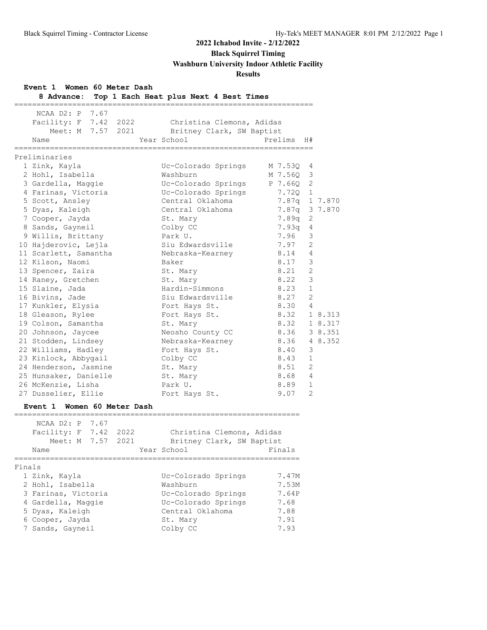**Black Squirrel Timing**

**Washburn University Indoor Athletic Facility**

## **Results**

| Event 1 Women 60 Meter Dash |
|-----------------------------|
|-----------------------------|

| Event 1 women 60 Meter Dasn<br>8 Advance:                         | Top 1 Each Heat plus Next 4 Best Times<br>=============================== |               |               |
|-------------------------------------------------------------------|---------------------------------------------------------------------------|---------------|---------------|
| 7.67<br>NCAA D2: P                                                |                                                                           |               |               |
| Facility: F 7.42 2022                                             | Christina Clemons, Adidas                                                 |               |               |
| Meet: M 7.57 2021                                                 | Britney Clark, SW Baptist                                                 |               |               |
| Name                                                              | Year School                                                               | Prelims<br>H# |               |
| ============<br>Preliminaries                                     | ================                                                          |               |               |
| 1 Zink, Kayla                                                     | Uc-Colorado Springs                                                       | M 7.53Q       | 4             |
| 2 Hohl, Isabella                                                  | Washburn                                                                  | M 7.56Q       | 3             |
| 3 Gardella, Maggie                                                | Uc-Colorado Springs                                                       | P 7.66Q       | 2             |
| 4 Farinas, Victoria                                               | Uc-Colorado Springs                                                       | 7.720         | $\mathbf{1}$  |
| 5 Scott, Ansley                                                   | Central Oklahoma                                                          | 7.87q 1 7.870 |               |
| 5 Dyas, Kaleigh                                                   | Central Oklahoma                                                          | 7.87q 3 7.870 |               |
| 7 Cooper, Jayda                                                   | St. Mary                                                                  | 7.89q         | 2             |
| 8 Sands, Gayneil                                                  | Colby CC                                                                  | 7.93q         | 4             |
| 9 Willis, Brittany                                                | Park U.                                                                   | 7.96          | 3             |
| 10 Hajderovic, Lejla                                              | Siu Edwardsville                                                          | 7.97          | 2             |
| 11 Scarlett, Samantha                                             | Nebraska-Kearney                                                          | 8.14          | 4             |
| 12 Kilson, Naomi                                                  | Baker                                                                     | 8.17          | 3             |
| 13 Spencer, Zaira                                                 | St. Mary                                                                  | 8.21          | 2             |
| 14 Raney, Gretchen                                                | St. Mary                                                                  | 8.22          | $\mathcal{E}$ |
| 15 Slaine, Jada                                                   | Hardin-Simmons                                                            | 8.23          | $\mathbf{1}$  |
| 16 Bivins, Jade                                                   | Siu Edwardsville                                                          | 8.27          | 2             |
| 17 Kunkler, Elysia                                                | Fort Hays St.                                                             | 8.30          | 4             |
| 18 Gleason, Rylee                                                 | Fort Hays St.                                                             | 8.32          | 1 8.313       |
| 19 Colson, Samantha                                               | St. Mary                                                                  | 8.32          | 1 8.317       |
| 20 Johnson, Jaycee                                                | Neosho County CC                                                          | 8.36          | 3 8.351       |
| 21 Stodden, Lindsey                                               | Nebraska-Kearney                                                          | 8.36          | 4 8.352       |
| 22 Williams, Hadley                                               | Fort Hays St.                                                             | 8.40          | 3             |
| 23 Kinlock, Abbygail                                              | Colby CC                                                                  | 8.43          | 1             |
| 24 Henderson, Jasmine                                             | St. Mary                                                                  | 8.51          | 2             |
| 25 Hunsaker, Danielle                                             | St. Mary                                                                  | 8.68          | 4             |
| 26 McKenzie, Lisha                                                | Park U.                                                                   | 8.89          | 1             |
| 27 Dusselier, Ellie                                               | Fort Hays St.                                                             | 9.07          | 2             |
| Event 1 Women 60 Meter Dash<br>__________________________________ |                                                                           |               |               |
| NCAA D2: P<br>7.67                                                |                                                                           |               |               |
| Facility: F 7.42<br>2022                                          | Christina Clemons, Adidas                                                 |               |               |
| 7.57<br>Meet: M<br>2021                                           | Britney Clark, SW Baptist                                                 |               |               |
| Name                                                              | Year School                                                               | Finals        |               |
| Finals                                                            |                                                                           |               |               |
| 1 Zink, Kayla                                                     | Uc-Colorado Springs                                                       | 7.47M         |               |
| 2 Hohl, Isabella                                                  | Washburn                                                                  | 7.53M         |               |
| 3 Farinas, Victoria                                               | Uc-Colorado Springs                                                       | 7.64P         |               |
| 4 Gardella, Maggie                                                | Uc-Colorado Springs                                                       | 7.68          |               |
| 5 Dyas, Kaleigh                                                   | Central Oklahoma                                                          | 7.88          |               |
| 6 Cooper, Jayda                                                   | St. Mary                                                                  | 7.91          |               |
| 7 Sands, Gayneil                                                  | Colby CC                                                                  | 7.93          |               |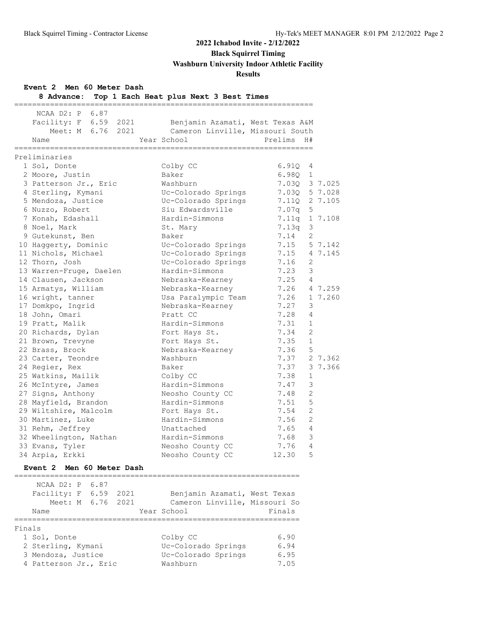**Black Squirrel Timing**

**Washburn University Indoor Athletic Facility**

## **Results**

**Event 2 Men 60 Meter Dash**

| 8 Advance:<br>============== | Top 1 Each Heat plus Next 3 Best Times |                        |         |
|------------------------------|----------------------------------------|------------------------|---------|
| NCAA D2: P 6.87              |                                        |                        |         |
| Facility: F 6.59<br>2021     | Benjamin Azamati, West Texas A&M       |                        |         |
| Meet: M 6.76 2021            | Cameron Linville, Missouri South       |                        |         |
| Name                         | Year School                            | Prelims<br>H#          |         |
| Preliminaries                |                                        |                        |         |
| 1 Sol, Donte                 | Colby CC                               | 6.91Q<br>4             |         |
| 2 Moore, Justin              | Baker                                  | 6.980<br>1             |         |
| 3 Patterson Jr., Eric        | Washburn                               | 7.030 3 7.025          |         |
| 4 Sterling, Kymani           | Uc-Colorado Springs                    | 7.03Q                  | 5 7.028 |
| 5 Mendoza, Justice           | Uc-Colorado Springs                    | 7.11Q                  | 2 7.105 |
| 6 Nuzzo, Robert              | Siu Edwardsville                       | 7.07q<br>5             |         |
| 7 Konah, Edashall            | Hardin-Simmons                         | 7.11q                  | 1 7.108 |
| 8 Noel, Mark                 | St. Mary                               | 3<br>7.13q             |         |
| 9 Gutekunst, Ben             | Baker                                  | 2<br>7.14              |         |
| 10 Haggerty, Dominic         | Uc-Colorado Springs                    | 7.15                   | 5 7.142 |
| 11 Nichols, Michael          | Uc-Colorado Springs                    | 7.15                   | 4 7.145 |
| 12 Thorn, Josh               | Uc-Colorado Springs                    | 7.16<br>2              |         |
| 13 Warren-Fruge, Daelen      | Hardin-Simmons                         | 3<br>7.23              |         |
| 14 Clausen, Jackson          | Nebraska-Kearney                       | 7.25<br>$\overline{4}$ |         |
| 15 Armatys, William          | Nebraska-Kearney                       | 7.26                   | 4 7.259 |
| 16 wright, tanner            | Usa Paralympic Team                    | 7.26                   | 1 7.260 |
| 17 Domkpo, Ingrid            | Nebraska-Kearney                       | 7.27<br>3              |         |
| 18 John, Omari               | Pratt CC                               | 7.28<br>4              |         |
| 19 Pratt, Malik              | Hardin-Simmons                         | 7.31<br>$\mathbf{1}$   |         |
| 20 Richards, Dylan           | Fort Hays St.                          | 2<br>7.34              |         |
| 21 Brown, Trevyne            | Fort Hays St.                          | $\mathbf{1}$<br>7.35   |         |
| 22 Brass, Brock              | Nebraska-Kearney                       | 5<br>7.36              |         |
| 23 Carter, Teondre           | Washburn                               | 7.37                   | 2 7.362 |
| 24 Regier, Rex               | Baker                                  | 7.37                   | 3 7.366 |
| 25 Watkins, Mailik           | Colby CC                               | 7.38<br>$\mathbf 1$    |         |
| 26 McIntyre, James           | Hardin-Simmons                         | 3<br>7.47              |         |
| 27 Signs, Anthony            | Neosho County CC                       | $\overline{2}$<br>7.48 |         |
| 28 Mayfield, Brandon         | Hardin-Simmons                         | 5<br>7.51              |         |
| 29 Wiltshire, Malcolm        | Fort Hays St.                          | $\overline{2}$<br>7.54 |         |
| 30 Martinez, Luke            | Hardin-Simmons                         | $\overline{2}$<br>7.56 |         |
| 31 Rehm, Jeffrey             | Unattached                             | 7.65<br>4              |         |
| 32 Wheelington, Nathan       | Hardin-Simmons                         | 3<br>7.68              |         |
| 33 Evans, Tyler              | Neosho County CC                       | $\overline{4}$<br>7.76 |         |
| 34 Arpia, Erkki              | Neosho County CC                       | 5<br>12.30             |         |

|        | NCAA D2: P 6.87<br>Facility: F 6.59<br>Meet: M 6.76 2021<br>Name |  | 2021 | Benjamin Azamati, West Texas<br>Cameron Linville, Missouri So<br>Year School | Finals |
|--------|------------------------------------------------------------------|--|------|------------------------------------------------------------------------------|--------|
|        |                                                                  |  |      |                                                                              |        |
| Finals |                                                                  |  |      |                                                                              |        |
|        | 1 Sol, Donte                                                     |  |      | Colby CC                                                                     | 6.90   |
|        | 2 Sterling, Kymani                                               |  |      | Uc-Colorado Springs                                                          | 6.94   |
|        | 3 Mendoza, Justice                                               |  |      | Uc-Colorado Springs                                                          | 6.95   |
|        | 4 Patterson Jr., Eric                                            |  |      | Washburn                                                                     | 7.05   |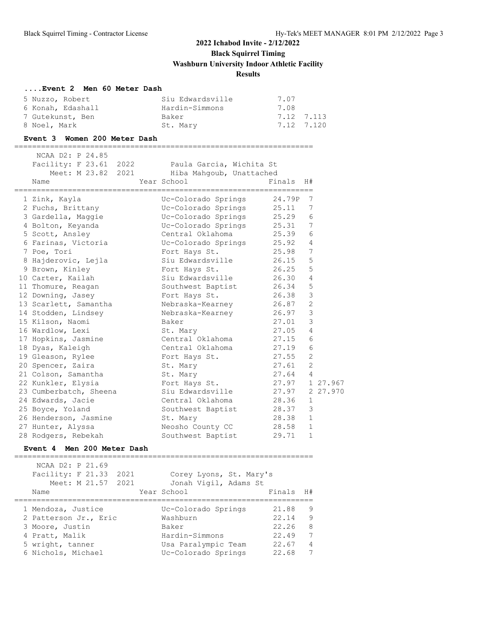#### **....Event 2 Men 60 Meter Dash**

| 5 Nuzzo, Robert   | Siu Edwardsville | 7.07       |
|-------------------|------------------|------------|
| 6 Konah, Edashall | Hardin-Simmons   | 7.08       |
| 7 Gutekunst, Ben  | Baker            | 7.12 7.113 |
| 8 Noel, Mark      | St. Marv         | 7.12 7.120 |

#### **Event 3 Women 200 Meter Dash**

===================================================================

| NCAA D2: P 24.85<br>Facility: F 23.61 2022<br>Meet: M 23.82 2021 | Paula Garcia, Wichita St<br>Hiba Mahqoub, Unattached |                |                |          |
|------------------------------------------------------------------|------------------------------------------------------|----------------|----------------|----------|
| Name<br>======================================                   | Year School<br>=============================         | Finals         | H#             |          |
| 1 Zink, Kayla                                                    | Uc-Colorado Springs                                  | 24.79P         | 7              |          |
| 2 Fuchs, Brittany                                                | Uc-Colorado Springs                                  | 25.11          | 7              |          |
| 3 Gardella, Maggie                                               | Uc-Colorado Springs                                  | 25.29          | 6              |          |
| 4 Bolton, Keyanda                                                | Uc-Colorado Springs                                  | 25.31          | 7              |          |
| 5 Scott, Ansley                                                  | Central Oklahoma                                     | 25.39          | 6              |          |
| 6 Farinas, Victoria                                              | Uc-Colorado Springs                                  | 25.92 4        |                |          |
| 7 Poe, Tori                                                      | 25.98<br>Fort Hays St.                               |                | 7              |          |
| 8 Hajderovic, Lejla                                              | Siu Edwardsville                                     | 26.15          | 5              |          |
| 9 Brown, Kinley                                                  | Fort Hays St.                                        | 26.25          | 5              |          |
| 10 Carter, Kailah                                                | Siu Edwardsville                                     | 26.30          | $\overline{4}$ |          |
| 11 Thomure, Reagan                                               | Southwest Baptist 26.34                              |                | 5              |          |
| 12 Downing, Jasey                                                | Fort Hays St.                                        | 26.38          | 3              |          |
| 13 Scarlett, Samantha                                            | Nebraska-Kearney                                     | 26.87          | 2              |          |
| 14 Stodden, Lindsey                                              | Nebraska-Kearney                                     | 26.97          | 3              |          |
| 15 Kilson, Naomi                                                 | Baker                                                | 27.01          | 3              |          |
| 16 Wardlow, Lexi                                                 | St. Mary                                             | 27.05          | 4              |          |
| 17 Hopkins, Jasmine                                              | Central Oklahoma                                     | 27.15          | 6              |          |
| 18 Dyas, Kaleigh                                                 | Central Oklahoma                                     | 27.19          | 6              |          |
| 19 Gleason, Rylee                                                | Fort Hays St.                                        | 27.55          | 2              |          |
| 20 Spencer, Zaira                                                | St. Mary                                             | 27.61          | 2              |          |
| 21 Colson, Samantha                                              | St. Mary                                             | 27.64 4        |                |          |
| 22 Kunkler, Elysia                                               | Fort Hays St.                                        | 27.97 1 27.967 |                |          |
| 23 Cumberbatch, Sheena                                           | Siu Edwardsville                                     | 27.97          |                | 2 27.970 |
| 24 Edwards, Jacie                                                | Central Oklahoma 28.36                               |                | 1              |          |
| 25 Boyce, Yoland                                                 | Southwest Baptist                                    | 28.37          | 3              |          |
| 26 Henderson, Jasmine                                            | St. Mary                                             | 28.38          | $\mathbf{1}$   |          |
| 27 Hunter, Alyssa                                                | Neosho County CC                                     | 28.58          | $\mathbf{1}$   |          |
| 28 Rodgers, Rebekah                                              | Southwest Baptist                                    | 29.71          | $\mathbf{1}$   |          |

## **Event 4 Men 200 Meter Dash**

| NCAA D2: P 21.69<br>Facility: F 21.33 2021<br>Meet: M 21.57 2021<br>Name                                                   | Corey Lyons, St. Mary's<br>Jonah Vigil, Adams St<br>Year School                                          | Finals                                             | H#                                      |
|----------------------------------------------------------------------------------------------------------------------------|----------------------------------------------------------------------------------------------------------|----------------------------------------------------|-----------------------------------------|
| 1 Mendoza, Justice<br>2 Patterson Jr., Eric<br>3 Moore, Justin<br>4 Pratt, Malik<br>5 wright, tanner<br>6 Nichols, Michael | Uc-Colorado Springs<br>Washburn<br>Baker<br>Hardin-Simmons<br>Usa Paralympic Team<br>Uc-Colorado Springs | 21.88<br>22.14<br>22.26<br>22.49<br>22.67<br>22.68 | 9<br>9<br>8<br>7<br>$\overline{4}$<br>7 |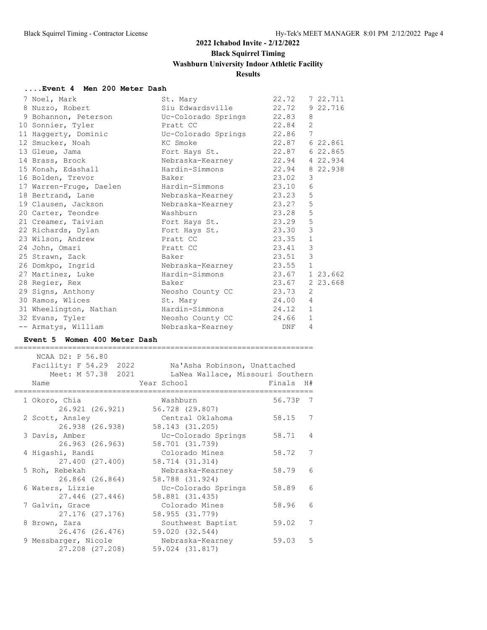#### **....Event 4 Men 200 Meter Dash**

| 7 Noel, Mark                                              | St. Mary         | 22.72 |                | 7 22.711 |
|-----------------------------------------------------------|------------------|-------|----------------|----------|
| 8 Nuzzo, Robert                                           | Siu Edwardsville | 22.72 |                | 9 22.716 |
| 9 Bohannon, Peterson CC-Colorado Springs                  |                  | 22.83 | 8              |          |
| 10 Sonnier, Tyler<br><b>Pratt CC</b>                      |                  | 22.84 | 2              |          |
| 11 Haggerty, Dominic                  Uc-Colorado Springs |                  | 22.86 | 7              |          |
| 12 Smucker, Noah                                          | KC Smoke         | 22.87 |                | 6 22.861 |
| 13 Gleue, Jama                                            | Fort Hays St.    | 22.87 |                | 6 22.865 |
| 14 Brass, Brock                                           | Nebraska-Kearney | 22.94 |                | 4 22.934 |
| 15 Konah, Edashall                                        | Hardin-Simmons   | 22.94 |                | 8 22.938 |
| 16 Bolden, Trevor                                         | Baker            | 23.02 | 3              |          |
| 17 Warren-Fruge, Daelen Mardin-Simmons                    |                  | 23.10 | 6              |          |
| 18 Bertrand, Lane                                         | Nebraska-Kearney | 23.23 | 5              |          |
| 19 Clausen, Jackson                                       | Nebraska-Kearney | 23.27 | $\mathsf S$    |          |
| 20 Carter, Teondre                                        | Washburn         | 23.28 | 5              |          |
| 21 Creamer, Taivian by Fort Hays St.                      |                  | 23.29 | 5              |          |
|                                                           |                  | 23.30 | $\mathsf 3$    |          |
| 23 Wilson, Andrew                                         | Pratt CC         | 23.35 | $\mathbf{1}$   |          |
| 24 John, Omari                                            | Pratt CC         | 23.41 | $\mathfrak{Z}$ |          |
| 25 Strawn, Zack                                           | Baker            | 23.51 | $\mathcal{E}$  |          |
| 26 Domkpo, Ingrid                                         | Nebraska-Kearney | 23.55 | $\mathbf{1}$   |          |
| 27 Martinez, Luke                                         | Hardin-Simmons   | 23.67 |                | 1 23.662 |
| 28 Regier, Rex                                            | Baker            | 23.67 |                | 2 23.668 |
| 29 Signs, Anthony                                         | Neosho County CC | 23.73 | 2              |          |
| 30 Ramos, Wlices                                          | St. Mary         | 24.00 | $\overline{4}$ |          |
| 31 Wheelington, Nathan                                    | Hardin-Simmons   | 24.12 | $\mathbf{1}$   |          |
| 32 Evans, Tyler                                           | Neosho County CC | 24.66 | $\mathbf{1}$   |          |
| -- Armatys, William                                       | Nebraska-Kearney | DNF   | 4              |          |

#### **Event 5 Women 400 Meter Dash**

| NCAA D2: P 56.80<br>Facility: F 54.29 2022<br>Meet: M 57.38 2021<br>Name | Na'Asha Robinson, Unattached<br>LaNea Wallace, Missouri Southern<br>Year School | Finals<br>H#             |
|--------------------------------------------------------------------------|---------------------------------------------------------------------------------|--------------------------|
| 1 Okoro, Chia                                                            | Washburn                                                                        | 56.73P 7                 |
| 26.921 (26.921)                                                          | 56.728 (29.807)                                                                 |                          |
| 2 Scott, Ansley                                                          | Central Oklahoma                                                                | 58.15<br>7               |
| 26.938 (26.938)                                                          | 58.143 (31.205)                                                                 |                          |
| 3 Davis, Amber                                                           | Uc-Colorado Springs                                                             | 58.71<br>$\overline{4}$  |
| 26.963 (26.963)                                                          | 58.701 (31.739)                                                                 |                          |
| 4 Hiqashi, Randi                                                         | Colorado Mines                                                                  | 58.72<br>7               |
| 27.400 (27.400)                                                          | 58.714 (31.314)                                                                 |                          |
| 5 Roh, Rebekah                                                           | Nebraska-Kearney                                                                | 58.79<br>6               |
| 26.864 (26.864)                                                          | 58.788 (31.924)                                                                 |                          |
| 6 Waters, Lizzie                                                         | Uc-Colorado Springs                                                             | 6<br>58.89               |
| 27.446 (27.446)                                                          | 58.881 (31.435)                                                                 |                          |
| 7 Galvin, Grace                                                          | Colorado Mines                                                                  | 58.96<br>$6\overline{6}$ |
| 27.176 (27.176)                                                          | 58.955 (31.779)                                                                 |                          |
| 8 Brown, Zara                                                            | Southwest Baptist                                                               | 7<br>59.02               |
| 26.476 (26.476)                                                          | 59.020 (32.544)                                                                 |                          |
| 9 Messbarger, Nicole                                                     | Nebraska-Kearney                                                                | 59.03<br>.5              |
| 27.208 (27.208)                                                          | 59.024 (31.817)                                                                 |                          |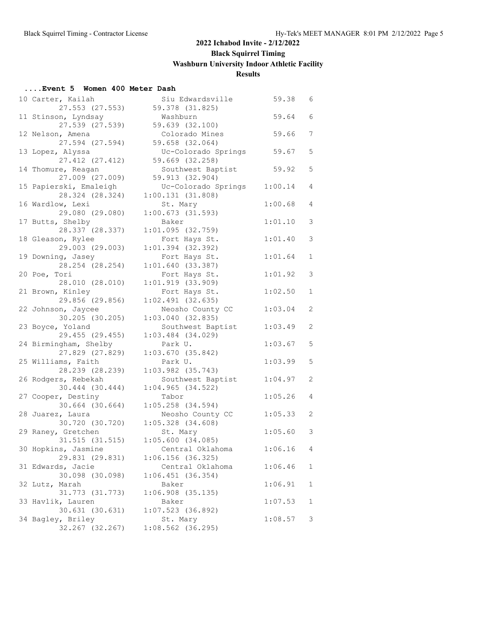#### **....Event 5 Women 400 Meter Dash**

| 10 Carter, Kailah<br>27.553 (27.553)   | Siu Edwardsville<br>59.378 (31.825) | 59.38   | 6           |
|----------------------------------------|-------------------------------------|---------|-------------|
| 11 Stinson, Lyndsay<br>27.539 (27.539) | Washburn<br>59.639 (32.100)         | 59.64   | 6           |
| 12 Nelson, Amena                       | Colorado Mines                      | 59.66   | 7           |
| 27.594 (27.594)                        | 59.658 (32.064)                     |         |             |
| 13 Lopez, Alyssa                       | Uc-Colorado Springs                 | 59.67   | 5           |
| 27.412 (27.412)                        | 59.669 (32.258)                     |         |             |
| 14 Thomure, Reagan                     | Southwest Baptist                   | 59.92   | 5           |
| 27.009 (27.009)                        | 59.913 (32.904)                     |         |             |
| 15 Papierski, Emaleigh                 | Uc-Colorado Springs                 | 1:00.14 | 4           |
| 28.324 (28.324)                        | 1:00.131(31.808)                    |         |             |
| 16 Wardlow, Lexi                       | St. Mary                            | 1:00.68 | 4           |
| 29.080 (29.080)                        | 1:00.673(31.593)                    |         |             |
| 17 Butts, Shelby                       | Baker                               | 1:01.10 | 3           |
| 28.337 (28.337)                        | 1:01.095(32.759)                    |         |             |
| 18 Gleason, Rylee                      | Fort Hays St.                       | 1:01.40 | 3           |
| 29.003 (29.003)                        | $1:01.394$ (32.392)                 |         |             |
| 19 Downing, Jasey                      | Fort Hays St.                       | 1:01.64 | 1           |
| 28.254 (28.254)                        | 1:01.640(33.387)                    |         |             |
| 20 Poe, Tori                           | Fort Hays St.                       | 1:01.92 | 3           |
| 28.010 (28.010)                        |                                     |         |             |
|                                        | 1:01.919(33.909)                    |         |             |
| 21 Brown, Kinley                       | Fort Hays St.                       | 1:02.50 | $\mathbf 1$ |
| 29.856 (29.856)                        | $1:02.491$ (32.635)                 |         |             |
| 22 Johnson, Jaycee                     | Neosho County CC                    | 1:03.04 | 2           |
| 30.205 (30.205)                        | $1:03.040$ (32.835)                 |         |             |
| 23 Boyce, Yoland                       | Southwest Baptist                   | 1:03.49 | 2           |
| 29.455 (29.455)                        | $1:03.484$ (34.029)                 |         |             |
| 24 Birmingham, Shelby                  | Park U.                             | 1:03.67 | 5           |
| 27.829 (27.829)                        | $1:03.670$ (35.842)                 |         |             |
| 25 Williams, Faith                     | Park U.                             | 1:03.99 | 5           |
| 28.239 (28.239)                        | $1:03.982$ (35.743)                 |         |             |
| 26 Rodgers, Rebekah                    | Southwest Baptist                   | 1:04.97 | 2           |
| 30.444 (30.444)                        | $1:04.965$ (34.522)                 |         |             |
| 27 Cooper, Destiny                     | Tabor                               | 1:05.26 | 4           |
| 30.664 (30.664)                        | $1:05.258$ $(34.594)$               |         |             |
| 28 Juarez, Laura                       | Neosho County CC                    | 1:05.33 | 2           |
| 30.720 (30.720)                        | $1:05.328$ $(34.608)$               |         |             |
| 29 Raney, Gretchen                     | St. Mary                            | 1:05.60 | 3           |
| 31.515 (31.515)                        | 1:05.600(34.085)                    |         |             |
| 30 Hopkins, Jasmine                    | Central Oklahoma                    | 1:06.16 | 4           |
| 29.831 (29.831)                        | 1:06.156(36.325)                    |         |             |
| 31 Edwards, Jacie                      | Central Oklahoma                    | 1:06.46 | 1           |
| 30.098 (30.098)                        | 1:06.451(36.354)                    |         |             |
| 32 Lutz, Marah                         | Baker                               | 1:06.91 | $\mathbf 1$ |
| 31.773 (31.773)                        |                                     |         |             |
|                                        | $1:06.908$ (35.135)                 |         |             |
| 33 Havlik, Lauren                      | Baker                               | 1:07.53 | 1           |
| 30.631 (30.631)                        | 1:07.523(36.892)                    |         |             |
| 34 Bagley, Briley                      | St. Mary                            | 1:08.57 | 3           |
| 32.267 (32.267)                        | 1:08.562 (36.295)                   |         |             |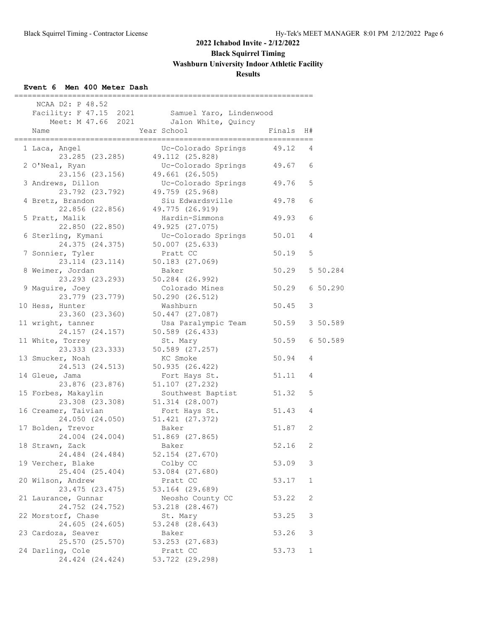## **Event 6 Men 400 Meter Dash**

| NCAA D2: P 48.52                                       |                                                                                          |                |          |  |
|--------------------------------------------------------|------------------------------------------------------------------------------------------|----------------|----------|--|
|                                                        | Facility: F 47.15 2021 Samuel Yaro, Lindenwood<br>Meet: M 47.66 2021 Jalon White, Quincy |                |          |  |
| Name                                                   | Year School                                                                              | Finals H#      |          |  |
| 1 Laca, Angel                                          | Uc-Colorado Springs<br>23.285 (23.285) 49.112 (25.828)                                   | 49.12          | 4        |  |
| 2 O'Neal, Ryan<br>23.156 (23.156)                      | Uc-Colorado Springs 49.67<br>49.661 (26.505)                                             |                | 6        |  |
| 3 Andrews, Dillon<br>23.792 (23.792)                   | Uc-Colorado Springs<br>49.759 (25.968)                                                   | 49.76          | 5        |  |
| 4 Bretz, Brandon                                       | Siu Edwardsville<br>22.856 (22.856) 49.775 (26.919)                                      | 49.78          | 6        |  |
| 5 Pratt, Malik                                         | Hardin-Simmons<br>22.850 (22.850) 49.925 (27.075)                                        | 49.93          | 6        |  |
| 6 Sterling, Kymani<br>24.375 (24.375)                  | Uc-Colorado Springs 50.01<br>$50.007$ $(25.633)$                                         |                | 4        |  |
| 7 Sonnier, Tyler<br>23.114 (23.114)                    | Pratt CC<br>50.183 (27.069)                                                              | 50.19          | 5        |  |
| 8 Weimer, Jordan<br>23.293 (23.293)                    | Baker<br>50.284 (26.992)                                                                 | 50.29          | 5 50.284 |  |
| 9 Maguire, Joey<br>23.779 (23.779)                     | Colorado Mines<br>50.290 (26.512)                                                        | 50.29 6 50.290 |          |  |
| 10 Hess, Hunter<br>23.360 (23.360)                     | Washburn<br>50.447 (27.087)                                                              | 50.45          | 3        |  |
| 11 wright, tanner<br>24.157 (24.157)                   | Usa Paralympic Team 50.59 3 50.589<br>50.589 (26.433)                                    |                |          |  |
| 11 White, Torrey<br>23.333 (23.333)                    | St. Mary<br>50.589 (27.257)                                                              | 50.59 6 50.589 |          |  |
| 13 Smucker, Noah<br>24.513 (24.513)                    | KC Smoke<br>50.935 (26.422)                                                              | 50.94          | 4        |  |
| 14 Gleue, Jama<br>23.876 (23.876)                      | Fort Hays St.<br>51.107 (27.232)                                                         | 51.11          | 4        |  |
| 15 Forbes, Makaylin<br>23.308 (23.308)                 | Southwest Baptist 51.32<br>$51.314$ $(28.007)$                                           |                | 5        |  |
| 16 Creamer, Taivian                                    | Fort Hays St.<br>24.050 (24.050) 51.421 (27.372)                                         | 51.43          | 4        |  |
| 17 Bolden, Trevor<br>24.004 (24.004)                   | Baker<br>51.869 (27.865)                                                                 | 51.87          | 2        |  |
| 18 Strawn, Zack<br>24.484 (24.484)                     | Baker<br>52.154 (27.670)                                                                 | 52.16          | 2        |  |
| 19 Vercher, Blake<br>25.404 (25.404)                   | Colby CC<br>53.084 (27.680)                                                              | 53.09          | 3        |  |
| 20 Wilson, Andrew<br>23.475 (23.475)                   | Pratt CC<br>53.164 (29.689)                                                              | 53.17          | 1        |  |
| 21 Laurance, Gunnar<br>24.752 (24.752)                 | Neosho County CC                                                                         | 53.22          | 2        |  |
| 22 Morstorf, Chase                                     | 53.218 (28.467)<br>St. Mary                                                              | 53.25          | 3        |  |
| 24.605 (24.605)<br>23 Cardoza, Seaver                  | 53.248 (28.643)<br>Baker                                                                 | 53.26          | 3        |  |
| 25.570 (25.570)<br>24 Darling, Cole<br>24.424 (24.424) | 53.253 (27.683)<br>Pratt CC<br>53.722 (29.298)                                           | 53.73          | 1        |  |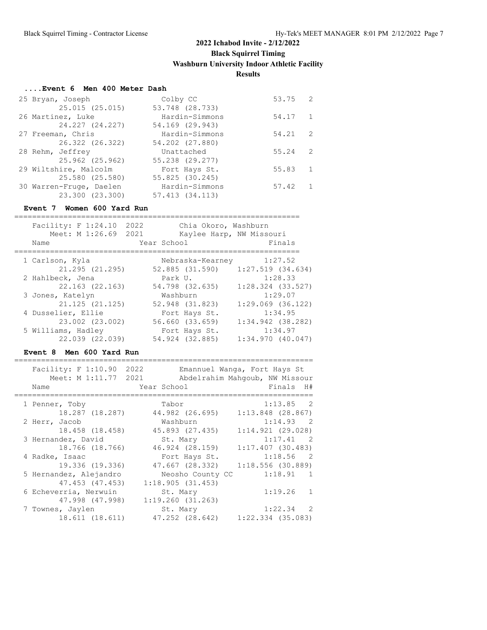#### **....Event 6 Men 400 Meter Dash**

| 25 Bryan, Joseph        | Colby CC        | 53.75 2 |              |
|-------------------------|-----------------|---------|--------------|
| 25.015 (25.015)         | 53.748 (28.733) |         |              |
| 26 Martinez, Luke       | Hardin-Simmons  | 54.17   | $\mathbf{1}$ |
| 24.227 (24.227)         | 54.169 (29.943) |         |              |
| 27 Freeman, Chris       | Hardin-Simmons  | 54.21   | 2            |
| 26.322 (26.322)         | 54.202 (27.880) |         |              |
| 28 Rehm, Jeffrey        | Unattached      | 55.24   | 2            |
| 25.962 (25.962)         | 55.238 (29.277) |         |              |
| 29 Wiltshire, Malcolm   | Fort Hays St.   | 55.83   | $\mathbf{1}$ |
| 25.580 (25.580)         | 55.825 (30.245) |         |              |
| 30 Warren-Fruge, Daelen | Hardin-Simmons  | 57.42   |              |
| 23.300 (23.300)         | 57.413 (34.113) |         |              |

#### **Event 7 Women 600 Yard Run**

| Facility: F 1:24.10<br>Meet: M 1:26.69 | 2022<br>2021     | Chia Okoro, Washburn<br>Kaylee Harp, NW Missouri |
|----------------------------------------|------------------|--------------------------------------------------|
| Name                                   | Year School      | Finals                                           |
| 1 Carlson, Kyla                        | Nebraska-Kearney | 1:27.52                                          |
| 21.295 (21.295)                        | 52.885 (31.590)  | $1:27.519$ $(34.634)$                            |
| 2 Hahlbeck, Jena                       | Park U.          | 1:28.33                                          |
| 22.163 (22.163)                        | 54.798 (32.635)  | $1:28.324$ (33.527)                              |
| 3 Jones, Katelyn                       | Washburn         | 1:29.07                                          |
| $21.125$ $(21.125)$                    | 52.948 (31.823)  | $1:29.069$ $(36.122)$                            |
| 4 Dusselier, Ellie                     | Fort Hays St.    | 1:34.95                                          |
| 23.002 (23.002)                        | 56.660 (33.659)  | $1:34.942$ (38.282)                              |
| 5 Williams, Hadley                     | Fort Hays St.    | 1:34.97                                          |
| 22.039 (22.039)                        | 54.924 (32.885)  | $1:34.970$ $(40.047)$                            |

#### **Event 8 Men 600 Yard Run**

===================================================================

|                        |                     | Emannuel Wanga, Fort Hays St                                                                              |
|------------------------|---------------------|-----------------------------------------------------------------------------------------------------------|
|                        |                     | Abdelrahim Mahqoub, NW Missour                                                                            |
| Name                   | Year School         | Finals H#                                                                                                 |
| 1 Penner, Toby         | Tabor               | 1:13.85 2                                                                                                 |
| 18.287 (18.287)        | 44.982 (26.695)     | $1:13.848$ (28.867)                                                                                       |
| 2 Herr, Jacob          | Washburn            | $1:14.93$ 2                                                                                               |
|                        | 45.893 (27.435)     | $1:14.921$ $(29.028)$                                                                                     |
| 3 Hernandez, David     | St. Mary            | $1:17.41$ 2                                                                                               |
| 18.766 (18.766)        | 46.924 (28.159)     | $1:17.407$ (30.483)                                                                                       |
| 4 Radke, Isaac         | Fort Hays St.       | $1:18.56$ 2                                                                                               |
| 19.336 (19.336)        | 47.667 (28.332)     | 1:18.556(30.889)                                                                                          |
| 5 Hernandez, Alejandro |                     | 1:18.91 1                                                                                                 |
|                        | 1:18.905(31.453)    |                                                                                                           |
| 6 Echeverria, Nerwuin  | St. Mary            | 1:19.26<br>$\mathbf{1}$                                                                                   |
| 47.998 (47.998)        | 1:19.260(31.263)    |                                                                                                           |
| 7 Townes, Jaylen       | St. Mary            | 1:22.34 2                                                                                                 |
| 18.611 (18.611)        |                     | $1:22.334$ (35.083)                                                                                       |
|                        | Facility: F 1:10.90 | 2022<br>Meet: M 1:11.77 2021<br>18.458 (18.458)<br>Neosho County CC<br>47.453 (47.453)<br>47.252 (28.642) |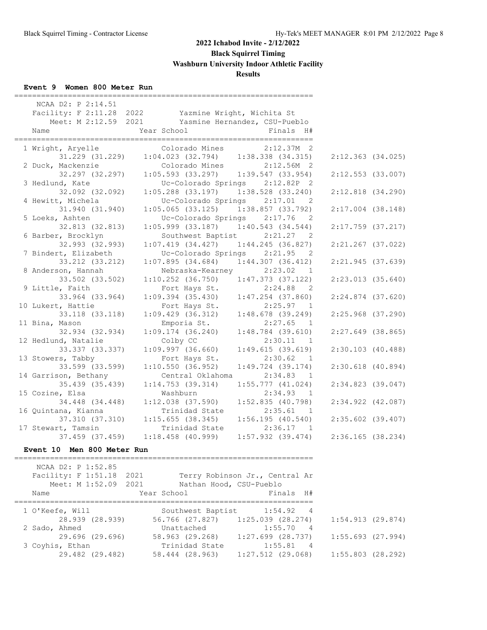#### **Event 9 Women 800 Meter Run**

| NCAA D2: P 2:14.51                    | Facility: F 2:11.28 2022 Yazmine Wright, Wichita St                      |                                |                       |  |
|---------------------------------------|--------------------------------------------------------------------------|--------------------------------|-----------------------|--|
| Name                                  | Meet: M 2:12.59 2021 Yasmine Hernandez, CSU-Pueblo<br>Year School        | Finals H#                      |                       |  |
|                                       |                                                                          |                                |                       |  |
| 1 Wright, Aryelle                     | Colorado Mines                                                           | $2:12.37M$ 2                   |                       |  |
| 31.229 (31.229)                       | $1:04.023$ (32.794) $1:38.338$ (34.315)                                  |                                | $2:12.363$ $(34.025)$ |  |
| 2 Duck, Mackenzie                     |                                                                          | Colorado Mines 2:12.56M 2      |                       |  |
| 32.297 (32.297)                       | $1:05.593$ (33.297) $1:39.547$ (33.954)                                  |                                | $2:12.553$ (33.007)   |  |
| 3 Hedlund, Kate                       |                                                                          | Uc-Colorado Springs 2:12.82P 2 |                       |  |
| 32.092 (32.092)                       | $1:05.288$ (33.197)                                                      | $1:38.528$ (33.240)            | $2:12.818$ $(34.290)$ |  |
| 4 Hewitt, Michela                     | Uc-Colorado Springs 2:17.01                                              | $\overline{2}$                 |                       |  |
| 31.940 (31.940)                       | $1:05.065$ (33.125) $1:38.857$ (33.792)                                  |                                | $2:17.004$ (38.148)   |  |
| 5 Loeks, Ashten                       |                                                                          | Uc-Colorado Springs 2:17.76 2  |                       |  |
| 32.813 (32.813)                       | $1:05.999$ (33.187) $1:40.543$ (34.544)                                  | $\overline{2}$                 | $2:17.759$ (37.217)   |  |
| 6 Barber, Brocklyn<br>32.993 (32.993) | Southwest Baptist 2:21.27<br>$1:07.419$ $(34.427)$ $1:44.245$ $(36.827)$ |                                | $2:21.267$ (37.022)   |  |
| 7 Bindert, Elizabeth                  |                                                                          | Uc-Colorado Springs 2:21.95 2  |                       |  |
| 33.212 (33.212)                       | $1:07.895$ (34.684) $1:44.307$ (36.412)                                  |                                | $2:21.945$ (37.639)   |  |
| 8 Anderson, Hannah                    |                                                                          | Nebraska-Kearney 2:23.02 1     |                       |  |
| 33.502 (33.502)                       | $1:10.252$ (36.750)                                                      | $1:47.373$ (37.122)            | $2:23.013$ $(35.640)$ |  |
| 9 Little, Faith                       | Fort Hays St.                                                            | 2:24.88<br>$\overline{2}$      |                       |  |
| 33.964 (33.964)                       | $1:09.394$ (35.430)                                                      | $1:47.254$ (37.860)            | $2:24.874$ (37.620)   |  |
| 10 Lukert, Hattie                     | Fort Hays St.                                                            | $2:25.97$ 1                    |                       |  |
| 33.118 (33.118)                       | $1:09.429$ $(36.312)$                                                    | $1:48.678$ (39.249)            | $2:25.968$ (37.290)   |  |
| 11 Bina, Mason                        | Emporia St.                                                              | 2:27.65 1                      |                       |  |
| 32.934 (32.934)                       | 1:09.174(36.240)                                                         | $1:48.784$ (39.610)            | $2:27.649$ (38.865)   |  |
| 12 Hedlund, Natalie                   | Colby CC                                                                 | 2:30.11 1                      |                       |  |
| 33.337 (33.337)                       | $1:09.997$ (36.660)                                                      | 1:49.615(39.619)               | $2:30.103$ (40.488)   |  |
| 13 Stowers, Tabby                     | Fort Hays St.                                                            | 2:30.62 1                      |                       |  |
| 33.599 (33.599)                       | 1:10.550(36.952)                                                         | $1:49.724$ (39.174)            | $2:30.618$ (40.894)   |  |
| 14 Garrison, Bethany                  | Central Oklahoma                                                         | 2:34.83<br>1                   |                       |  |
| 35.439 (35.439)                       | $1:14.753$ (39.314)                                                      | $1:55.777$ (41.024)            | $2:34.823$ (39.047)   |  |
| 15 Cozine, Elsa                       | Washburn                                                                 | 2:34.93 1                      |                       |  |
| 34.448 (34.448)                       | $1:12.038$ $(37.590)$                                                    | $1:52.835$ (40.798)            | $2:34.922$ $(42.087)$ |  |
| 16 Quintana, Kianna                   | Trinidad State                                                           | 2:35.61 1                      |                       |  |
| 37.310 (37.310)<br>17 Stewart, Tamsin | 1:15.655(38.345)<br>Trinidad State                                       | 1:56.195(40.540)<br>2:36.17 1  | $2:35.602$ (39.407)   |  |
| 37.459 (37.459)                       | $1:18.458$ (40.999)                                                      | $1:57.932$ (39.474)            | $2:36.165$ (38.234)   |  |
|                                       |                                                                          |                                |                       |  |
| Event 10 Men 800 Meter Run            |                                                                          |                                |                       |  |

===================================================================

 NCAA D2: P 1:52.85 Facility: F 1:51.18 2021 Terry Robinson Jr., Central Ar Meet: M 1:52.09 2021 Mathan Hood, CSU-Pueblo Name  $Year School$  Finals H# =================================================================== 1 O'Keefe, Will Southwest Baptist 1:54.92 4 28.939 (28.939) 56.766 (27.827) 1:25.039 (28.274) 1:54.913 (29.874) 2 Sado, Ahmed Unattached 1:55.70 4 29.696 (29.696) 58.963 (29.268) 1:27.699 (28.737) 1:55.693 (27.994) 3 Coyhis, Ethan Trinidad State 1:55.81 4 29.482 (29.482) 58.444 (28.963) 1:27.512 (29.068) 1:55.803 (28.292)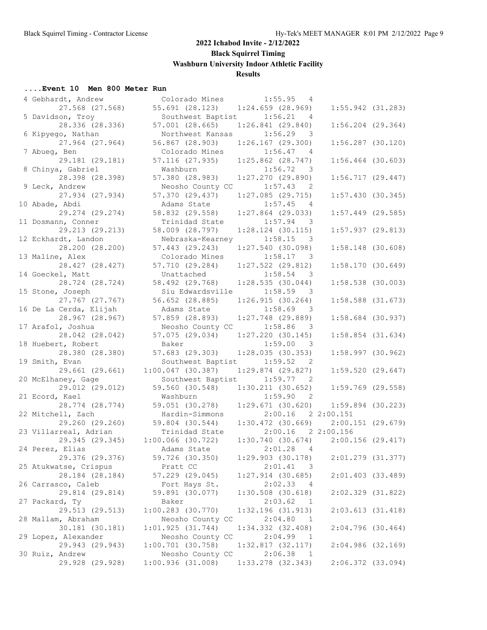| 4 Gebhardt, Andrew     | Colorado Mines                    | 1:55.95<br>4                          |                     |  |
|------------------------|-----------------------------------|---------------------------------------|---------------------|--|
| 27.568 (27.568)        | 55.691 (28.123)                   | $1:24.659$ (28.969)                   | $1:55.942$ (31.283) |  |
| 5 Davidson, Troy       | Southwest Baptist                 | 1:56.21<br>4                          |                     |  |
| 28.336 (28.336)        | 57.001 (28.665)                   | $1:26.841$ (29.840)                   | $1:56.204$ (29.364) |  |
| 6 Kipyego, Nathan      | Northwest Kansas                  | 1:56.29<br>$\overline{\phantom{a}}$   |                     |  |
|                        |                                   |                                       |                     |  |
| 27.964 (27.964)        | 56.867 (28.903)                   | $1:26.167$ (29.300)                   | $1:56.287$ (30.120) |  |
| 7 Abueg, Ben           | Colorado Mines                    | 1:56.47<br>4                          |                     |  |
| 29.181 (29.181)        | 57.116 (27.935)                   | $1:25.862$ (28.747)                   | $1:56.464$ (30.603) |  |
| 8 Chinya, Gabriel      | Washburn                          | 1:56.72<br>$\overline{\phantom{a}}$   |                     |  |
| 28.398 (28.398)        | 57.380 (28.983)                   | $1:27.270$ (29.890)                   | $1:56.717$ (29.447) |  |
| 9 Leck, Andrew         | Neosho County CC                  | 1:57.43<br>2                          |                     |  |
| 27.934 (27.934)        | 57.370 (29.437)                   | $1:27.085$ (29.715)                   | 1:57.430(30.345)    |  |
| 10 Abade, Abdi         | Adams State                       | 1:57.45<br>4                          |                     |  |
|                        |                                   |                                       |                     |  |
| 29.274 (29.274)        | 58.832 (29.558)                   | $1:27.864$ (29.033)                   | $1:57.449$ (29.585) |  |
| 11 Dosmann, Conner     | Trinidad State                    | 1:57.94<br>- 3                        |                     |  |
| 29.213 (29.213)        | 58.009 (28.797)                   | $1:28.124$ (30.115)                   | 1:57.937(29.813)    |  |
| 12 Eckhardt, Landon    | Nebraska-Kearney                  | $1:58.15$ 3                           |                     |  |
| 28.200 (28.200)        | 57.443 (29.243)                   | 1:27.540(30.098)                      | $1:58.148$ (30.608) |  |
| 13 Maline, Alex        | Colorado Mines                    | 1:58.17<br>$\overline{\phantom{a}}$   |                     |  |
| 28.427 (28.427)        | 57.710 (29.284)                   | $1:27.522$ (29.812)                   | 1:58.170(30.649)    |  |
| 14 Goeckel, Matt       | Unattached                        | 1:58.54                               |                     |  |
| 28.724 (28.724)        | 58.492 (29.768) 1:28.535 (30.044) |                                       | 1:58.538 (30.003)   |  |
|                        | Siu Edwardsville 1:58.59          |                                       |                     |  |
| 15 Stone, Joseph       |                                   | $\overline{\phantom{a}}$              |                     |  |
| 27.767 (27.767)        | 56.652 (28.885)                   | 1:26.915(30.264)                      | $1:58.588$ (31.673) |  |
| 16 De La Cerda, Elijah | Adams State                       | 1:58.69<br>$\overline{\mathbf{3}}$    |                     |  |
| 28.967 (28.967)        | 57.859 (28.893)                   | $1:27.748$ (29.889)                   | $1:58.684$ (30.937) |  |
| 17 Arafol, Joshua      | Neosho County CC                  | 1:58.86<br>3                          |                     |  |
| 28.042 (28.042)        | 57.075 (29.034)                   | $1:27.220$ (30.145)                   | $1:58.854$ (31.634) |  |
| 18 Huebert, Robert     | Baker                             | 1:59.00 3                             |                     |  |
| 28.380 (28.380)        | 57.683(29.303)                    | 1:28.035(30.353)                      | 1:58.997(30.962)    |  |
| 19 Smith, Evan         | Southwest Baptist                 | 1:59.52<br>- 2                        |                     |  |
| 29.661 (29.661)        | $1:00.047$ (30.387)               | $1:29.874$ (29.827)                   | $1:59.520$ (29.647) |  |
| 20 McElhaney, Gage     | Southwest Baptist                 | 1:59.77<br>$\overline{\phantom{0}}^2$ |                     |  |
| 29.012 (29.012)        | 59.560 (30.548)                   | 1:30.211(30.652)                      | $1:59.769$ (29.558) |  |
|                        |                                   |                                       |                     |  |
| 21 Ecord, Kael         | Washburn                          | 1:59.90<br>$\overline{\phantom{0}}^2$ |                     |  |
| 28.774 (28.774)        | 59.051 (30.278)                   | 1:29.671(30.620)                      | $1:59.894$ (30.223) |  |
| 22 Mitchell, Zach      | Hardin-Simmons                    | 2:00.16 2 2:00.151                    |                     |  |
| 29.260 (29.260)        | 59.804 (30.544)                   | 1:30.472(30.669)                      | $2:00.151$ (29.679) |  |
| 23 Villarreal, Adrian  | Trinidad State                    | $2:00.16$ 2 2:00.156                  |                     |  |
| 29.345 (29.345)        | $1:00.066$ (30.722)               | 1:30.740(30.674)                      | $2:00.156$ (29.417) |  |
| 24 Perez, Elias        | Adams State                       | 2:01.28<br>$\overline{4}$             |                     |  |
| 29.376 (29.376)        | 59.726 (30.350)                   | $1:29.903$ (30.178)                   | 2:01.279 (31.377)   |  |
| 25 Atukwatse, Crispus  | Pratt CC                          | 2:01.41<br>$\overline{\mathbf{3}}$    |                     |  |
| 28.184 (28.184)        | 57.229 (29.045)                   | $1:27.914$ (30.685)                   | $2:01.403$ (33.489) |  |
|                        |                                   | 2:02.33                               |                     |  |
| 26 Carrasco, Caleb     | Fort Hays St.                     | - 4                                   |                     |  |
| 29.814 (29.814)        | 59.891 (30.077)                   | $1:30.508$ (30.618)                   | 2:02.329 (31.822)   |  |
| 27 Packard, Ty         | Baker                             | 2:03.62<br>$\overline{1}$             |                     |  |
| 29.513 (29.513)        | $1:00.283$ (30.770)               | 1:32.196(31.913)                      | 2:03.613(31.418)    |  |
| 28 Mallam, Abraham     | Neosho County CC                  | 2:04.80<br>-1                         |                     |  |
| 30.181 (30.181)        | 1:01.925(31.744)                  | 1:34.332 (32.408)                     | $2:04.796$ (30.464) |  |
| 29 Lopez, Alexander    | Neosho County CC                  | 2:04.99<br>$\overline{1}$             |                     |  |
| 29.943 (29.943)        | $1:00.701$ (30.758)               | 1:32.817(32.117)                      | 2:04.986(32.169)    |  |
| 30 Ruiz, Andrew        | Neosho County CC                  | 2:06.38<br>$\overline{1}$             |                     |  |
| 29.928 (29.928)        | 1:00.936(31.008)                  | $1:33.278$ (32.343)                   | 2:06.372 (33.094)   |  |
|                        |                                   |                                       |                     |  |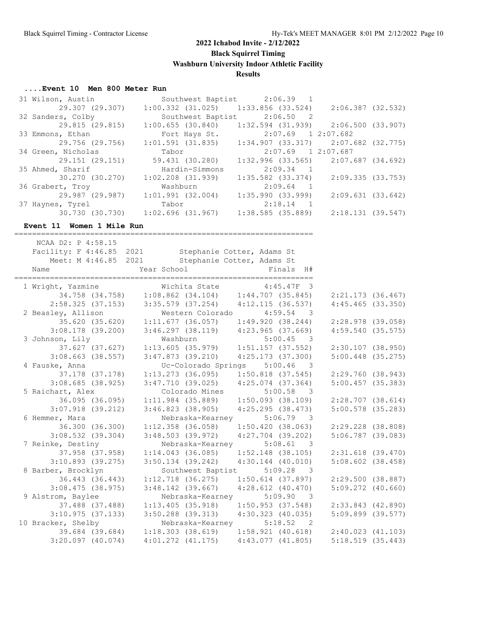#### **....Event 10 Men 800 Meter Run**

| 31 Wilson, Austin  |                       | Southwest Baptist 2:06.39 1             |                   |  |
|--------------------|-----------------------|-----------------------------------------|-------------------|--|
| 29.307 (29.307)    | 1:00.332 (31.025)     | 1:33.856 (33.524)                       | 2:06.387 (32.532) |  |
| 32 Sanders, Colby  | Southwest Baptist     | $2:06.50$ 2                             |                   |  |
| 29.815 (29.815)    | $1:00.655$ (30.840)   | $1:32.594$ (31.939) $2:06.500$ (33.907) |                   |  |
| 33 Emmons, Ethan   | Fort Hays St.         | 2:07.69 1 2:07.682                      |                   |  |
| 29.756 (29.756)    | 1:01.591 (31.835)     | $1:34.907$ (33.317) $2:07.682$ (32.775) |                   |  |
| 34 Green, Nicholas | Tabor                 | $2:07.69$ 1 2:07.687                    |                   |  |
| 29.151 (29.151)    | 59.431 (30.280)       | $1:32.996$ (33.565) $2:07.687$ (34.692) |                   |  |
| 35 Ahmed, Sharif   | Hardin-Simmons        | $2:09.34$ 1                             |                   |  |
| 30.270 (30.270)    | $1:02.208$ $(31.939)$ | 1:35.582 (33.374)                       | 2:09.335 (33.753) |  |
| 36 Grabert, Troy   | Washburn              | $2:09.64$ 1                             |                   |  |
| 29.987 (29.987)    | 1:01.991(32.004)      | $1:35.990$ (33.999)                     | 2:09.631(33.642)  |  |
| 37 Haynes, Tyrel   | Tabor                 | $2:18.14$ 1                             |                   |  |
| 30.730 (30.730)    | 1:02.696 (31.967)     | $1:38.585$ (35.889)                     | 2:18.131(39.547)  |  |
|                    |                       |                                         |                   |  |

#### **Event 11 Women 1 Mile Run**

===================================================================

| NCAA D2: P 4:58.15  | Facility: F 4:46.85 2021 Stephanie Cotter, Adams St<br>Meet: M 4:46.85 2021 Stephanie Cotter, Adams St              |                                                           |                       |
|---------------------|---------------------------------------------------------------------------------------------------------------------|-----------------------------------------------------------|-----------------------|
|                     |                                                                                                                     |                                                           |                       |
|                     | 1 Wright, Yazmine Michita State 4:45.47F 3<br>34.758 (34.758) 1:08.862 (34.104) 1:44.707 (35.845) 2:21.173 (36.467) |                                                           |                       |
|                     |                                                                                                                     |                                                           |                       |
|                     | $2:58.325$ (37.153) 3:35.579 (37.254) 4:12.115 (36.537)                                                             |                                                           | $4:45.465$ (33.350)   |
| 2 Beasley, Allison  |                                                                                                                     | Western Colorado 4:59.54 3                                |                       |
|                     | 35.620 (35.620)  1:11.677 (36.057)  1:49.920 (38.244)                                                               |                                                           | 2:28.978 (39.058)     |
| $3:08.178$ (39.200) |                                                                                                                     | $3:46.297$ (38.119) $4:23.965$ (37.669)                   | 4:59.540(35.575)      |
| 3 Johnson, Lily     | Washburn                                                                                                            | Washburn 5:00.45 3<br>1:13.605 (35.979) 1:51.157 (37.552) |                       |
| 37.627 (37.627)     |                                                                                                                     |                                                           | $2:30.107$ (38.950)   |
| $3:08.663$ (38.557) | $3:47.873$ (39.210)                                                                                                 | 4:25.173 (37.300)                                         | $5:00.448$ (35.275)   |
| 4 Fauske, Anna      |                                                                                                                     | Uc-Colorado Springs 5:00.46 3                             |                       |
| 37.178 (37.178)     | $1:13.273$ (36.095) $1:50.818$ (37.545)                                                                             |                                                           | 2:29.760 (38.943)     |
| 3:08.685(38.925)    | $3:47.710$ (39.025) $4:25.074$ (37.364)                                                                             |                                                           | $5:00.457$ (35.383)   |
| 5 Raichart, Alex    | Colorado Mines                                                                                                      | $5:00.58$ 3                                               |                       |
|                     | 36.095 (36.095) 1:11.984 (35.889) 1:50.093 (38.109)                                                                 |                                                           | $2:28.707$ (38.614)   |
| $3:07.918$ (39.212) | $3:46.823$ (38.905) $4:25.295$ (38.473)                                                                             |                                                           | $5:00.578$ (35.283)   |
| 6 Hemmer, Mara      | Nebraska-Kearney 5:06.79 3                                                                                          |                                                           |                       |
| 36.300 (36.300)     |                                                                                                                     | $1:12.358$ (36.058) $1:50.420$ (38.063)                   | 2:29.228 (38.808)     |
| $3:08.532$ (39.304) | $3:48.503$ (39.972) $4:27.704$ (39.202)                                                                             |                                                           | $5:06.787$ (39.083)   |
| 7 Reinke, Destiny   | Nebraska-Kearney                                                                                                    | 5:08.61 3                                                 |                       |
| 37.958 (37.958)     |                                                                                                                     | $1:14.043$ (36.085) $1:52.148$ (38.105)                   | $2:31.618$ (39.470)   |
| $3:10.893$ (39.275) | $3:50.134$ (39.242) $4:30.144$ (40.010)                                                                             |                                                           | $5:08.602$ (38.458)   |
| 8 Barber, Brocklyn  |                                                                                                                     | Southwest Baptist 5:09.28 3                               |                       |
| 36.443 (36.443)     |                                                                                                                     | $1:12.718$ (36.275) $1:50.614$ (37.897)                   | 2:29.500(38.887)      |
| $3:08.475$ (38.975) | $3:48.142$ (39.667) $4:28.612$ (40.470)                                                                             |                                                           | $5:09.272$ (40.660)   |
| 9 Alstrom, Baylee   | Nebraska-Kearney                                                                                                    | 5:09.90 3                                                 |                       |
|                     | 37.488 (37.488) 1:13.405 (35.918) 1:50.953 (37.548)                                                                 |                                                           | 2:33.843 (42.890)     |
|                     | $3:10.975$ (37.133) $3:50.288$ (39.313) $4:30.323$ (40.035)                                                         |                                                           | $5:09.899$ (39.577)   |
|                     | 10 Bracker, Shelby Mebraska-Kearney                                                                                 | 5:18.52 2                                                 |                       |
|                     | $39.684$ (39.684) 1:18.303 (38.619) 1:58.921 (40.618)                                                               |                                                           | 2:40.023(41.103)      |
| $3:20.097$ (40.074) | $4:01.272$ $(41.175)$ $4:43.077$ $(41.805)$                                                                         |                                                           | $5:18.519$ $(35.443)$ |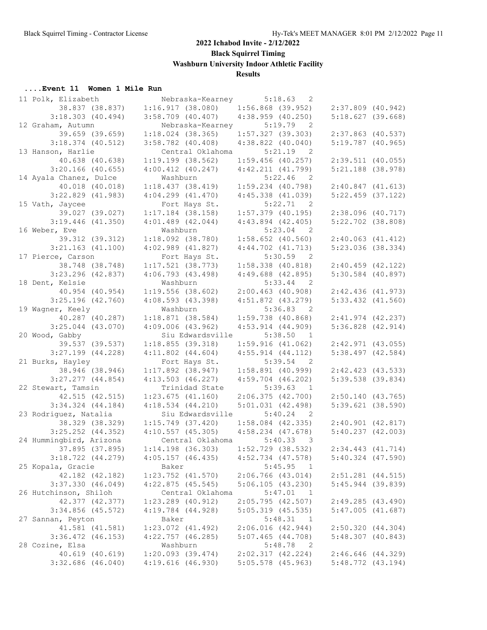#### **....Event 11 Women 1 Mile Run**

| 11 Polk, Elizabeth      | Nebraska-Kearney      | 5:18.63<br>- 2                        |                       |  |
|-------------------------|-----------------------|---------------------------------------|-----------------------|--|
| 38.837 (38.837)         | 1:16.917(38.080)      | $1:56.868$ (39.952)                   | $2:37.809$ (40.942)   |  |
| $3:18.303$ (40.494)     | $3:58.709$ (40.407)   | $4:38.959$ $(40.250)$                 | 5:18.627(39.668)      |  |
| 12 Graham, Autumn       | Nebraska-Kearney      | 5:19.79<br>$\overline{2}$             |                       |  |
| 39.659 (39.659)         | $1:18.024$ (38.365)   | $1:57.327$ (39.303)                   | $2:37.863$ (40.537)   |  |
| $3:18.374$ (40.512)     | $3:58.782$ (40.408)   | $4:38.822$ $(40.040)$                 | $5:19.787$ (40.965)   |  |
| 13 Hanson, Harlie       | Central Oklahoma      | 5:21.19<br>$\overline{2}$             |                       |  |
| 40.638 (40.638)         | $1:19.199$ $(38.562)$ | $1:59.456$ (40.257)                   | $2:39.511$ (40.055)   |  |
| $3:20.166$ (40.655)     | $4:00.412$ $(40.247)$ | $4:42.211$ $(41.799)$                 | $5:21.188$ (38.978)   |  |
| 14 Ayala Chanez, Dulce  | Washburn              | $5:22.46$ 2                           |                       |  |
| 40.018 (40.018)         | 1:18.437(38.419)      | $1:59.234$ (40.798)                   | 2:40.847(41.613)      |  |
| $3:22.829$ (41.983)     | $4:04.299$ $(41.470)$ | $4:45.338$ $(41.039)$                 | $5:22.459$ (37.122)   |  |
| 15 Vath, Jaycee         | Fort Hays St.         | 5:22.71<br>$\overline{2}$             |                       |  |
| 39.027 (39.027)         | $1:17.184$ (38.158)   | $1:57.379$ (40.195)                   | $2:38.096$ (40.717)   |  |
| $3:19.446$ (41.350)     | $4:01.489$ $(42.044)$ | $4:43.894$ $(42.405)$                 | $5:22.702$ (38.808)   |  |
| 16 Weber, Eve           | Washburn              | $5:23.04$ 2                           |                       |  |
| 39.312 (39.312)         | $1:18.092$ (38.780)   | $1:58.652$ (40.560)                   | $2:40.063$ $(41.412)$ |  |
| $3:21.163$ (41.100)     | $4:02.989$ $(41.827)$ | $4:44.702$ $(41.713)$                 | $5:23.036$ (38.334)   |  |
| 17 Pierce, Carson       | Fort Hays St.         | 5:30.59<br>$\overline{2}$             |                       |  |
| 38.748 (38.748)         | $1:17.521$ (38.773)   | $1:58.338$ $(40.818)$                 | $2:40.459$ (42.122)   |  |
| $3:23.296$ (42.837)     | $4:06.793$ $(43.498)$ |                                       | $5:30.584$ (40.897)   |  |
| 18 Dent, Kelsie         | Washburn              | $4:49.688$ $(42.895)$<br>$5:33.44$ 2  |                       |  |
| 40.954 (40.954)         | $1:19.556$ (38.602)   | $2:00.463$ (40.908)                   | $2:42.436$ (41.973)   |  |
|                         |                       |                                       |                       |  |
| $3:25.196$ (42.760)     | $4:08.593$ $(43.398)$ | $4:51.872$ $(43.279)$                 | $5:33.432$ $(41.560)$ |  |
| 19 Wagner, Keely        | Washburn              | 5:36.83<br>$\overline{2}$             |                       |  |
| 40.287 (40.287)         | 1:18.871(38.584)      | $1:59.738$ (40.868)                   | $2:41.974$ $(42.237)$ |  |
| $3:25.044$ (43.070)     | $4:09.006$ $(43.962)$ | $4:53.914$ $(44.909)$                 | $5:36.828$ $(42.914)$ |  |
| 20 Wood, Gabby          | Siu Edwardsville      | 5:38.50<br>$\overline{1}$             |                       |  |
| 39.537 (39.537)         | 1:18.855(39.318)      | 1:59.916(41.062)                      | $2:42.971$ (43.055)   |  |
| $3:27.199$ $(44.228)$   | $4:11.802$ $(44.604)$ | $4:55.914$ $(44.112)$                 | $5:38.497$ (42.584)   |  |
| 21 Burks, Hayley        | Fort Hays St.         | $5:39.54$ 2                           |                       |  |
| 38.946 (38.946)         | $1:17.892$ (38.947)   | $1:58.891$ (40.999)                   | $2:42.423$ $(43.533)$ |  |
| $3:27.277$ $(44.854)$   | $4:13.503$ $(46.227)$ | $4:59.704$ $(46.202)$                 | 5:39.538 (39.834)     |  |
| 22 Stewart, Tamsin      | Trinidad State        | 5:39.63<br>$\overline{1}$             |                       |  |
| 42.515 (42.515)         | $1:23.675$ $(41.160)$ | 2:06.375(42.700)                      | $2:50.140$ (43.765)   |  |
| $3:34.324$ $(44.184)$   | $4:18.534$ $(44.210)$ | 5:01.031(42.498)                      | $5:39.621$ (38.590)   |  |
| 23 Rodriguez, Natalia   | Siu Edwardsville      | 5:40.24<br>$\overline{2}$             |                       |  |
| 38.329 (38.329)         | $1:15.749$ (37.420)   | $1:58.084$ (42.335)                   | $2:40.901$ $(42.817)$ |  |
| $3:25.252$ $(44.352)$   | $4:10.557$ (45.305)   | $4:58.234$ $(47.678)$                 | $5:40.237$ $(42.003)$ |  |
| 24 Hummingbird, Arizona | Central Oklahoma      | 5:40.33 3                             |                       |  |
| 37.895 (37.895)         | $1:14.198$ (36.303)   | $1:52.729$ (38.532)                   | $2:34.443$ $(41.714)$ |  |
| $3:18.722$ $(44.279)$   | $4:05.157$ (46.435)   | $4:52.734$ $(47.578)$                 | $5:40.324$ $(47.590)$ |  |
| 25 Kopala, Gracie       | Baker                 | 5:45.95<br>$\overline{1}$             |                       |  |
| 42.182 (42.182)         | $1:23.752$ $(41.570)$ | $2:06.766$ $(43.014)$                 | $2:51.281$ $(44.515)$ |  |
| 3:37.330(46.049)        | $4:22.875$ (45.545)   | 5:06.105(43.230)                      | $5:45.944$ (39.839)   |  |
| 26 Hutchinson, Shiloh   | Central Oklahoma      | 5:47.01<br>$\mathbf{1}$               |                       |  |
| 42.377 (42.377)         | $1:23.289$ $(40.912)$ | 2:05.795(42.507)                      | 2:49.285(43.490)      |  |
| $3:34.856$ (45.572)     | $4:19.784$ $(44.928)$ | $5:05.319$ (45.535)                   | $5:47.005$ $(41.687)$ |  |
| 27 Sannan, Peyton       | Baker                 | 5:48.31<br>$\overline{1}$             |                       |  |
| 41.581 (41.581)         | 1:23.072 (41.492)     | 2:06.016(42.944)                      | 2:50.320(44.304)      |  |
| $3:36.472$ $(46.153)$   | $4:22.757$ (46.285)   | $5:07.465$ $(44.708)$                 | $5:48.307$ $(40.843)$ |  |
| 28 Cozine, Elsa         | Washburn              | 5:48.78<br>$\overline{\phantom{0}}^2$ |                       |  |
| 40.619 (40.619)         | $1:20.093$ (39.474)   | 2:02.317(42.224)                      | $2:46.646$ (44.329)   |  |
| $3:32.686$ (46.040)     | $4:19.616$ (46.930)   | $5:05.578$ (45.963)                   | $5:48.772$ (43.194)   |  |
|                         |                       |                                       |                       |  |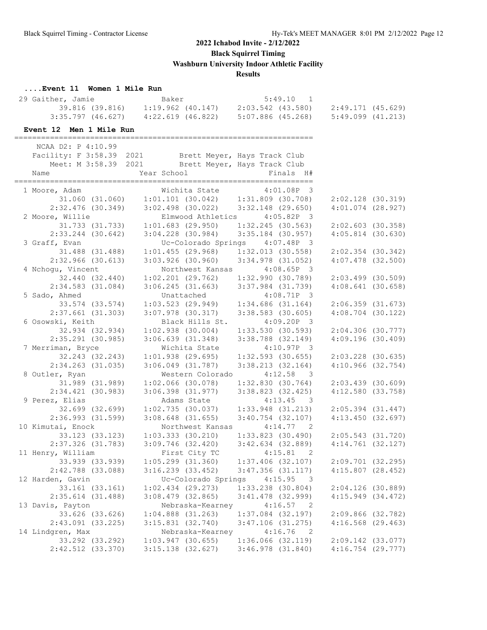**Black Squirrel Timing**

**Washburn University Indoor Athletic Facility**

#### **Results**

#### **....Event 11 Women 1 Mile Run**

| 29 Gaither, Jamie |                 | Baker             |                   | 5:49.10 1 |                   |  |
|-------------------|-----------------|-------------------|-------------------|-----------|-------------------|--|
|                   | 39.816 (39.816) | 1:19.962 (40.147) | 2:03.542 (43.580) |           | 2:49.171 (45.629) |  |
| 3:35.797 (46.627) |                 | 4:22.619 (46.822) | 5:07.886 (45.268) |           | 5:49.099 (41.213) |  |

===================================================================

#### **Event 12 Men 1 Mile Run**

 NCAA D2: P 4:10.99 Facility: F 3:58.39 2021 Brett Meyer, Hays Track Club Meet: M 3:58.39 2021 Brett Meyer, Hays Track Club Name  $Year School$  Finals H# =================================================================== Wichita State 4:01.08P 3 31.060 (31.060) 1:01.101 (30.042) 1:31.809 (30.708) 2:02.128 (30.319) 2:32.476 (30.349) 3:02.498 (30.022) 3:32.148 (29.650) 4:01.074 (28.927) 2 Moore, Willie Elmwood Athletics 4:05.82P 3 31.733 (31.733) 1:01.683 (29.950) 1:32.245 (30.563) 2:02.603 (30.358) 2:33.244 (30.642) 3:04.228 (30.984) 3:35.184 (30.957) 4:05.814 (30.630) 3 Graff, Evan Uc-Colorado Springs 4:07.48P 3 31.488 (31.488) 1:01.455 (29.968) 1:32.013 (30.558) 2:02.354 (30.342) 2:32.966 (30.613) 3:03.926 (30.960) 3:34.978 (31.052) 4:07.478 (32.500) 4 Nchogu, Vincent 1988 Northwest Kansas 4:08.65P 3 32.440 (32.440) 1:02.201 (29.762) 1:32.990 (30.789) 2:03.499 (30.509) 2:34.583 (31.084) 3:06.245 (31.663) 3:37.984 (31.739) 4:08.641 (30.658) 5 Sado, Ahmed Unattached 4:08.71P 3 33.574 (33.574) 1:03.523 (29.949) 1:34.686 (31.164) 2:06.359 (31.673) 2:37.661 (31.303) 3:07.978 (30.317) 3:38.583 (30.605) 4:08.704 (30.122) 6 Osowski, Keith Black Hills St. 4:09.20P 3 32.934 (32.934) 1:02.938 (30.004) 1:33.530 (30.593) 2:04.306 (30.777) 2:35.291 (30.985) 3:06.639 (31.348) 3:38.788 (32.149) 4:09.196 (30.409) 7 Merriman, Bryce Wichita State 4:10.97P 3 32.243 (32.243) 1:01.938 (29.695) 1:32.593 (30.655) 2:03.228 (30.635) 2:34.263 (31.035) 3:06.049 (31.787) 3:38.213 (32.164) 4:10.966 (32.754) 8 Outler, Ryan Mestern Colorado 4:12.58 3 31.989 (31.989) 1:02.066 (30.078) 1:32.830 (30.764) 2:03.439 (30.609) 2:34.421 (30.983) 3:06.398 (31.977) 3:38.823 (32.425) 4:12.580 (33.758) 9 Perez, Elias Adams State 4:13.45 3 32.699 (32.699) 1:02.735 (30.037) 1:33.948 (31.213) 2:05.394 (31.447) 2:36.993 (31.599) 3:08.648 (31.655) 3:40.754 (32.107) 4:13.450 (32.697) 10 Kimutai, Enock Northwest Kansas 4:14.77 2 33.123 (33.123) 1:03.333 (30.210) 1:33.823 (30.490) 2:05.543 (31.720) 2:37.326 (31.783) 3:09.746 (32.420) 3:42.634 (32.889) 4:14.761 (32.127) 11 Henry, William First City TC 4:15.81 2 33.939 (33.939) 1:05.299 (31.360) 1:37.406 (32.107) 2:09.701 (32.295) 2:42.788 (33.088) 3:16.239 (33.452) 3:47.356 (31.117) 4:15.807 (28.452) 12 Harden, Gavin Uc-Colorado Springs 4:15.95 3 33.161 (33.161) 1:02.434 (29.273) 1:33.238 (30.804) 2:04.126 (30.889) 2:35.614 (31.488) 3:08.479 (32.865) 3:41.478 (32.999) 4:15.949 (34.472) 13 Davis, Payton Nebraska-Kearney 4:16.57 2 33.626 (33.626) 1:04.888 (31.263) 1:37.084 (32.197) 2:09.866 (32.782) 2:43.091 (33.225) 3:15.831 (32.740) 3:47.106 (31.275) 4:16.568 (29.463) 14 Lindgren, Max Nebraska-Kearney 4:16.76 2 33.292 (33.292) 1:03.947 (30.655) 1:36.066 (32.119) 2:09.142 (33.077) 2:42.512 (33.370) 3:15.138 (32.627) 3:46.978 (31.840) 4:16.754 (29.777)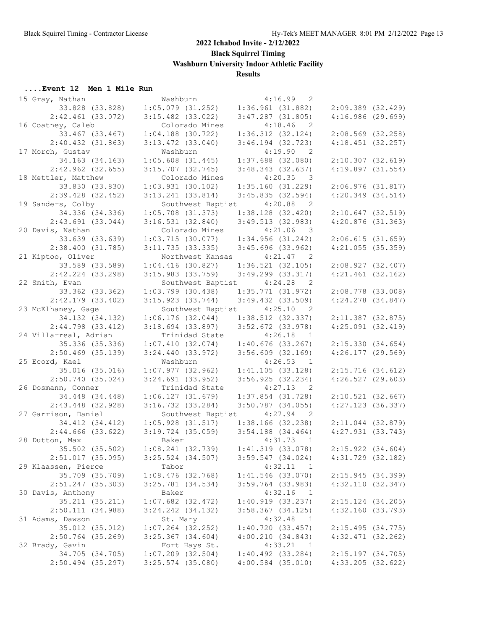**Black Squirrel Timing**

**Washburn University Indoor Athletic Facility**

## **Results**

## **....Event 12 Men 1 Mile Run**

| 15 Gray, Nathan       | Washburn                                | 4:16.99<br>- 2              |                       |
|-----------------------|-----------------------------------------|-----------------------------|-----------------------|
| 33.828 (33.828)       | $1:05.079$ (31.252)                     | 1:36.961(31.882)            | $2:09.389$ $(32.429)$ |
| $2:42.461$ (33.072)   | $3:15.482$ (33.022)                     | $3:47.287$ (31.805)         | 4:16.986(29.699)      |
| 16 Coatney, Caleb     | Colorado Mines                          | 4:18.46<br>$\overline{2}$   |                       |
| 33.467 (33.467)       | $1:04.188$ (30.722)                     | $1:36.312$ (32.124)         | $2:08.569$ (32.258)   |
| 2:40.432(31.863)      | $3:13.472$ (33.040)                     | $3:46.194$ (32.723)         | $4:18.451$ (32.257)   |
| 17 Morch, Gustav      | Washburn                                | 4:19.90<br>$\overline{2}$   |                       |
| 34.163 (34.163)       | $1:05.608$ $(31.445)$                   | $1:37.688$ (32.080)         | $2:10.307$ $(32.619)$ |
| $2:42.962$ (32.655)   | $3:15.707$ (32.745)                     | $3:48.343$ (32.637)         | $4:19.897$ $(31.554)$ |
| 18 Mettler, Matthew   | Colorado Mines                          | $4:20.35$ 3                 |                       |
| 33.830 (33.830)       | $1:03.931$ (30.102)                     | 1:35.160(31.229)            | $2:06.976$ $(31.817)$ |
| $2:39.428$ (32.452)   | $3:13.241$ (33.814)                     | 3:45.835(32.594)            | $4:20.349$ $(34.514)$ |
| 19 Sanders, Colby     | Southwest Baptist 4:20.88               | $\overline{2}$              |                       |
| 34.336 (34.336)       | $1:05.708$ (31.373)                     | 1:38.128(32.420)            | $2:10.647$ (32.519)   |
| $2:43.691$ (33.044)   | 3:16.531(32.840)                        | 3:49.513(32.983)            | $4:20.876$ (31.363)   |
| 20 Davis, Nathan      | Colorado Mines                          | $4:21.06$ 3                 |                       |
| 33.639 (33.639)       | 1:03.715(30.077)                        | 1:34.956(31.242)            | 2:06.615(31.659)      |
| 2:38.400(31.785)      | 3:11.735(33.335)                        | $3:45.696$ (33.962)         | $4:21.055$ (35.359)   |
| 21 Kiptoo, Oliver     |                                         | Northwest Kansas 4:21.47 2  |                       |
| 33.589 (33.589)       |                                         |                             |                       |
|                       | $1:04.416$ (30.827)                     | 1:36.521(32.105)            | 2:08.927(32.407)      |
| 2:42.224 (33.298)     | $3:15.983$ (33.759)                     | $3:49.299$ $(33.317)$       | $4:21.461$ (32.162)   |
| 22 Smith, Evan        |                                         | Southwest Baptist 4:24.28 2 |                       |
| 33.362 (33.362)       | $1:03.799$ (30.438)                     | 1:35.771(31.972)            | $2:08.778$ (33.008)   |
| $2:42.179$ (33.402)   | $3:15.923$ (33.744)                     | $3:49.432$ $(33.509)$       | $4:24.278$ $(34.847)$ |
| 23 McElhaney, Gage    | Southwest Baptist 4:25.10               | $\overline{2}$              |                       |
| 34.132 (34.132)       | 1:06.176(32.044)                        | $1:38.512$ (32.337)         | $2:11.387$ (32.875)   |
| $2:44.798$ (33.412)   | $3:18.694$ (33.897)                     | $3:52.672$ (33.978)         | $4:25.091$ $(32.419)$ |
| 24 Villarreal, Adrian | Trinidad State                          | 4:26.18<br>$\overline{1}$   |                       |
| 35.336 (35.336)       | 1:07.410(32.074)                        | $1:40.676$ (33.267)         | 2:15.330(34.654)      |
| $2:50.469$ (35.139)   | $3:24.440$ (33.972)                     | $3:56.609$ (32.169)         | $4:26.177$ (29.569)   |
| 25 Ecord, Kael        | Washburn                                | 4:26.53<br>$\overline{1}$   |                       |
| 35.016 (35.016)       | 1:07.977(32.962)                        | 1:41.105(33.128)            | 2:15.716(34.612)      |
| 2:50.740(35.024)      | $3:24.691$ (33.952)                     | 3:56.925(32.234)            | $4:26.527$ (29.603)   |
| 26 Dosmann, Conner    | Trinidad State                          | $4:27.13$ 2                 |                       |
| 34.448 (34.448)       | $1:06.127$ $(31.679)$                   | $1:37.854$ (31.728)         | $2:10.521$ (32.667)   |
| $2:43.448$ (32.928)   | $3:16.732$ $(33.284)$                   | $3:50.787$ (34.055)         | $4:27.123$ (36.337)   |
| 27 Garrison, Daniel   | Southwest Baptist 4:27.94               | $\overline{2}$              |                       |
| 34.412 (34.412)       | $1:05.928$ (31.517)                     | 1:38.166(32.238)            | $2:11.044$ (32.879)   |
| $2:44.666$ (33.622)   | $3:19.724$ (35.059) $3:54.188$ (34.464) |                             | $4:27.931$ $(33.743)$ |
| 28 Dutton, Max        | Baker                                   | 4:31.73 1                   |                       |
| 35.502 (35.502)       | $1:08.241$ (32.739)                     | $1:41.319$ (33.078)         | $2:15.922$ $(34.604)$ |
| $2:51.017$ (35.095)   | $3:25.524$ $(34.507)$                   | $3:59.547$ $(34.024)$       | $4:31.729$ $(32.182)$ |
| 29 Klaassen, Pierce   | Tabor                                   | 4:32.11<br>$\mathbf{1}$     |                       |
| 35.709 (35.709)       | $1:08.476$ (32.768)                     | $1:41.546$ (33.070)         | 2:15.945(34.399)      |
| $2:51.247$ (35.303)   | $3:25.781$ $(34.534)$                   | $3:59.764$ (33.983)         | 4:32.110(32.347)      |
| 30 Davis, Anthony     | Baker                                   | 4:32.16<br>$\mathbf{1}$     |                       |
| 35.211 (35.211)       | $1:07.682$ (32.472)                     | 1:40.919(33.237)            | 2:15.124 (34.205)     |
| 2:50.111 (34.988)     | 3:24.242 (34.132)                       | $3:58.367$ $(34.125)$       | 4:32.160 (33.793)     |
| 31 Adams, Dawson      | St. Mary                                | 4:32.48<br>$\overline{1}$   |                       |
| 35.012 (35.012)       | $1:07.264$ (32.252)                     | 1:40.720(33.457)            | 2:15.495(34.775)      |
| $2:50.764$ (35.269)   | $3:25.367$ $(34.604)$                   | 4:00.210(34.843)            | $4:32.471$ $(32.262)$ |
| 32 Brady, Gavin       | Fort Hays St.                           | 4:33.21<br>$\mathbf{1}$     |                       |
| 34.705 (34.705)       | $1:07.209$ (32.504)                     | $1:40.492$ (33.284)         | $2:15.197$ (34.705)   |
| $2:50.494$ (35.297)   | $3:25.574$ (35.080)                     | $4:00.584$ (35.010)         | $4:33.205$ (32.622)   |
|                       |                                         |                             |                       |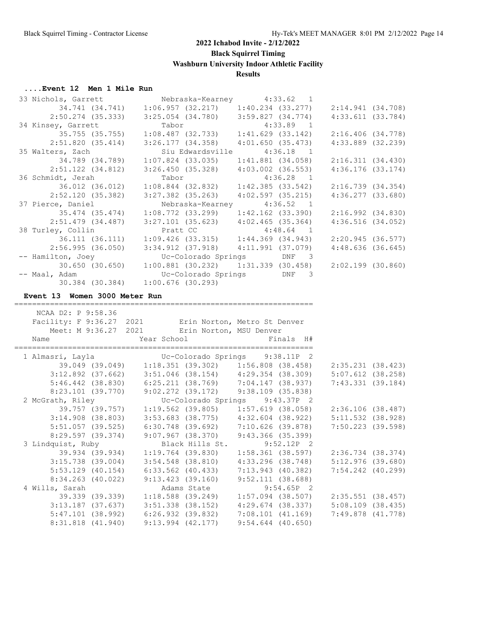# **....Event 12 Men 1 Mile Run**

| 33 Nichols, Garrett                      |                                                                                                                                                                                                 | Nebraska-Kearney 4:33.62 1                   |                       |  |
|------------------------------------------|-------------------------------------------------------------------------------------------------------------------------------------------------------------------------------------------------|----------------------------------------------|-----------------------|--|
|                                          | 34.741 (34.741) 1:06.957 (32.217) 1:40.234 (33.277) 2:14.941 (34.708)                                                                                                                           |                                              |                       |  |
|                                          | $2:50.274$ (35.333) 3:25.054 (34.780) 3:59.827 (34.774)                                                                                                                                         |                                              | 4:33.611(33.784)      |  |
| 34 Kinsey, Garrett                       | 1:33.89 1<br>35.755 (35.755) 1:08.487 (32.733) 1:41.629 (33.142)<br>51.820 (35.414) 3:26.177.624.350                                                                                            |                                              |                       |  |
|                                          |                                                                                                                                                                                                 |                                              | $2:16.406$ $(34.778)$ |  |
| 2:51.820(35.414)                         | $3:26.177$ (34.358) $4:01.650$ (35.473)                                                                                                                                                         |                                              | $4:33.889$ $(32.239)$ |  |
| 35 Walters, Zach                         | Siu Edwardsville 4:36.18 1                                                                                                                                                                      |                                              |                       |  |
| 34.789 (34.789)                          | $1:07.824$ (33.035) $1:41.881$ (34.058) $2:16.311$ (34.430)                                                                                                                                     |                                              |                       |  |
| $2:51.122$ $(34.812)$                    | $3:26.450$ (35.328) $4:03.002$ (36.553)                                                                                                                                                         |                                              | $4:36.176$ (33.174)   |  |
| 36 Schmidt, Jerah                        |                                                                                                                                                                                                 |                                              |                       |  |
| 36.012 (36.012)                          | Tabor 4:36.28 1<br>1:08.844 (32.832) 1:42.385 (33.542)                                                                                                                                          |                                              | 2:16.739(34.354)      |  |
| 2:52.120(35.382)                         | $3:27.382$ (35.263) $4:02.597$ (35.215)                                                                                                                                                         |                                              | 4:36.277(33.680)      |  |
| 37 Pierce, Daniel                        | Nebraska-Kearney 4:36.52 1                                                                                                                                                                      |                                              |                       |  |
| 35.474 (35.474)                          | $1:08.772$ (33.299) $1:42.162$ (33.390) $2:16.992$ (34.830)                                                                                                                                     |                                              |                       |  |
|                                          |                                                                                                                                                                                                 |                                              |                       |  |
| $2:51.479$ $(34.487)$                    | $3:27.101$ (35.623) $4:02.465$ (35.364)                                                                                                                                                         |                                              | 4:36.516(34.052)      |  |
| 38 Turley, Collin                        | y, Collin Pratt CC 4:48.64 1<br>36.111 (36.111) 1:09.426 (33.315) 1:44.369 (34.943)                                                                                                             |                                              |                       |  |
|                                          |                                                                                                                                                                                                 |                                              | 2:20.945 (36.577)     |  |
|                                          | $3:34.912$ (37.918) $4:11.991$ (37.079)                                                                                                                                                         |                                              |                       |  |
|                                          | 2:56.995 (36.050) 3:34.912 (37.918) 4:11.991 (37.079) 4:48.636 (36.645)<br>-- Hamilton, Joey Uc-Colorado Springs DNF 3<br>30.650 (30.650) 1:00.881 (30.232) 1:31.339 (30.458) 2:02.199 (30.860) |                                              |                       |  |
|                                          |                                                                                                                                                                                                 |                                              |                       |  |
| -- Maal, Adam                            |                                                                                                                                                                                                 | Uc-Colorado Springs DNF 3                    |                       |  |
|                                          | 30.384 (30.384) 1:00.676 (30.293)                                                                                                                                                               |                                              |                       |  |
| Event 13 Women 3000 Meter Run            |                                                                                                                                                                                                 |                                              |                       |  |
|                                          |                                                                                                                                                                                                 |                                              |                       |  |
|                                          |                                                                                                                                                                                                 |                                              |                       |  |
|                                          |                                                                                                                                                                                                 |                                              |                       |  |
| NCAA D2: P 9:58.36                       |                                                                                                                                                                                                 |                                              |                       |  |
|                                          | Facility: F 9:36.27 2021 Erin Norton, Metro St Denver                                                                                                                                           |                                              |                       |  |
|                                          | Meet: M 9:36.27 2021 Erin Norton, MSU Denver                                                                                                                                                    |                                              |                       |  |
| Name                                     | Year School <a> Finals H#</a>                                                                                                                                                                   |                                              |                       |  |
|                                          |                                                                                                                                                                                                 |                                              |                       |  |
|                                          |                                                                                                                                                                                                 |                                              |                       |  |
|                                          | 1 Almasri, Layla<br>39.049 (39.049) 1:18.351 (39.302) 1:56.808 (38.458)                                                                                                                         |                                              | 2:35.231 (38.423)     |  |
|                                          | $3:12.892$ (37.662) $3:51.046$ (38.154) $4:29.354$ (38.309)                                                                                                                                     |                                              | $5:07.612$ (38.258)   |  |
|                                          | 5:46.442 (38.830) 6:25.211 (38.769) 7:04.147 (38.937)                                                                                                                                           |                                              | 7:43.331 (39.184)     |  |
|                                          |                                                                                                                                                                                                 |                                              |                       |  |
| 2 McGrath, Riley                         |                                                                                                                                                                                                 |                                              |                       |  |
|                                          |                                                                                                                                                                                                 |                                              |                       |  |
|                                          | $3:14.908$ (38.803) $3:53.683$ (38.775) $4:32.604$ (38.922)                                                                                                                                     |                                              | $5:11.532$ (38.928)   |  |
|                                          | 5:51.057 (39.525) 6:30.748 (39.692) 7:10.626 (39.878)                                                                                                                                           |                                              | 7:50.223 (39.598)     |  |
| 8:29.597(39.374)                         | 9:07.967 (38.370) 9:43.366 (35.399)                                                                                                                                                             |                                              |                       |  |
| 3 Lindquist, Ruby                        |                                                                                                                                                                                                 | Black Hills St. 9:52.12P 2                   |                       |  |
| 39.934 (39.934)                          | 1:19.764 (39.830)                                                                                                                                                                               | $1:58.361$ (38.597)                          | $2:36.734$ (38.374)   |  |
| 3:15.738 (39.004)                        | $3:54.548$ (38.810)                                                                                                                                                                             | 4:33.296 (38.748)                            | $5:12.976$ (39.680)   |  |
| $5:53.129$ (40.154)                      | $6:33.562$ $(40.433)$                                                                                                                                                                           | $7:13.943$ (40.382)                          | $7:54.242$ $(40.299)$ |  |
| $8:34.263$ (40.022)                      | 9:13.423(39.160)                                                                                                                                                                                | 9:52.111(38.688)                             |                       |  |
|                                          | Adams State                                                                                                                                                                                     |                                              |                       |  |
| 4 Wills, Sarah                           |                                                                                                                                                                                                 | 9:54.65P 2                                   |                       |  |
| 39.339 (39.339)                          | $1:18.588$ (39.249)                                                                                                                                                                             | $1:57.094$ (38.507)                          | $2:35.551$ (38.457)   |  |
| 3:13.187 (37.637)                        | $3:51.338$ (38.152)                                                                                                                                                                             | 4:29.674 (38.337)                            | $5:08.109$ (38.435)   |  |
| $5:47.101$ (38.992)<br>8:31.818 (41.940) | $6:26.932$ (39.832)<br>$9:13.994$ $(42.177)$                                                                                                                                                    | $7:08.101$ $(41.169)$<br>$9:54.644$ (40.650) | $7:49.878$ $(41.778)$ |  |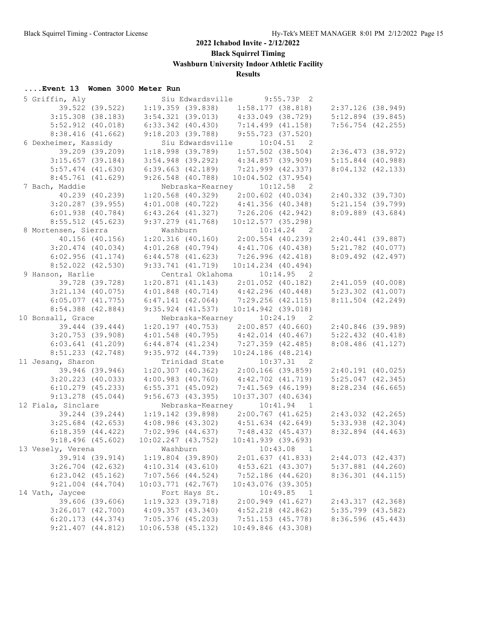**Black Squirrel Timing**

**Washburn University Indoor Athletic Facility**

## **Results**

## **....Event 13 Women 3000 Meter Run**

| 5 Griffin, Aly        |                 |                                     | Siu Edwardsville |                                                             | $9:55.73P$ 2             |                                         |  |
|-----------------------|-----------------|-------------------------------------|------------------|-------------------------------------------------------------|--------------------------|-----------------------------------------|--|
|                       | 39.522 (39.522) | 1:19.359(39.838)                    |                  | 1:58.177(38.818)                                            |                          | 2:37.126 (38.949)                       |  |
| $3:15.308$ (38.183)   |                 |                                     |                  | $3:54.321$ (39.013) $4:33.049$ (38.729)                     |                          | $5:12.894$ (39.845)                     |  |
| $5:52.912$ $(40.018)$ |                 | $6:33.342$ $(40.430)$               |                  | 7:14.499(41.158)                                            |                          | $7:56.754$ (42.255)                     |  |
| 8:38.416(41.662)      |                 | $9:18.203$ (39.788)                 |                  | 9:55.723(37.520)                                            |                          |                                         |  |
| 6 Dexheimer, Kassidy  |                 |                                     |                  | Siu Edwardsville 10:04.51 2                                 |                          |                                         |  |
|                       | 39.209 (39.209) | $1:18.998$ (39.789)                 |                  |                                                             | $1:57.502$ (38.504)      | 2:36.473 (38.972)                       |  |
| $3:15.657$ (39.184)   |                 | $3:54.948$ (39.292)                 |                  | 4:34.857 (39.909)                                           |                          | $5:15.844$ (40.988)                     |  |
| $5:57.474$ $(41.630)$ |                 | $6:39.663$ $(42.189)$               |                  | 7:21.999 (42.337)                                           |                          | 8:04.132(42.133)                        |  |
| $8:45.761$ (41.629)   |                 | $9:26.548$ (40.788)                 |                  | $10:04.502$ (37.954)                                        |                          |                                         |  |
| 7 Bach, Maddie        |                 |                                     |                  | Nebraska-Kearney 10:12.58 2                                 |                          |                                         |  |
|                       | 40.239 (40.239) | $1:20.568$ (40.329)                 |                  | $2:00.602$ (40.034)                                         |                          | 2:40.332 (39.730)                       |  |
| $3:20.287$ (39.955)   |                 |                                     |                  | $4:01.008$ (40.722) $4:41.356$ (40.348)                     |                          | $5:21.154$ (39.799)                     |  |
| $6:01.938$ $(40.784)$ |                 |                                     |                  | $6:43.264$ (41.327) 7:26.206 (42.942)                       |                          | 8:09.889 (43.684)                       |  |
|                       |                 | $9:37.279$ $(41.768)$               |                  |                                                             |                          |                                         |  |
| $8:55.512$ (45.623)   |                 |                                     |                  | $10:12.577$ (35.298)                                        |                          |                                         |  |
| 8 Mortensen, Sierra   |                 | Washburn                            |                  | Washburn 10:14.24 2<br>1:20.316 (40.160) 2:00.554 (40.239)  | $10:14.24$ 2             |                                         |  |
| 40.156 (40.156)       |                 |                                     |                  | $4:01.268$ (40.794) $4:41.706$ (40.438)                     |                          | 2:40.441 (39.887)                       |  |
| $3:20.474$ (40.034)   |                 |                                     |                  |                                                             |                          | $5:21.782$ (40.077)                     |  |
| 6:02.956(41.174)      |                 | $6:44.578$ $(41.623)$               |                  | 7:26.996 (42.418)                                           |                          | $8:09.492$ $(42.497)$                   |  |
| $8:52.022$ $(42.530)$ |                 | 9:33.741(41.719)                    |                  | $10:14.234$ $(40.494)$                                      |                          |                                         |  |
| 9 Hanson, Harlie      |                 |                                     |                  | Central Oklahoma 10:14.95 2                                 |                          |                                         |  |
|                       | 39.728 (39.728) | 1:20.871(41.143)                    |                  | $2:01.052$ (40.182)                                         |                          | 2:41.059(40.008)                        |  |
| $3:21.134$ (40.075)   |                 |                                     |                  | $4:01.848$ (40.714) $4:42.296$ (40.448)                     |                          | $5:23.302$ $(41.007)$                   |  |
| $6:05.077$ $(41.775)$ |                 | $6:47.141$ $(42.064)$               |                  | $7:29.256$ (42.115)                                         |                          | 8:11.504 (42.249)                       |  |
| 8:54.388 (42.884)     |                 | $9:35.924$ (41.537)                 |                  | $10:14.942$ (39.018)                                        |                          |                                         |  |
| 10 Bonsall, Grace     |                 |                                     |                  | Nebraska-Kearney 10:24.19 2                                 |                          |                                         |  |
| 39.444 (39.444)       |                 | $1:20.197$ (40.753)                 |                  | $2:00.857$ (40.660)                                         |                          | 2:40.846 (39.989)                       |  |
| $3:20.753$ (39.908)   |                 |                                     |                  | $4:01.548$ (40.795) $4:42.014$ (40.467)                     |                          | $5:22.432$ $(40.418)$                   |  |
| $6:03.641$ $(41.209)$ |                 | $6:44.874$ $(41.234)$               |                  | 7:27.359 (42.485)                                           |                          | 8:08.486 (41.127)                       |  |
| $8:51.233$ $(42.748)$ |                 |                                     | 9:35.972(44.739) | $10:24.186$ (48.214)                                        |                          |                                         |  |
| 11 Jesang, Sharon     |                 |                                     | Trinidad State   |                                                             | $10:37.31$ 2             |                                         |  |
|                       | 39.946 (39.946) |                                     |                  | $1:20.307$ (40.362) $2:00.166$ (39.859) $2:40.191$ (40.025) |                          |                                         |  |
| $3:20.223$ (40.033)   |                 | $4:00.983$ $(40.760)$               |                  | $4:42.702$ $(41.719)$                                       |                          | $5:25.047$ (42.345)                     |  |
| $6:10.279$ (45.233)   |                 | $6:55.371$ $(45.092)$               |                  | $7:41.569$ (46.199)                                         |                          | 8:28.234 (46.665)                       |  |
| $9:13.278$ (45.044)   |                 | 9:56.673(43.395)                    |                  | $10:37.307$ (40.634)                                        |                          |                                         |  |
| 12 Fiala, Sinclare    |                 |                                     |                  | Nebraska-Kearney 10:41.94 1                                 |                          |                                         |  |
|                       | 39.244 (39.244) | $1:19.142$ (39.898)                 |                  |                                                             |                          | $2:00.767$ (41.625) $2:43.032$ (42.265) |  |
| $3:25.684$ (42.653)   |                 |                                     |                  | $4:08.986$ (43.302) $4:51.634$ (42.649)                     |                          | $5:33.938$ $(42.304)$                   |  |
| 6:18.359(44.422)      |                 | 7:02.996 (44.637) 7:48.432 (45.437) |                  |                                                             |                          | 8:32.894 (44.463)                       |  |
| 9:18.496(45.602)      |                 |                                     |                  | 10:02.247 (43.752) 10:41.939 (39.693)                       |                          |                                         |  |
| 13 Vesely, Verena     |                 |                                     |                  | Washburn 10:43.08 1                                         |                          |                                         |  |
|                       | 39.914 (39.914) | $1:19.804$ (39.890)                 |                  | 2:01.637(41.833)                                            |                          | $2:44.073$ (42.437)                     |  |
| $3:26.704$ (42.632)   |                 | $4:10.314$ $(43.610)$               |                  | $4:53.621$ $(43.307)$                                       |                          | $5:37.881$ $(44.260)$                   |  |
| $6:23.042$ $(45.162)$ |                 | $7:07.566$ $(44.524)$               |                  | $7:52.186$ $(44.620)$                                       |                          | 8:36.301 (44.115)                       |  |
| $9:21.004$ $(44.704)$ |                 | $10:03.771$ $(42.767)$              |                  | $10:43.076$ (39.305)                                        |                          |                                         |  |
| 14 Vath, Jaycee       |                 |                                     | Fort Hays St.    |                                                             | 10:49.85<br>$\mathbf{1}$ |                                         |  |
|                       | 39.606 (39.606) | 1:19.323 (39.718)                   |                  | $2:00.949$ $(41.627)$                                       |                          | 2:43.317 (42.368)                       |  |
| $3:26.017$ $(42.700)$ |                 | $4:09.357$ $(43.340)$               |                  | $4:52.218$ $(42.862)$                                       |                          | $5:35.799$ $(43.582)$                   |  |
| 6:20.173(44.374)      |                 | $7:05.376$ (45.203)                 |                  | $7:51.153$ (45.778)                                         |                          | 8:36.596(45.443)                        |  |
| $9:21.407$ $(44.812)$ |                 | $10:06.538$ (45.132)                |                  | 10:49.846 (43.308)                                          |                          |                                         |  |
|                       |                 |                                     |                  |                                                             |                          |                                         |  |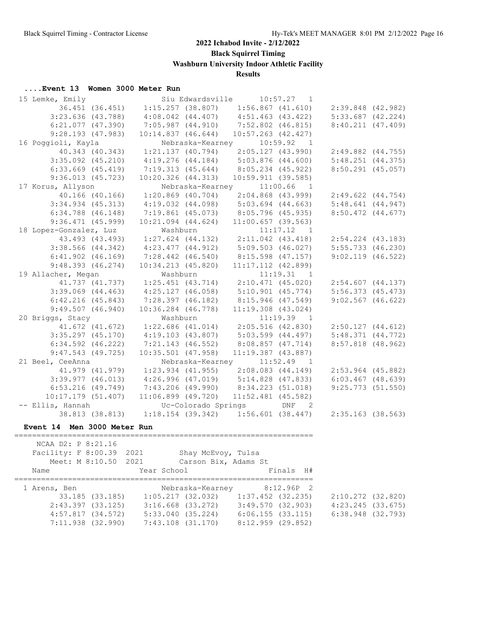**Black Squirrel Timing**

**Washburn University Indoor Athletic Facility**

## **Results**

#### **....Event 13 Women 3000 Meter Run**

| 15 Lemke, Emily                             |                                                     | Siu Edwardsville 10:57.27 1                                 |                       |  |
|---------------------------------------------|-----------------------------------------------------|-------------------------------------------------------------|-----------------------|--|
| 36.451 (36.451)                             |                                                     | $1:15.257$ (38.807) $1:56.867$ (41.610) $2:39.848$ (42.982) |                       |  |
| $3:23.636$ (43.788)                         |                                                     | $4:08.042$ (44.407) $4:51.463$ (43.422)                     | $5:33.687$ $(42.224)$ |  |
| $6:21.077$ $(47.390)$                       | 7:05.987(44.910)                                    | 7:52.802 (46.815)                                           | 8:40.211(47.409)      |  |
| 9:28.193(47.983)                            | $10:14.837$ $(46.644)$                              | $10:57.263$ $(42.427)$                                      |                       |  |
| 16 Poggioli, Kayla                          | Nebraska-Kearney                                    | 10:59.92 1                                                  |                       |  |
| 40.343 (40.343)                             | 1:21.137 (40.794)                                   | 2:05.127(43.990)                                            | 2:49.882 (44.755)     |  |
| $3:35.092$ $(45.210)$                       | $4:19.276$ $(44.184)$                               | 5:03.876 (44.600)                                           | 5:48.251(44.375)      |  |
| $6:33.669$ $(45.419)$                       | 7:19.313(45.644)                                    | 8:05.234 (45.922)                                           | $8:50.291$ (45.057)   |  |
| $9:36.013$ (45.723)                         | $10:20.326$ $(44.313)$                              | 10:59.911(39.585)                                           |                       |  |
| 17 Korus, Allyson                           |                                                     | Nebraska-Kearney 11:00.66 1                                 |                       |  |
| $40.166$ $(40.166)$                         | $1:20.869$ (40.704)                                 | $2:04.868$ (43.999)                                         | $2:49.622$ $(44.754)$ |  |
| $3:34.934$ (45.313)                         | $4:19.032$ (44.098) $5:03.694$ (44.663)             |                                                             | 5:48.641(44.947)      |  |
| $6:34.788$ $(46.148)$                       | 7:19.861 (45.073) 8:05.796 (45.935)                 |                                                             | $8:50.472$ $(44.677)$ |  |
| $9:36.471$ (45.999)                         | $10:21.094$ $(44.624)$                              | $11:00.657$ (39.563)                                        |                       |  |
| 18 Lopez-Gonzalez, Luz                      | Washburn                                            | $11:17.12$ 1                                                |                       |  |
| 43.493 (43.493)                             |                                                     | 1:1.1.1.2 1<br>1:27.624 (44.132) 2:11.042 (43.418)          | $2:54.224$ (43.183)   |  |
| $3:38.566$ (44.342)                         | $4:23.477$ $(44.912)$                               | 5:09.503(46.027)                                            | $5:55.733$ (46.230)   |  |
| $6:41.902$ $(46.169)$                       | $7:28.442$ $(46.540)$                               | $8:15.598$ (47.157)                                         | $9:02.119$ (46.522)   |  |
| 9:48.393(46.274)                            | $10:34.213$ $(45.820)$                              | $11:17.112$ $(42.899)$                                      |                       |  |
| 19 Allacher, Megan                          | Washburn                                            | 11:19.31 1                                                  |                       |  |
| 41.737 (41.737)                             |                                                     | $1:25.451$ (43.714) $2:10.471$ (45.020)                     | 2:54.607 (44.137)     |  |
| $3:39.069$ $(44.463)$                       | 4:25.127(46.058)                                    | 5:10.901(45.774)                                            | $5:56.373$ $(45.473)$ |  |
| $6:42.216$ $(45.843)$                       | $7:28.397$ (46.182) 8:15.946 (47.549)               |                                                             | $9:02.567$ (46.622)   |  |
| 9:49.507(46.940)                            | $10:36.284$ $(46.778)$                              | $11:19.308$ (43.024)                                        |                       |  |
| 20 Briggs, Stacy                            | Washburn                                            | $11:19.39$ 1                                                |                       |  |
| 41.672 (41.672)                             | $1:22.686$ (41.014) $2:05.516$ (42.830)             |                                                             | 2:50.127(44.612)      |  |
| $3:35.297$ (45.170)                         | 4:19.103 (43.807) 5:03.599 (44.497)                 |                                                             | 5:48.371(44.772)      |  |
| $6:34.592$ $(46.222)$                       | 7:21.143 (46.552)                                   | 8:08.857 (47.714)                                           | 8:57.818 (48.962)     |  |
| $9:47.543$ (49.725)                         | $10:35.501$ (47.958)                                | $11:19.387$ (43.887)                                        |                       |  |
| 21 Beel, CeeAnna                            |                                                     | Nebraska-Kearney 11:52.49 1                                 |                       |  |
| 41.979 (41.979)                             | $1:23.934$ (41.955) $2:08.083$ (44.149)             |                                                             | $2:53.964$ (45.882)   |  |
| $3:39.977$ $(46.013)$                       | $4:26.996$ (47.019) $5:14.828$ (47.833)             |                                                             | $6:03.467$ $(48.639)$ |  |
| $6:53.216$ $(49.749)$                       | 7:43.206 (49.990) 8:34.223 (51.018)                 |                                                             | 9:25.773 (51.550)     |  |
| $10:17.179$ (51.407)                        | $11:06.899$ (49.720)                                | $11:52.481$ (45.582)                                        |                       |  |
| -- Ellis, Hannah                            | Uc-Colorado Springs                                 | DNF<br>$\overline{2}$                                       |                       |  |
|                                             | 38.813 (38.813) 1:18.154 (39.342) 1:56.601 (38.447) |                                                             | 2:35.163 (38.563)     |  |
|                                             |                                                     |                                                             |                       |  |
| Event 14 Men 3000 Meter Run                 |                                                     |                                                             |                       |  |
| NCAA D2: P 8:21.16                          |                                                     |                                                             |                       |  |
| Facility: F 8:00.39 2021 Shay McEvoy, Tulsa |                                                     |                                                             |                       |  |
| Meet: M 8:10.50 2021                        | Carson Bix, Adams St                                |                                                             |                       |  |
| Name                                        | Year School                                         | Finals H#                                                   |                       |  |
|                                             |                                                     |                                                             |                       |  |
| 1 Arens, Ben                                |                                                     | Nebraska-Kearney 8:12.96P 2                                 |                       |  |
| 33.185 (33.185)                             |                                                     | $1:05.217$ (32.032) $1:37.452$ (32.235)                     | $2:10.272$ (32.820)   |  |
| $2:43.397$ (33.125)                         |                                                     | $3:16.668$ (33.272) $3:49.570$ (32.903)                     | $4:23.245$ (33.675)   |  |
| $4:57.817$ (34.572)                         |                                                     | $5:33.040$ (35.224) 6:06.155 (33.115)                       | $6:38.948$ $(32.793)$ |  |
| 7:11.938 (32.990)                           | $7:43.108$ $(31.170)$                               | 8:12.959 (29.852)                                           |                       |  |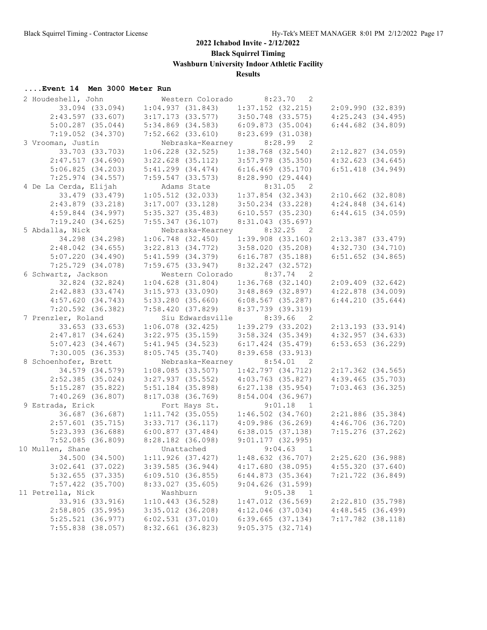**Black Squirrel Timing**

**Washburn University Indoor Athletic Facility**

## **Results**

| 2 Houdeshell, John    |                       | Western Colorado | 8:23.70                                 | $\overline{2}$             |                       |
|-----------------------|-----------------------|------------------|-----------------------------------------|----------------------------|-----------------------|
| 33.094 (33.094)       | 1:04.937(31.843)      |                  | $1:37.152$ (32.215) $2:09.990$ (32.839) |                            |                       |
| $2:43.597$ (33.607)   | $3:17.173$ $(33.577)$ |                  | 3:50.748 (33.575)                       | 4:25.243(34.495)           |                       |
| $5:00.287$ $(35.044)$ | $5:34.869$ $(34.583)$ |                  | 6:09.873(35.004)                        | $6:44.682$ $(34.809)$      |                       |
| $7:19.052$ $(34.370)$ | $7:52.662$ $(33.610)$ |                  | $8:23.699$ $(31.038)$                   |                            |                       |
| 3 Vrooman, Justin     |                       |                  | Nebraska-Kearney 8:28.99 2              |                            |                       |
| 33.703 (33.703)       | $1:06.228$ $(32.525)$ |                  | $1:38.768$ $(32.540)$                   |                            | 2:12.827(34.059)      |
| 2:47.517(34.690)      | $3:22.628$ $(35.112)$ |                  | 3:57.978 (35.350)                       | 4:32.623(34.645)           |                       |
| 5:06.825(34.203)      | $5:41.299$ $(34.474)$ |                  | $6:16.469$ $(35.170)$                   | $6:51.418$ $(34.949)$      |                       |
| $7:25.974$ (34.557)   | 7:59.547(33.573)      |                  | 8:28.990(29.444)                        |                            |                       |
| 4 De La Cerda, Elijah | Adams State           |                  | $8:31.05$ 2                             |                            |                       |
| 33.479 (33.479)       |                       |                  | $1:05.512$ (32.033) $1:37.854$ (32.343) | $2:10.662$ (32.808)        |                       |
| $2:43.879$ (33.218)   |                       |                  | $3:17.007$ (33.128) $3:50.234$ (33.228) | $4:24.848$ $(34.614)$      |                       |
| $4:59.844$ $(34.997)$ |                       |                  | 6:10.557(35.230)                        | 6:44.615(34.059)           |                       |
|                       | 5:35.327 (35.483)     |                  |                                         |                            |                       |
| 7:19.240(34.625)      | $7:55.347$ (36.107)   |                  | 8:31.043 (35.697)                       |                            |                       |
| 5 Abdalla, Nick       |                       |                  | Nebraska-Kearney 8:32.25 2              |                            |                       |
| 34.298 (34.298)       |                       |                  | $1:06.748$ (32.450) $1:39.908$ (33.160) |                            | 2:13.387 (33.479)     |
| $2:48.042$ (34.655)   |                       |                  | $3:22.813$ (34.772) $3:58.020$ (35.208) | 4:32.730(34.710)           |                       |
| 5:07.220(34.490)      | $5:41.599$ $(34.379)$ |                  | 6:16.787 (35.188)                       |                            | $6:51.652$ $(34.865)$ |
| $7:25.729$ $(34.078)$ | 7:59.675(33.947)      |                  | 8:32.247 (32.572)                       |                            |                       |
| 6 Schwartz, Jackson   |                       | Western Colorado | $8:37.74$ 2                             |                            |                       |
| 32.824 (32.824)       | $1:04.628$ (31.804)   |                  | $1:36.768$ $(32.140)$                   | 2:09.409(32.642)           |                       |
| $2:42.883$ $(33.474)$ | $3:15.973$ (33.090)   |                  | $3:48.869$ $(32.897)$                   | $4:22.878$ $(34.009)$      |                       |
| 4:57.620(34.743)      | $5:33.280$ (35.660)   |                  | $6:08.567$ (35.287)                     |                            | 6:44.210(35.644)      |
| $7:20.592$ (36.382)   | 7:58.420(37.829)      |                  | 8:37.739 (39.319)                       |                            |                       |
| 7 Prenzler, Roland    |                       |                  | Siu Edwardsville 8:39.66                | $\overline{\phantom{0}}^2$ |                       |
| 33.653 (33.653)       | $1:06.078$ (32.425)   |                  | $1:39.279$ $(33.202)$                   | 2:13.193(33.914)           |                       |
| 2:47.817(34.624)      | $3:22.975$ $(35.159)$ |                  | $3:58.324$ (35.349)                     | 4:32.957(34.633)           |                       |
| $5:07.423$ (34.467)   | 5:41.945(34.523)      |                  | $6:17.424$ $(35.479)$                   | $6:53.653$ (36.229)        |                       |
| $7:30.005$ (36.353)   | $8:05.745$ (35.740)   |                  | $8:39.658$ (33.913)                     |                            |                       |
| 8 Schoenhofer, Brett  |                       |                  | Nebraska-Kearney 8:54.01 2              |                            |                       |
| 34.579 (34.579)       | $1:08.085$ (33.507)   |                  | 1:42.797(34.712)                        |                            | $2:17.362$ (34.565)   |
| $2:52.385$ (35.024)   | $3:27.937$ (35.552)   |                  | 4:03.763 (35.827)                       | 4:39.465(35.703)           |                       |
| $5:15.287$ (35.822)   | $5:51.184$ (35.898)   |                  | $6:27.138$ (35.954)                     |                            | $7:03.463$ (36.325)   |
| $7:40.269$ (36.807)   | $8:17.038$ $(36.769)$ |                  | 8:54.004 (36.967)                       |                            |                       |
| 9 Estrada, Erick      | Fort Hays St.         |                  | $9:01.18$ 1                             |                            |                       |
| 36.687 (36.687)       | $1:11.742$ (35.055)   |                  | $1:46.502$ $(34.760)$                   | 2:21.886 (35.384)          |                       |
| $2:57.601$ (35.715)   | 3:33.717(36.117)      |                  | 4:09.986(36.269)                        | $4:46.706$ (36.720)        |                       |
| $5:23.393$ (36.688)   | 6:00.877(37.484)      |                  | 6:38.015(37.138)                        |                            | $7:15.276$ (37.262)   |
| $7:52.085$ (36.809)   | 8:28.182 (36.098)     |                  | 9:01.177(32.995)                        |                            |                       |
| 10 Mullen, Shane      |                       | Unattached       | 9:04.63 1                               |                            |                       |
| 34.500 (34.500)       | 1:11.926(37.427)      |                  | $1:48.632$ (36.707)                     |                            | 2:25.620 (36.988)     |
| $3:02.641$ (37.022)   | $3:39.585$ (36.944)   |                  | 4:17.680(38.095)                        |                            | 4:55.320(37.640)      |
| $5:32.655$ (37.335)   | 6:09.510(36.855)      |                  | 6:44.873(35.364)                        |                            | 7:21.722 (36.849)     |
| $7:57.422$ (35.700)   | $8:33.027$ (35.605)   |                  | $9:04.626$ (31.599)                     |                            |                       |
| 11 Petrella, Nick     | Washburn              |                  | 9:05.38                                 | $\mathbf{1}$               |                       |
| 33.916 (33.916)       | $1:10.443$ (36.528)   |                  | $1:47.012$ (36.569)                     |                            | 2:22.810 (35.798)     |
| $2:58.805$ (35.995)   | $3:35.012$ (36.208)   |                  | $4:12.046$ (37.034)                     |                            | 4:48.545(36.499)      |
| $5:25.521$ (36.977)   | $6:02.531$ $(37.010)$ |                  | $6:39.665$ $(37.134)$                   |                            | $7:17.782$ (38.118)   |
|                       |                       |                  |                                         |                            |                       |
| $7:55.838$ (38.057)   | 8:32.661 (36.823)     |                  | $9:05.375$ (32.714)                     |                            |                       |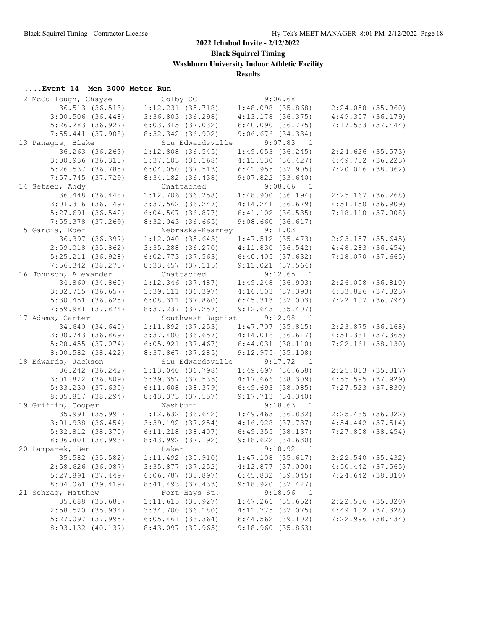**Black Squirrel Timing**

**Washburn University Indoor Athletic Facility**

## **Results**

| 12 McCullough, Chayse | Colby CC                  | 9:06.68<br>1              |                       |
|-----------------------|---------------------------|---------------------------|-----------------------|
| 36.513 (36.513)       | $1:12.231$ (35.718)       | $1:48.098$ (35.868)       | 2:24.058 (35.960)     |
| $3:00.506$ $(36.448)$ | $3:36.803$ (36.298)       | $4:13.178$ (36.375)       | $4:49.357$ $(36.179)$ |
| $5:26.283$ (36.927)   | 6:03.315(37.032)          | 6:40.090(36.775)          | 7:17.533(37.444)      |
| $7:55.441$ (37.908)   | $8:32.342$ (36.902)       | $9:06.676$ $(34.334)$     |                       |
| 13 Panagos, Blake     | Siu Edwardsville          | 9:07.83 1                 |                       |
| 36.263 (36.263)       | $1:12.808$ (36.545)       | 1:49.053(36.245)          | $2:24.626$ (35.573)   |
| 3:00.936(36.310)      | $3:37.103$ (36.168)       | 4:13.530(36.427)          | $4:49.752$ (36.223)   |
| 5:26.537(36.785)      | 6:04.050(37.513)          | 6:41.955(37.905)          | $7:20.016$ (38.062)   |
| $7:57.745$ (37.729)   | 8:34.182 (36.438)         | $9:07.822$ $(33.640)$     |                       |
| 14 Setser, Andy       | Unattached                | $9:08.66$ 1               |                       |
| 36.448 (36.448)       | $1:12.706$ (36.258)       | 1:48.900(36.194)          | $2:25.167$ (36.268)   |
| $3:01.316$ (36.149)   | $3:37.562$ (36.247)       | 4:14.241(36.679)          | 4:51.150(36.909)      |
| $5:27.691$ (36.542)   | $6:04.567$ $(36.877)$     | $6:41.102$ $(36.535)$     | 7:18.110(37.008)      |
| $7:55.378$ (37.269)   | $8:32.043$ (36.665)       | 9:08.660(36.617)          |                       |
| 15 Garcia, Eder       | Nebraska-Kearney          | 9:11.03                   |                       |
| 36.397 (36.397)       |                           | $\overline{1}$            |                       |
|                       | 1:12.040(35.643)          | $1:47.512$ (35.473)       | $2:23.157$ (35.645)   |
| $2:59.018$ (35.862)   | $3:35.288$ (36.270)       | 4:11.830(36.542)          | $4:48.283$ $(36.454)$ |
| 5:25.211(36.928)      | $6:02.773$ $(37.563)$     | 6:40.405(37.632)          | 7:18.070(37.665)      |
| $7:56.342$ (38.273)   | $8:33.457$ (37.115)       | 9:11.021(37.564)          |                       |
| 16 Johnson, Alexander | Unattached                | 9:12.65<br>$\overline{1}$ |                       |
| 34.860 (34.860)       | $1:12.346$ (37.487)       | $1:49.248$ (36.903)       | $2:26.058$ $(36.810)$ |
| 3:02.715(36.657)      | 3:39.111(36.397)          | 4:16.503(37.393)          | $4:53.826$ (37.323)   |
| $5:30.451$ (36.625)   | 6:08.311(37.860)          | 6:45.313(37.003)          | $7:22.107$ (36.794)   |
| $7:59.981$ (37.874)   | 8:37.237(37.257)          | 9:12.643(35.407)          |                       |
| 17 Adams, Carter      | Southwest Baptist 9:12.98 | $\overline{1}$            |                       |
| 34.640 (34.640)       | $1:11.892$ (37.253)       | $1:47.707$ (35.815)       | $2:23.875$ (36.168)   |
| $3:00.743$ (36.869)   | $3:37.400$ (36.657)       | 4:14.016(36.617)          | $4:51.381$ (37.365)   |
| $5:28.455$ (37.074)   | 6:05.921(37.467)          | 6:44.031(38.110)          | $7:22.161$ (38.130)   |
| $8:00.582$ (38.422)   | $8:37.867$ (37.285)       | 9:12.975(35.108)          |                       |
| 18 Edwards, Jackson   | Siu Edwardsville          | 9:17.72<br>$\overline{1}$ |                       |
|                       |                           |                           |                       |
| 36.242 (36.242)       | 1:13.040(36.798)          | 1:49.697(36.658)          | 2:25.013(35.317)      |
| $3:01.822$ (36.809)   | $3:39.357$ (37.535)       | $4:17.666$ (38.309)       | $4:55.595$ (37.929)   |
| 5:33.230(37.635)      | $6:11.608$ $(38.379)$     | $6:49.693$ $(38.085)$     | 7:27.523 (37.830)     |
| 8:05.817(38.294)      | 8:43.373 (37.557)         | 9:17.713(34.340)          |                       |
| 19 Griffin, Cooper    | Washburn                  | 9:18.63 1                 |                       |
| 35.991 (35.991)       | $1:12.632$ (36.642)       | $1:49.463$ (36.832)       | 2:25.485(36.022)      |
| $3:01.938$ (36.454)   | $3:39.192$ (37.254)       | 4:16.928(37.737)          | $4:54.442$ $(37.514)$ |
| $5:32.812$ $(38.370)$ | $6:11.218$ $(38.407)$     | 6:49.355(38.137)          | $7:27.808$ (38.454)   |
| $8:06.801$ (38.993)   | 8:43.992 (37.192)         | 9:18.622(34.630)          |                       |
| 20 Lamparek, Ben      | Baker                     | 9:18.92<br>$\overline{1}$ |                       |
| 35.582 (35.582)       | $1:11.492$ $(35.910)$     | $1:47.108$ $(35.617)$     | 2:22.540 (35.432)     |
| 2:58.626 (36.087)     | $3:35.877$ (37.252)       | $4:12.877$ (37.000)       | $4:50.442$ (37.565)   |
| $5:27.891$ (37.449)   | $6:06.787$ (38.897)       | $6:45.832$ (39.045)       | $7:24.642$ (38.810)   |
| $8:04.061$ (39.419)   | 8:41.493(37.433)          | 9:18.920(37.427)          |                       |
| 21 Schrag, Matthew    | Fort Hays St.             | 9:18.96<br>$\mathbf{1}$   |                       |
| 35.688 (35.688)       | 1:11.615(35.927)          | $1:47.266$ (35.652)       | $2:22.586$ (35.320)   |
| 2:58.520(35.934)      | $3:34.700$ $(36.180)$     | $4:11.775$ (37.075)       | $4:49.102$ $(37.328)$ |
| $5:27.097$ $(37.995)$ | $6:05.461$ (38.364)       | $6:44.562$ (39.102)       | 7:22.996(38.434)      |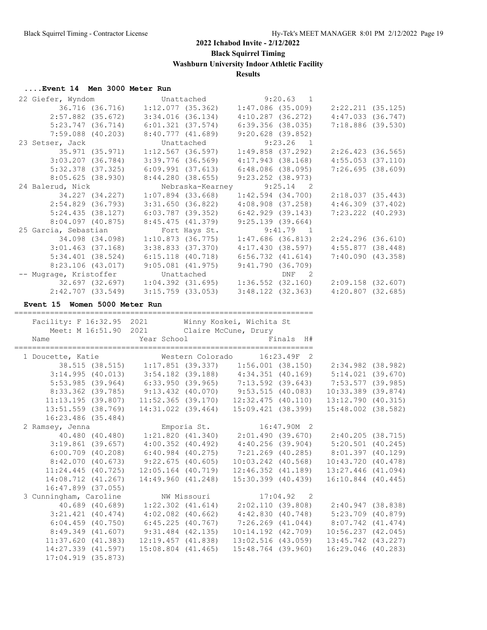**Black Squirrel Timing**

**Washburn University Indoor Athletic Facility**

## **Results**

|                                                                                                                                                    | Unattached                                                                                                                                                                                                                                                                                                                                                                                                                                                                       |                                                                                                                                                                                                                                                                                                                                                                   | 9:20.63 1                                                                                                |                                                                                                                                                                                                                                                                                                                                                                                                                                                                                                                                                                                                                                                                |                                                                                                                                                                                                                                                                                                                                                                                                                                                                                                                                                                                                                                                                                                                                                 |
|----------------------------------------------------------------------------------------------------------------------------------------------------|----------------------------------------------------------------------------------------------------------------------------------------------------------------------------------------------------------------------------------------------------------------------------------------------------------------------------------------------------------------------------------------------------------------------------------------------------------------------------------|-------------------------------------------------------------------------------------------------------------------------------------------------------------------------------------------------------------------------------------------------------------------------------------------------------------------------------------------------------------------|----------------------------------------------------------------------------------------------------------|----------------------------------------------------------------------------------------------------------------------------------------------------------------------------------------------------------------------------------------------------------------------------------------------------------------------------------------------------------------------------------------------------------------------------------------------------------------------------------------------------------------------------------------------------------------------------------------------------------------------------------------------------------------|-------------------------------------------------------------------------------------------------------------------------------------------------------------------------------------------------------------------------------------------------------------------------------------------------------------------------------------------------------------------------------------------------------------------------------------------------------------------------------------------------------------------------------------------------------------------------------------------------------------------------------------------------------------------------------------------------------------------------------------------------|
|                                                                                                                                                    |                                                                                                                                                                                                                                                                                                                                                                                                                                                                                  |                                                                                                                                                                                                                                                                                                                                                                   |                                                                                                          |                                                                                                                                                                                                                                                                                                                                                                                                                                                                                                                                                                                                                                                                |                                                                                                                                                                                                                                                                                                                                                                                                                                                                                                                                                                                                                                                                                                                                                 |
|                                                                                                                                                    |                                                                                                                                                                                                                                                                                                                                                                                                                                                                                  |                                                                                                                                                                                                                                                                                                                                                                   |                                                                                                          |                                                                                                                                                                                                                                                                                                                                                                                                                                                                                                                                                                                                                                                                |                                                                                                                                                                                                                                                                                                                                                                                                                                                                                                                                                                                                                                                                                                                                                 |
|                                                                                                                                                    |                                                                                                                                                                                                                                                                                                                                                                                                                                                                                  |                                                                                                                                                                                                                                                                                                                                                                   |                                                                                                          |                                                                                                                                                                                                                                                                                                                                                                                                                                                                                                                                                                                                                                                                |                                                                                                                                                                                                                                                                                                                                                                                                                                                                                                                                                                                                                                                                                                                                                 |
|                                                                                                                                                    |                                                                                                                                                                                                                                                                                                                                                                                                                                                                                  |                                                                                                                                                                                                                                                                                                                                                                   |                                                                                                          |                                                                                                                                                                                                                                                                                                                                                                                                                                                                                                                                                                                                                                                                |                                                                                                                                                                                                                                                                                                                                                                                                                                                                                                                                                                                                                                                                                                                                                 |
|                                                                                                                                                    |                                                                                                                                                                                                                                                                                                                                                                                                                                                                                  |                                                                                                                                                                                                                                                                                                                                                                   | $\sim$ 1                                                                                                 |                                                                                                                                                                                                                                                                                                                                                                                                                                                                                                                                                                                                                                                                |                                                                                                                                                                                                                                                                                                                                                                                                                                                                                                                                                                                                                                                                                                                                                 |
|                                                                                                                                                    |                                                                                                                                                                                                                                                                                                                                                                                                                                                                                  |                                                                                                                                                                                                                                                                                                                                                                   |                                                                                                          |                                                                                                                                                                                                                                                                                                                                                                                                                                                                                                                                                                                                                                                                |                                                                                                                                                                                                                                                                                                                                                                                                                                                                                                                                                                                                                                                                                                                                                 |
|                                                                                                                                                    |                                                                                                                                                                                                                                                                                                                                                                                                                                                                                  |                                                                                                                                                                                                                                                                                                                                                                   |                                                                                                          |                                                                                                                                                                                                                                                                                                                                                                                                                                                                                                                                                                                                                                                                |                                                                                                                                                                                                                                                                                                                                                                                                                                                                                                                                                                                                                                                                                                                                                 |
|                                                                                                                                                    |                                                                                                                                                                                                                                                                                                                                                                                                                                                                                  |                                                                                                                                                                                                                                                                                                                                                                   |                                                                                                          |                                                                                                                                                                                                                                                                                                                                                                                                                                                                                                                                                                                                                                                                |                                                                                                                                                                                                                                                                                                                                                                                                                                                                                                                                                                                                                                                                                                                                                 |
|                                                                                                                                                    |                                                                                                                                                                                                                                                                                                                                                                                                                                                                                  |                                                                                                                                                                                                                                                                                                                                                                   |                                                                                                          |                                                                                                                                                                                                                                                                                                                                                                                                                                                                                                                                                                                                                                                                |                                                                                                                                                                                                                                                                                                                                                                                                                                                                                                                                                                                                                                                                                                                                                 |
|                                                                                                                                                    |                                                                                                                                                                                                                                                                                                                                                                                                                                                                                  |                                                                                                                                                                                                                                                                                                                                                                   | $\overline{2}$                                                                                           |                                                                                                                                                                                                                                                                                                                                                                                                                                                                                                                                                                                                                                                                |                                                                                                                                                                                                                                                                                                                                                                                                                                                                                                                                                                                                                                                                                                                                                 |
|                                                                                                                                                    |                                                                                                                                                                                                                                                                                                                                                                                                                                                                                  |                                                                                                                                                                                                                                                                                                                                                                   |                                                                                                          |                                                                                                                                                                                                                                                                                                                                                                                                                                                                                                                                                                                                                                                                |                                                                                                                                                                                                                                                                                                                                                                                                                                                                                                                                                                                                                                                                                                                                                 |
|                                                                                                                                                    |                                                                                                                                                                                                                                                                                                                                                                                                                                                                                  |                                                                                                                                                                                                                                                                                                                                                                   |                                                                                                          |                                                                                                                                                                                                                                                                                                                                                                                                                                                                                                                                                                                                                                                                |                                                                                                                                                                                                                                                                                                                                                                                                                                                                                                                                                                                                                                                                                                                                                 |
|                                                                                                                                                    |                                                                                                                                                                                                                                                                                                                                                                                                                                                                                  |                                                                                                                                                                                                                                                                                                                                                                   |                                                                                                          |                                                                                                                                                                                                                                                                                                                                                                                                                                                                                                                                                                                                                                                                |                                                                                                                                                                                                                                                                                                                                                                                                                                                                                                                                                                                                                                                                                                                                                 |
|                                                                                                                                                    |                                                                                                                                                                                                                                                                                                                                                                                                                                                                                  |                                                                                                                                                                                                                                                                                                                                                                   |                                                                                                          |                                                                                                                                                                                                                                                                                                                                                                                                                                                                                                                                                                                                                                                                |                                                                                                                                                                                                                                                                                                                                                                                                                                                                                                                                                                                                                                                                                                                                                 |
|                                                                                                                                                    |                                                                                                                                                                                                                                                                                                                                                                                                                                                                                  |                                                                                                                                                                                                                                                                                                                                                                   |                                                                                                          |                                                                                                                                                                                                                                                                                                                                                                                                                                                                                                                                                                                                                                                                |                                                                                                                                                                                                                                                                                                                                                                                                                                                                                                                                                                                                                                                                                                                                                 |
|                                                                                                                                                    |                                                                                                                                                                                                                                                                                                                                                                                                                                                                                  |                                                                                                                                                                                                                                                                                                                                                                   |                                                                                                          |                                                                                                                                                                                                                                                                                                                                                                                                                                                                                                                                                                                                                                                                |                                                                                                                                                                                                                                                                                                                                                                                                                                                                                                                                                                                                                                                                                                                                                 |
|                                                                                                                                                    |                                                                                                                                                                                                                                                                                                                                                                                                                                                                                  |                                                                                                                                                                                                                                                                                                                                                                   |                                                                                                          |                                                                                                                                                                                                                                                                                                                                                                                                                                                                                                                                                                                                                                                                |                                                                                                                                                                                                                                                                                                                                                                                                                                                                                                                                                                                                                                                                                                                                                 |
|                                                                                                                                                    |                                                                                                                                                                                                                                                                                                                                                                                                                                                                                  |                                                                                                                                                                                                                                                                                                                                                                   |                                                                                                          |                                                                                                                                                                                                                                                                                                                                                                                                                                                                                                                                                                                                                                                                |                                                                                                                                                                                                                                                                                                                                                                                                                                                                                                                                                                                                                                                                                                                                                 |
|                                                                                                                                                    |                                                                                                                                                                                                                                                                                                                                                                                                                                                                                  |                                                                                                                                                                                                                                                                                                                                                                   |                                                                                                          |                                                                                                                                                                                                                                                                                                                                                                                                                                                                                                                                                                                                                                                                |                                                                                                                                                                                                                                                                                                                                                                                                                                                                                                                                                                                                                                                                                                                                                 |
|                                                                                                                                                    |                                                                                                                                                                                                                                                                                                                                                                                                                                                                                  |                                                                                                                                                                                                                                                                                                                                                                   |                                                                                                          |                                                                                                                                                                                                                                                                                                                                                                                                                                                                                                                                                                                                                                                                |                                                                                                                                                                                                                                                                                                                                                                                                                                                                                                                                                                                                                                                                                                                                                 |
|                                                                                                                                                    |                                                                                                                                                                                                                                                                                                                                                                                                                                                                                  |                                                                                                                                                                                                                                                                                                                                                                   |                                                                                                          |                                                                                                                                                                                                                                                                                                                                                                                                                                                                                                                                                                                                                                                                |                                                                                                                                                                                                                                                                                                                                                                                                                                                                                                                                                                                                                                                                                                                                                 |
|                                                                                                                                                    |                                                                                                                                                                                                                                                                                                                                                                                                                                                                                  |                                                                                                                                                                                                                                                                                                                                                                   |                                                                                                          |                                                                                                                                                                                                                                                                                                                                                                                                                                                                                                                                                                                                                                                                |                                                                                                                                                                                                                                                                                                                                                                                                                                                                                                                                                                                                                                                                                                                                                 |
|                                                                                                                                                    |                                                                                                                                                                                                                                                                                                                                                                                                                                                                                  |                                                                                                                                                                                                                                                                                                                                                                   |                                                                                                          |                                                                                                                                                                                                                                                                                                                                                                                                                                                                                                                                                                                                                                                                |                                                                                                                                                                                                                                                                                                                                                                                                                                                                                                                                                                                                                                                                                                                                                 |
|                                                                                                                                                    |                                                                                                                                                                                                                                                                                                                                                                                                                                                                                  |                                                                                                                                                                                                                                                                                                                                                                   |                                                                                                          |                                                                                                                                                                                                                                                                                                                                                                                                                                                                                                                                                                                                                                                                |                                                                                                                                                                                                                                                                                                                                                                                                                                                                                                                                                                                                                                                                                                                                                 |
|                                                                                                                                                    |                                                                                                                                                                                                                                                                                                                                                                                                                                                                                  |                                                                                                                                                                                                                                                                                                                                                                   |                                                                                                          |                                                                                                                                                                                                                                                                                                                                                                                                                                                                                                                                                                                                                                                                |                                                                                                                                                                                                                                                                                                                                                                                                                                                                                                                                                                                                                                                                                                                                                 |
|                                                                                                                                                    |                                                                                                                                                                                                                                                                                                                                                                                                                                                                                  |                                                                                                                                                                                                                                                                                                                                                                   |                                                                                                          |                                                                                                                                                                                                                                                                                                                                                                                                                                                                                                                                                                                                                                                                |                                                                                                                                                                                                                                                                                                                                                                                                                                                                                                                                                                                                                                                                                                                                                 |
|                                                                                                                                                    |                                                                                                                                                                                                                                                                                                                                                                                                                                                                                  |                                                                                                                                                                                                                                                                                                                                                                   |                                                                                                          |                                                                                                                                                                                                                                                                                                                                                                                                                                                                                                                                                                                                                                                                |                                                                                                                                                                                                                                                                                                                                                                                                                                                                                                                                                                                                                                                                                                                                                 |
|                                                                                                                                                    |                                                                                                                                                                                                                                                                                                                                                                                                                                                                                  |                                                                                                                                                                                                                                                                                                                                                                   |                                                                                                          |                                                                                                                                                                                                                                                                                                                                                                                                                                                                                                                                                                                                                                                                |                                                                                                                                                                                                                                                                                                                                                                                                                                                                                                                                                                                                                                                                                                                                                 |
|                                                                                                                                                    |                                                                                                                                                                                                                                                                                                                                                                                                                                                                                  |                                                                                                                                                                                                                                                                                                                                                                   |                                                                                                          |                                                                                                                                                                                                                                                                                                                                                                                                                                                                                                                                                                                                                                                                |                                                                                                                                                                                                                                                                                                                                                                                                                                                                                                                                                                                                                                                                                                                                                 |
|                                                                                                                                                    |                                                                                                                                                                                                                                                                                                                                                                                                                                                                                  |                                                                                                                                                                                                                                                                                                                                                                   |                                                                                                          |                                                                                                                                                                                                                                                                                                                                                                                                                                                                                                                                                                                                                                                                |                                                                                                                                                                                                                                                                                                                                                                                                                                                                                                                                                                                                                                                                                                                                                 |
|                                                                                                                                                    |                                                                                                                                                                                                                                                                                                                                                                                                                                                                                  |                                                                                                                                                                                                                                                                                                                                                                   |                                                                                                          |                                                                                                                                                                                                                                                                                                                                                                                                                                                                                                                                                                                                                                                                |                                                                                                                                                                                                                                                                                                                                                                                                                                                                                                                                                                                                                                                                                                                                                 |
|                                                                                                                                                    |                                                                                                                                                                                                                                                                                                                                                                                                                                                                                  |                                                                                                                                                                                                                                                                                                                                                                   |                                                                                                          |                                                                                                                                                                                                                                                                                                                                                                                                                                                                                                                                                                                                                                                                |                                                                                                                                                                                                                                                                                                                                                                                                                                                                                                                                                                                                                                                                                                                                                 |
|                                                                                                                                                    |                                                                                                                                                                                                                                                                                                                                                                                                                                                                                  |                                                                                                                                                                                                                                                                                                                                                                   |                                                                                                          |                                                                                                                                                                                                                                                                                                                                                                                                                                                                                                                                                                                                                                                                |                                                                                                                                                                                                                                                                                                                                                                                                                                                                                                                                                                                                                                                                                                                                                 |
|                                                                                                                                                    |                                                                                                                                                                                                                                                                                                                                                                                                                                                                                  |                                                                                                                                                                                                                                                                                                                                                                   |                                                                                                          |                                                                                                                                                                                                                                                                                                                                                                                                                                                                                                                                                                                                                                                                |                                                                                                                                                                                                                                                                                                                                                                                                                                                                                                                                                                                                                                                                                                                                                 |
|                                                                                                                                                    |                                                                                                                                                                                                                                                                                                                                                                                                                                                                                  |                                                                                                                                                                                                                                                                                                                                                                   |                                                                                                          |                                                                                                                                                                                                                                                                                                                                                                                                                                                                                                                                                                                                                                                                |                                                                                                                                                                                                                                                                                                                                                                                                                                                                                                                                                                                                                                                                                                                                                 |
|                                                                                                                                                    |                                                                                                                                                                                                                                                                                                                                                                                                                                                                                  |                                                                                                                                                                                                                                                                                                                                                                   |                                                                                                          |                                                                                                                                                                                                                                                                                                                                                                                                                                                                                                                                                                                                                                                                |                                                                                                                                                                                                                                                                                                                                                                                                                                                                                                                                                                                                                                                                                                                                                 |
|                                                                                                                                                    |                                                                                                                                                                                                                                                                                                                                                                                                                                                                                  |                                                                                                                                                                                                                                                                                                                                                                   |                                                                                                          |                                                                                                                                                                                                                                                                                                                                                                                                                                                                                                                                                                                                                                                                |                                                                                                                                                                                                                                                                                                                                                                                                                                                                                                                                                                                                                                                                                                                                                 |
| 8:05.625(38.930)<br>34.227 (34.227)<br>5:24.435(38.127)<br>$8:04.097$ (40.875)<br>$5:34.401$ (38.524)<br>$8:23.106$ (43.017)<br>16:23.486 (35.484) | 36.716 (36.716)<br>$2:57.882$ (35.672)<br>$5:23.747$ (36.714)<br>$7:59.088$ (40.203)<br>35.971 (35.971)<br>$3:03.207$ (36.784)<br>$5:32.378$ (37.325)<br>$2:54.829$ (36.793)<br>34.098 (34.098)<br>$3:01.463$ (37.168)<br>-- Mugrage, Kristoffer<br>2:42.707(33.549)<br>Event 15 Women 5000 Meter Run<br>________________________<br>Facility: F 16:32.95 2021<br>Meet: M 16:51.90 2021<br>$5:53.985$ (39.964)<br>8:33.362 (39.785)<br>11:13.195(39.807)<br>$13:51.559$ (38.769) | $6:01.321$ $(37.574)$<br>$8:40.777$ $(41.689)$<br>Unattached<br>$3:39.776$ (36.569)<br>$6:09.991$ $(37.613)$<br>8:44.280(38.655)<br>$1:07.894$ (33.668)<br>$3:31.650$ (36.822)<br>$6:03.787$ (39.352)<br>8:45.475(41.379)<br>Fort Hays St.<br>$3:38.833$ $(37.370)$<br>$6:15.118$ $(40.718)$<br>$9:05.081$ $(41.975)$<br>Unattached<br>Year School<br>Emporia St. | $1:12.567$ (36.597)<br>Nebraska-Kearney<br>1:10.873(36.775)<br>$3:15.759$ (33.053)<br>14:31.022 (39.464) | $3:34.016$ (36.134) $4:10.287$ (36.272)<br>$6:39.356$ (38.035)<br>$9:20.628$ (39.852)<br>9:23.26<br>4:17.943(38.168)<br>$6:48.086$ $(38.095)$<br>9:23.252 (38.973)<br>9:25.14<br>$4:08.908$ $(37.258)$<br>6:42.929(39.143)<br>9:25.139(39.664)<br>$9:41.79$ 1<br>4:17.430(38.597)<br>$6:56.732$ $(41.614)$<br>9:41.790(36.709)<br>DNF <sub>2</sub><br>Winny Koskei, Wichita St<br>Claire McCune, Drury<br>Finals H#<br>1 Doucette, Katie Mestern Colorado 16:23.49F 2<br>$3:14.995$ (40.013) $3:54.182$ (39.188) $4:34.351$ (40.169)<br>$6:33.950$ (39.965) $7:13.592$ (39.643)<br>$9:13.432$ (40.070) $9:53.515$ (40.083)<br>15:09.421(38.399)<br>16:47.90M 2 | $1:12.077$ (35.362) $1:47.086$ (35.009) $2:22.211$ (35.125)<br>$4:47.033$ $(36.747)$<br>$7:18.886$ (39.530)<br>$1:49.858$ (37.292)<br>2:26.423(36.565)<br>$4:55.053$ $(37.110)$<br>7:26.695(38.609)<br>1:42.594(34.700)<br>2:18.037 (35.443)<br>4:46.309(37.402)<br>$7:23.222$ (40.293)<br>$2:24.296$ (36.610)<br>$1:47.686$ (36.813)<br>$4:55.877$ (38.448)<br>7:40.090(43.358)<br>$32.697$ (32.697) 1:04.392 (31.695) 1:36.552 (32.160)<br>$2:09.158$ (32.607)<br>$3:48.122$ (32.363)<br>$4:20.807$ (32.685)<br>38.515 (38.515) 1:17.851 (39.337) 1:56.001 (38.150) 2:34.982 (38.982)<br>5:14.021(39.670)<br>7:53.577 (39.985)<br>10:33.389 (39.874)<br>$11:52.365$ (39.170) $12:32.475$ (40.110)<br>13:12.790 (40.315)<br>15:48.002 (38.582) |

|  | 40.480 (40.480)<br>$3:19.861$ (39.657)<br>$6:00.709$ $(40.208)$<br>8:42.070(40.673)<br>$11:24.445$ (40.725)<br>14:08.712 (41.267)<br>16:47.899 (37.055)<br>3 Cunningham, Caroline<br>40.689 (40.689)<br>$3:21.421$ $(40.474)$<br>$6:04.459$ $(40.750)$<br>8:49.349 (41.607)<br>11:37.620(41.383)<br>14:27.339 (41.597)<br>$17:04.919$ $(35.873)$ | 1:21.820(41.340)<br>$4:00.352$ $(40.492)$<br>$6:40.984$ $(40.275)$<br>9:22.675(40.605)<br>$12:05.164$ (40.719)<br>14:49.960 (41.248)<br>NW Missouri<br>$1:22.302$ $(41.614)$<br>$4:02.082$ $(40.662)$<br>$6:45.225$ (40.767)<br>$9:31.484$ (42.135)<br>$12:19.457$ $(41.838)$ | 15:08.804 (41.465) | 2:01.490(39.670)<br>$4:40.256$ (39.904)<br>7:21.269 (40.285)<br>$10:03.242$ $(40.568)$<br>$12:46.352$ $(41.189)$<br>15:30.399 (40.439)<br>2:02.110(39.808)<br>4:42.830(40.748)<br>7:26.269 (41.044)<br>$10:14.192$ $(42.709)$<br>$13:02.516$ (43.059) | $2:40.205$ (38.715)<br>$5:20.501$ (40.245)<br>8:01.397(40.129)<br>$10:43.720$ $(40.478)$<br>13:27.446 (41.094)<br>16:10.844 (40.445)<br>$17:04.92$ 2<br>2:40.947 (38.838)<br>$5:23.709$ (40.879)<br>8:07.742 (41.474)<br>$10:56.237$ $(42.045)$<br>13:45.742 (43.227)<br>15:48.764 (39.960)<br>16:29.046 (40.283) |
|--|--------------------------------------------------------------------------------------------------------------------------------------------------------------------------------------------------------------------------------------------------------------------------------------------------------------------------------------------------|-------------------------------------------------------------------------------------------------------------------------------------------------------------------------------------------------------------------------------------------------------------------------------|--------------------|-------------------------------------------------------------------------------------------------------------------------------------------------------------------------------------------------------------------------------------------------------|-------------------------------------------------------------------------------------------------------------------------------------------------------------------------------------------------------------------------------------------------------------------------------------------------------------------|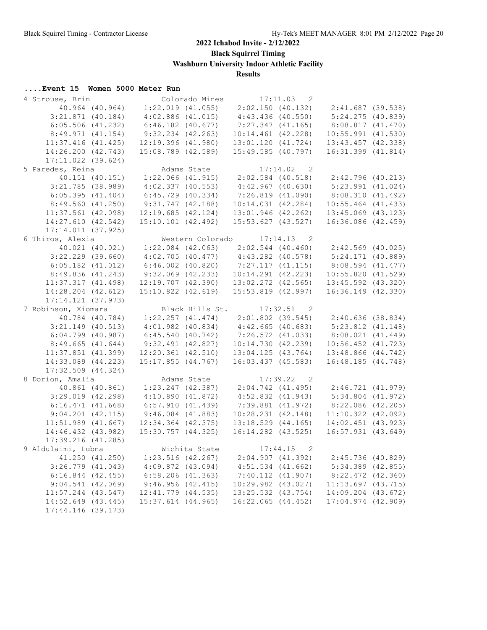**Black Squirrel Timing**

**Washburn University Indoor Athletic Facility**

**Results**

| 4 Strouse, Brin        |                       |                                                     | Colorado Mines  | $17:11.03$ 2                            |              |                                                             |  |
|------------------------|-----------------------|-----------------------------------------------------|-----------------|-----------------------------------------|--------------|-------------------------------------------------------------|--|
|                        | 40.964 (40.964)       |                                                     |                 |                                         |              | $1:22.019$ (41.055) $2:02.150$ (40.132) $2:41.687$ (39.538) |  |
|                        | $3:21.871$ (40.184)   | $4:02.886$ $(41.015)$                               |                 | $4:43.436$ (40.550)                     |              | 5:24.275 (40.839)                                           |  |
|                        | $6:05.506$ $(41.232)$ | $6:46.182$ $(40.677)$                               |                 | 7:27.347 (41.165)                       |              | 8:08.817 (41.470)                                           |  |
|                        | 8:49.971(41.154)      | $9:32.234$ $(42.263)$                               |                 | $10:14.461$ $(42.228)$                  |              | $10:55.991$ $(41.530)$                                      |  |
| $11:37.416$ (41.425)   |                       | 12:19.396(41.980)                                   |                 | 13:01.120 (41.724)                      |              | 13:43.457 (42.338)                                          |  |
| 14:26.200 (42.743)     |                       | 15:08.789 (42.589)                                  |                 | $15:49.585$ (40.797)                    |              | $16:31.399$ $(41.814)$                                      |  |
| $17:11.022$ (39.624)   |                       |                                                     |                 |                                         |              |                                                             |  |
| 5 Paredes, Reina       |                       |                                                     | Adams State     |                                         | $17:14.02$ 2 |                                                             |  |
|                        | 40.151 (40.151)       |                                                     |                 | $1:22.066$ (41.915) $2:02.584$ (40.518) |              | 2:42.796 (40.213)                                           |  |
|                        | $3:21.785$ (38.989)   | 4:02.337(40.553)                                    |                 | 4:42.967(40.630)                        |              | 5:23.991 (41.024)                                           |  |
|                        | 6:05.395(41.404)      | $6:45.729$ $(40.334)$                               |                 | 7:26.819 (41.090)                       |              | 8:08.310(41.492)                                            |  |
|                        | 8:49.560(41.250)      | $9:31.747$ $(42.188)$                               |                 | 10:14.031(42.284)                       |              | $10:55.464$ (41.433)                                        |  |
| $11:37.561$ (42.098)   |                       | $12:19.685$ $(42.124)$                              |                 | 13:01.946 (42.262)                      |              | $13:45.069$ $(43.123)$                                      |  |
| 14:27.610 (42.542)     |                       | $15:10.101$ $(42.492)$                              |                 | $15:53.627$ $(43.527)$                  |              | 16:36.086 (42.459)                                          |  |
| 17:14.011(37.925)      |                       |                                                     |                 |                                         |              |                                                             |  |
| 6 Thiros, Alexia       |                       |                                                     |                 | Western Colorado 17:14.13 2             |              |                                                             |  |
|                        | 40.021 (40.021)       |                                                     |                 |                                         |              | $1:22.084$ (42.063) $2:02.544$ (40.460) $2:42.569$ (40.025) |  |
|                        | $3:22.229$ (39.660)   |                                                     |                 | $4:02.705$ (40.477) $4:43.282$ (40.578) |              | 5:24.171(40.889)                                            |  |
| $6:05.182$ $(41.012)$  |                       | $6:46.002$ (40.820)                                 |                 | 7:27.117(41.115)                        |              | 8:08.594 (41.477)                                           |  |
|                        | 8:49.836(41.243)      | $9:32.069$ $(42.233)$                               |                 | $10:14.291$ $(42.223)$                  |              | 10:55.820(41.529)                                           |  |
| 11:37.317(41.498)      |                       | $12:19.707$ $(42.390)$                              |                 | $13:02.272$ $(42.565)$                  |              | 13:45.592 (43.320)                                          |  |
| $14:28.204$ $(42.612)$ |                       | $15:10.822$ $(42.619)$                              |                 | $15:53.819$ $(42.997)$                  |              | 16:36.149 (42.330)                                          |  |
|                        |                       |                                                     |                 |                                         |              |                                                             |  |
| $17:14.121$ (37.973)   |                       |                                                     |                 | $17:32.51$ 2                            |              |                                                             |  |
| 7 Robinson, Xiomara    | 40.784 (40.784)       |                                                     | Black Hills St. |                                         |              | $1:22.257$ (41.474) $2:01.802$ (39.545) $2:40.636$ (38.834) |  |
|                        | $3:21.149$ (40.513)   | $4:01.982$ (40.834) $4:42.665$ (40.683)             |                 |                                         |              | $5:23.812$ $(41.148)$                                       |  |
|                        | $6:04.799$ (40.987)   |                                                     |                 | $6:45.540$ (40.742) $7:26.572$ (41.033) |              | 8:08.021(41.449)                                            |  |
|                        | 8:49.665(41.644)      | 9:32.491 (42.827)                                   |                 | 10:14.730(42.239)                       |              | $10:56.452$ $(41.723)$                                      |  |
| $11:37.851$ (41.399)   |                       | 12:20.361 (42.510)                                  |                 |                                         |              |                                                             |  |
|                        |                       |                                                     |                 | 13:04.125(43.764)                       |              | 13:48.866 (44.742)                                          |  |
| 14:33.089 (44.223)     |                       | 15:17.855(44.767)                                   |                 | 16:03.437(45.583)                       |              | 16:48.185 (44.748)                                          |  |
| $17:32.509$ $(44.324)$ |                       |                                                     |                 |                                         |              |                                                             |  |
| 8 Dorion, Amalia       |                       |                                                     | Adams State     |                                         | 17:39.22 2   |                                                             |  |
|                        |                       | 40.861 (40.861) 1:23.247 (42.387) 2:04.742 (41.495) |                 |                                         |              | 2:46.721 (41.979)                                           |  |
|                        | $3:29.019$ $(42.298)$ | 4:10.890(41.872)<br>6:57.910(41.439)                |                 | $4:52.832$ $(41.943)$                   |              | 5:34.804 (41.972)                                           |  |
|                        | 6:16.471(41.668)      |                                                     |                 | $7:39.881$ $(41.972)$                   |              | 8:22.086 (42.205)                                           |  |
|                        | $9:04.201$ $(42.115)$ | $9:46.084$ $(41.883)$                               |                 | $10:28.231$ $(42.148)$                  |              | $11:10.322$ (42.092)                                        |  |
| $11:51.989$ $(41.667)$ |                       | $12:34.364$ $(42.375)$                              |                 | $13:18.529$ $(44.165)$                  |              | 14:02.451 (43.923)                                          |  |
| 14:46.432 (43.982)     |                       | $15:30.757$ $(44.325)$                              |                 | $16:14.282$ $(43.525)$                  |              | $16:57.931$ $(43.649)$                                      |  |
| $17:39.216$ (41.285)   |                       |                                                     |                 |                                         |              |                                                             |  |
| 9 Aldulaimi, Lubna     |                       |                                                     |                 | Wichita State 17:44.15                  | 2            |                                                             |  |
|                        | 41.250 (41.250)       | $1:23.516$ $(42.267)$                               |                 | 2:04.907(41.392)                        |              | $2:45.736$ (40.829)                                         |  |
|                        | $3:26.779$ $(41.043)$ | $4:09.872$ $(43.094)$                               |                 | $4:51.534$ $(41.662)$                   |              | $5:34.389$ $(42.855)$                                       |  |
|                        | $6:16.844$ $(42.455)$ | $6:58.206$ $(41.363)$                               |                 | 7:40.112(41.907)                        |              | 8:22.472 (42.360)                                           |  |
|                        | 9:04.541(42.069)      | 9:46.956(42.415)                                    |                 | $10:29.982$ $(43.027)$                  |              | $11:13.697$ (43.715)                                        |  |
| $11:57.244$ (43.547)   |                       | $12:41.779$ $(44.535)$                              |                 | 13:25.532 (43.754)                      |              | 14:09.204 (43.672)                                          |  |
| 14:52.649 (43.445)     |                       | $15:37.614$ (44.965)                                |                 | $16:22.065$ $(44.452)$                  |              | $17:04.974$ $(42.909)$                                      |  |
| 17:44.146 (39.173)     |                       |                                                     |                 |                                         |              |                                                             |  |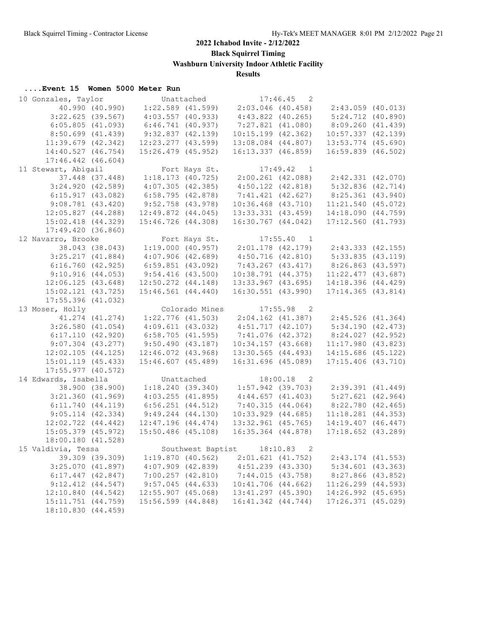**Black Squirrel Timing**

**Washburn University Indoor Athletic Facility**

**Results**

| Event 15 Women 5000 Meter Run |  |  |  |  |  |
|-------------------------------|--|--|--|--|--|
|-------------------------------|--|--|--|--|--|

| 10 Gonzales, Taylor    |                 |                        | Unattached          |                                         | $17:46.45$ 2               |                                                         |  |
|------------------------|-----------------|------------------------|---------------------|-----------------------------------------|----------------------------|---------------------------------------------------------|--|
|                        | 40.990 (40.990) |                        |                     | $1:22.589$ (41.599) $2:03.046$ (40.458) |                            | 2:43.059 (40.013)                                       |  |
| $3:22.625$ (39.567)    |                 | $4:03.557$ $(40.933)$  |                     | $4:43.822$ $(40.265)$                   |                            | $5:24.712$ $(40.890)$                                   |  |
| 6:05.805(41.093)       |                 | $6:46.741$ $(40.937)$  |                     | $7:27.821$ $(41.080)$                   |                            | 8:09.260(41.439)                                        |  |
| $8:50.699$ $(41.439)$  |                 | 9:32.837(42.139)       |                     | $10:15.199$ $(42.362)$                  |                            | $10:57.337$ $(42.139)$                                  |  |
| $11:39.679$ $(42.342)$ |                 | 12:23.277 (43.599)     |                     | $13:08.084$ $(44.807)$                  |                            | 13:53.774 (45.690)                                      |  |
| 14:40.527 (46.754)     |                 | 15:26.479 (45.952)     |                     | $16:13.337$ $(46.859)$                  |                            | 16:59.839 (46.502)                                      |  |
| $17:46.442$ $(46.604)$ |                 |                        |                     |                                         |                            |                                                         |  |
| 11 Stewart, Abigail    |                 |                        | Fort Hays St.       | $17:49.42$ 1                            |                            |                                                         |  |
|                        | 37.448 (37.448) |                        | 1:18.173(40.725)    | 2:00.261 (42.088)                       |                            | 2:42.331(42.070)                                        |  |
| $3:24.920$ (42.589)    |                 | 4:07.305(42.385)       |                     | $4:50.122$ $(42.818)$                   |                            | 5:32.836(42.714)                                        |  |
| 6:15.917(43.082)       |                 | 6:58.795(42.878)       |                     | $7:41.421$ $(42.627)$                   |                            | 8:25.361 (43.940)                                       |  |
|                        |                 |                        |                     |                                         |                            |                                                         |  |
| $9:08.781$ $(43.420)$  |                 | $9:52.758$ (43.978)    |                     | $10:36.468$ $(43.710)$                  |                            | $11:21.540$ (45.072)                                    |  |
| 12:05.827(44.288)      |                 | $12:49.872$ $(44.045)$ |                     | 13:33.331 (43.459)                      |                            | 14:18.090 (44.759)                                      |  |
| $15:02.418$ $(44.329)$ |                 | $15:46.726$ $(44.308)$ |                     | 16:30.767 (44.042)                      |                            | $17:12.560$ $(41.793)$                                  |  |
| 17:49.420(36.860)      |                 |                        |                     |                                         |                            |                                                         |  |
| 12 Navarro, Brooke     |                 |                        | Fort Hays St.       |                                         | 17:55.40 1                 |                                                         |  |
|                        | 38.043 (38.043) |                        |                     |                                         |                            | $1:19.000$ (40.957) 2:01.178 (42.179) 2:43.333 (42.155) |  |
| $3:25.217$ $(41.884)$  |                 | $4:07.906$ $(42.689)$  |                     | 4:50.716(42.810)                        |                            | $5:33.835$ $(43.119)$                                   |  |
| 6:16.760(42.925)       |                 | $6:59.851$ (43.092)    |                     | 7:43.267 (43.417)                       |                            | 8:26.863 (43.597)                                       |  |
| 9:10.916(44.053)       |                 | 9:54.416(43.500)       |                     | $10:38.791$ $(44.375)$                  |                            | $11:22.477$ (43.687)                                    |  |
| 12:06.125(43.648)      |                 | $12:50.272$ $(44.148)$ |                     | $13:33.967$ $(43.695)$                  |                            | 14:18.396 (44.429)                                      |  |
| $15:02.121$ $(43.725)$ |                 | $15:46.561$ $(44.440)$ |                     | $16:30.551$ $(43.990)$                  |                            | $17:14.365$ (43.814)                                    |  |
| $17:55.396$ (41.032)   |                 |                        |                     |                                         |                            |                                                         |  |
| 13 Moser, Holly        |                 |                        | Colorado Mines      | $17:55.98$ 2                            |                            |                                                         |  |
| 41.274 (41.274)        |                 |                        | $1:22.776$ (41.503) |                                         |                            | $2:04.162$ (41.387) $2:45.526$ (41.364)                 |  |
| $3:26.580$ $(41.054)$  |                 | 4:09.611(43.032)       |                     | $4:51.717$ $(42.107)$                   |                            | 5:34.190(42.473)                                        |  |
| 6:17.110(42.920)       |                 | $6:58.705$ (41.595)    |                     | 7:41.076(42.372)                        |                            | 8:24.027 (42.952)                                       |  |
| $9:07.304$ $(43.277)$  |                 | $9:50.490$ (43.187)    |                     | $10:34.157$ $(43.668)$                  |                            | $11:17.980$ (43.823)                                    |  |
| $12:02.105$ $(44.125)$ |                 | 12:46.072 (43.968)     |                     | 13:30.565 (44.493)                      |                            |                                                         |  |
|                        |                 |                        |                     |                                         |                            | $14:15.686$ (45.122)                                    |  |
| $15:01.119$ $(45.433)$ |                 | $15:46.607$ $(45.489)$ |                     | $16:31.696$ (45.089)                    |                            | $17:15.406$ $(43.710)$                                  |  |
| $17:55.977$ (40.572)   |                 |                        |                     |                                         |                            |                                                         |  |
| 14 Edwards, Isabella   |                 |                        | Unattached          |                                         | 18:00.18<br>$\overline{2}$ |                                                         |  |
|                        | 38.900 (38.900) |                        |                     | $1:18.240$ (39.340) $1:57.942$ (39.703) |                            | $2:39.391$ $(41.449)$                                   |  |
| $3:21.360$ $(41.969)$  |                 | $4:03.255$ $(41.895)$  |                     | 4:44.657(41.403)                        |                            | $5:27.621$ $(42.964)$                                   |  |
| $6:11.740$ $(44.119)$  |                 | $6:56.251$ $(44.512)$  |                     | 7:40.315(44.064)                        |                            | 8:22.780(42.465)                                        |  |
| $9:05.114$ $(42.334)$  |                 | $9:49.244$ $(44.130)$  |                     | $10:33.929$ $(44.685)$                  |                            | $11:18.281$ $(44.353)$                                  |  |
| $12:02.722$ $(44.442)$ |                 | $12:47.196$ $(44.474)$ |                     | $13:32.961$ (45.765)                    |                            | $14:19.407$ $(46.447)$                                  |  |
| $15:05.379$ $(45.972)$ |                 | $15:50.486$ (45.108)   |                     | $16:35.364$ $(44.878)$                  |                            | $17:18.652$ $(43.289)$                                  |  |
| 18:00.180 (41.528)     |                 |                        |                     |                                         |                            |                                                         |  |
| 15 Valdivia, Tessa     |                 |                        |                     | Southwest Baptist 18:10.83              | 2                          |                                                         |  |
|                        | 39.309 (39.309) | 1:19.870(40.562)       |                     | $2:01.621$ $(41.752)$                   |                            | $2:43.174$ $(41.553)$                                   |  |
| 3:25.070(41.897)       |                 | $4:07.909$ $(42.839)$  |                     | $4:51.239$ $(43.330)$                   |                            | $5:34.601$ $(43.363)$                                   |  |
| $6:17.447$ $(42.847)$  |                 | $7:00.257$ $(42.810)$  |                     | 7:44.015(43.758)                        |                            | $8:27.866$ (43.852)                                     |  |
| $9:12.412$ $(44.547)$  |                 | $9:57.045$ (44.633)    |                     | 10:41.706 (44.662)                      |                            | $11:26.299$ $(44.593)$                                  |  |
| 12:10.840 (44.542)     |                 | $12:55.907$ (45.068)   |                     | 13:41.297 (45.390)                      |                            | 14:26.992 (45.695)                                      |  |
| 15:11.751 (44.759)     |                 | 15:56.599 (44.848)     |                     | 16:41.342 (44.744)                      |                            | 17:26.371 (45.029)                                      |  |
| 18:10.830 (44.459)     |                 |                        |                     |                                         |                            |                                                         |  |
|                        |                 |                        |                     |                                         |                            |                                                         |  |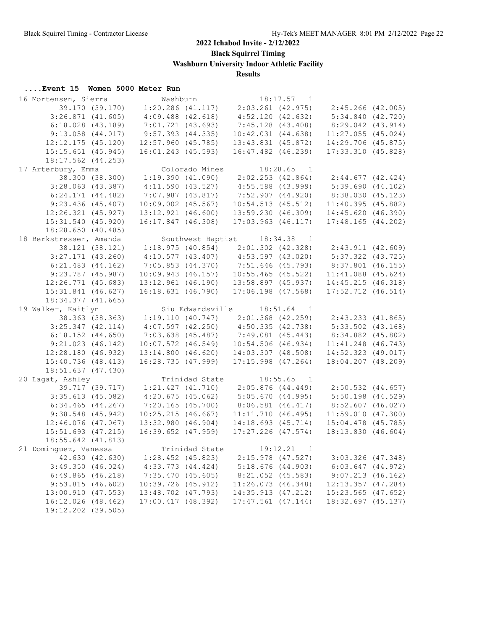**Black Squirrel Timing**

**Washburn University Indoor Athletic Facility**

**Results**

| Event 15 Women 5000 Meter Run |  |  |  |  |  |
|-------------------------------|--|--|--|--|--|
|-------------------------------|--|--|--|--|--|

| 16 Mortensen, Sierra    |                 | Washburn               |                       |                        | 18:17.57<br>$\overline{1}$ |                       |  |
|-------------------------|-----------------|------------------------|-----------------------|------------------------|----------------------------|-----------------------|--|
|                         | 39.170 (39.170) |                        | $1:20.286$ $(41.117)$ | $2:03.261$ $(42.975)$  |                            | 2:45.266 (42.005)     |  |
| $3:26.871$ $(41.605)$   |                 | $4:09.488$ $(42.618)$  |                       | 4:52.120(42.632)       |                            | 5:34.840(42.720)      |  |
| $6:18.028$ $(43.189)$   |                 | $7:01.721$ (43.693)    |                       | 7:45.128(43.408)       |                            | 8:29.042 (43.914)     |  |
| $9:13.058$ $(44.017)$   |                 | $9:57.393$ $(44.335)$  |                       | 10:42.031(44.638)      |                            | $11:27.055$ (45.024)  |  |
| $12:12.175$ $(45.120)$  |                 | $12:57.960$ (45.785)   |                       | $13:43.831$ $(45.872)$ |                            | 14:29.706 (45.875)    |  |
| 15:15.651 (45.945)      |                 | 16:01.243 (45.593)     |                       | 16:47.482 (46.239)     |                            | 17:33.310 (45.828)    |  |
| 18:17.562 (44.253)      |                 |                        |                       |                        |                            |                       |  |
| 17 Arterbury, Emma      |                 |                        | Colorado Mines        |                        | 18:28.65<br>$\overline{1}$ |                       |  |
|                         | 38.300 (38.300) | 1:19.390(41.090)       |                       | $2:02.253$ (42.864)    |                            | $2:44.677$ (42.424)   |  |
| $3:28.063$ (43.387)     |                 | $4:11.590$ $(43.527)$  |                       | $4:55.588$ (43.999)    |                            | 5:39.690(44.102)      |  |
|                         |                 |                        |                       |                        |                            |                       |  |
| $6:24.171$ $(44.482)$   |                 | $7:07.987$ $(43.817)$  |                       | 7:52.907(44.920)       |                            | 8:38.030 (45.123)     |  |
| 9:23.436(45.407)        |                 | $10:09.002$ $(45.567)$ |                       | 10:54.513(45.512)      |                            | 11:40.395(45.882)     |  |
| $12:26.321$ $(45.927)$  |                 | $13:12.921$ $(46.600)$ |                       | 13:59.230 (46.309)     |                            | 14:45.620 (46.390)    |  |
| 15:31.540 (45.920)      |                 | 16:17.847 (46.308)     |                       | $17:03.963$ $(46.117)$ |                            | 17:48.165(44.202)     |  |
| 18:28.650 (40.485)      |                 |                        |                       |                        |                            |                       |  |
| 18 Berkstresser, Amanda |                 |                        | Southwest Baptist     |                        | 18:34.38<br>$\overline{1}$ |                       |  |
|                         | 38.121 (38.121) | 1:18.975(40.854)       |                       | $2:01.302$ $(42.328)$  |                            | $2:43.911$ $(42.609)$ |  |
| $3:27.171$ $(43.260)$   |                 | 4:10.577(43.407)       |                       | $4:53.597$ $(43.020)$  |                            | $5:37.322$ $(43.725)$ |  |
| $6:21.483$ $(44.162)$   |                 | 7:05.853(44.370)       |                       | 7:51.646 (45.793)      |                            | $8:37.801$ (46.155)   |  |
| $9:23.787$ (45.987)     |                 | $10:09.943$ (46.157)   |                       | $10:55.465$ (45.522)   |                            | $11:41.088$ (45.624)  |  |
| $12:26.771$ $(45.683)$  |                 | $13:12.961$ $(46.190)$ |                       | $13:58.897$ (45.937)   |                            | 14:45.215 (46.318)    |  |
| 15:31.841 (46.627)      |                 | 16:18.631 (46.790)     |                       | $17:06.198$ (47.568)   |                            | 17:52.712 (46.514)    |  |
| 18:34.377 (41.665)      |                 |                        |                       |                        |                            |                       |  |
| 19 Walker, Kaitlyn      |                 |                        | Siu Edwardsville      |                        | $18:51.64$ 1               |                       |  |
|                         | 38.363 (38.363) |                        | 1:19.110(40.747)      | $2:01.368$ (42.259)    |                            | 2:43.233(41.865)      |  |
| $3:25.347$ $(42.114)$   |                 | 4:07.597(42.250)       |                       | 4:50.335(42.738)       |                            | $5:33.502$ $(43.168)$ |  |
| $6:18.152$ $(44.650)$   |                 | $7:03.638$ $(45.487)$  |                       | 7:49.081 (45.443)      |                            | 8:34.882 (45.802)     |  |
| $9:21.023$ $(46.142)$   |                 | $10:07.572$ $(46.549)$ |                       | $10:54.506$ (46.934)   |                            | $11:41.248$ (46.743)  |  |
| 12:28.180(46.932)       |                 | $13:14.800$ $(46.620)$ |                       | $14:03.307$ $(48.508)$ |                            | 14:52.323 (49.017)    |  |
| 15:40.736 (48.413)      |                 | 16:28.735(47.999)      |                       | $17:15.998$ $(47.264)$ |                            | 18:04.207 (48.209)    |  |
| 18:51.637 (47.430)      |                 |                        |                       |                        |                            |                       |  |
|                         |                 |                        |                       |                        |                            |                       |  |
| 20 Lagat, Ashley        |                 |                        | Trinidad State        |                        | 18:55.65<br>$\overline{1}$ |                       |  |
|                         | 39.717 (39.717) | $1:21.427$ $(41.710)$  |                       | $2:05.876$ $(44.449)$  |                            | 2:50.532 (44.657)     |  |
| $3:35.613$ (45.082)     |                 | 4:20.675(45.062)       |                       | 5:05.670(44.995)       |                            | $5:50.198$ $(44.529)$ |  |
| $6:34.465$ $(44.267)$   |                 | 7:20.165(45.700)       |                       | $8:06.581$ $(46.417)$  |                            | $8:52.607$ (46.027)   |  |
| $9:38.548$ (45.942)     |                 | 10:25.215(46.667)      |                       | 11:11.710(46.495)      |                            | 11:59.010(47.300)     |  |
| 12:46.076 (47.067)      |                 | $13:32.980$ $(46.904)$ |                       | 14:18.693 (45.714)     |                            | 15:04.478 (45.785)    |  |
| $15:51.693$ (47.215)    |                 | $16:39.652$ $(47.959)$ |                       | $17:27.226$ $(47.574)$ |                            | 18:13.830 (46.604)    |  |
| 18:55.642 (41.813)      |                 |                        |                       |                        |                            |                       |  |
| 21 Dominguez, Vanessa   |                 |                        | Trinidad State        |                        | 19:12.21<br>$\overline{1}$ |                       |  |
|                         | 42.630 (42.630) |                        | $1:28.452$ (45.823)   | $2:15.978$ (47.527)    |                            | $3:03.326$ (47.348)   |  |
| $3:49.350$ $(46.024)$   |                 | $4:33.773$ $(44.424)$  |                       | 5:18.676(44.903)       |                            | $6:03.647$ $(44.972)$ |  |
| 6:49.865(46.218)        |                 | 7:35.470(45.605)       |                       | $8:21.052$ (45.583)    |                            | 9:07.213(46.162)      |  |
| 9:53.815(46.602)        |                 | $10:39.726$ (45.912)   |                       | 11:26.073(46.348)      |                            | 12:13.357 (47.284)    |  |
| 13:00.910(47.553)       |                 | 13:48.702 (47.793)     |                       | 14:35.913 (47.212)     |                            | $15:23.565$ (47.652)  |  |
| 16:12.026 (48.462)      |                 | 17:00.417(48.392)      |                       | $17:47.561$ (47.144)   |                            | 18:32.697 (45.137)    |  |
| 19:12.202 (39.505)      |                 |                        |                       |                        |                            |                       |  |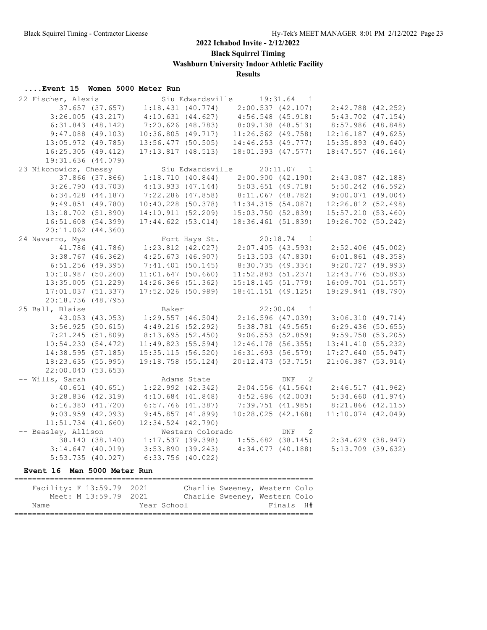**Black Squirrel Timing**

**Washburn University Indoor Athletic Facility**

## **Results**

## **....Event 15 Women 5000 Meter Run**

| 22 Fischer, Alexis     |                 |                                          |               | Siu Edwardsville 19:31.64               | 1                |                                                                       |  |
|------------------------|-----------------|------------------------------------------|---------------|-----------------------------------------|------------------|-----------------------------------------------------------------------|--|
|                        | 37.657 (37.657) | $1:18.431$ (40.774)                      |               | $2:00.537$ $(42.107)$                   |                  | 2:42.788 (42.252)                                                     |  |
| $3:26.005$ $(43.217)$  |                 |                                          |               | $4:10.631$ (44.627) $4:56.548$ (45.918) |                  | 5:43.702 (47.154)                                                     |  |
| $6:31.843$ $(48.142)$  |                 | 7:20.626 (48.783)                        |               | 8:09.138(48.513)                        |                  | 8:57.986 (48.848)                                                     |  |
| $9:47.088$ (49.103)    |                 | 10:36.805 (49.717)                       |               | $11:26.562$ (49.758)                    |                  | $12:16.187$ (49.625)                                                  |  |
| 13:05.972 (49.785)     |                 | $13:56.477$ (50.505)                     |               | $14:46.253$ $(49.777)$                  |                  | $15:35.893$ (49.640)                                                  |  |
| 16:25.305(49.412)      |                 | 17:13.817(48.513)                        |               | 18:01.393 (47.577)                      |                  | $18:47.557$ (46.164)                                                  |  |
| 19:31.636 (44.079)     |                 |                                          |               |                                         |                  |                                                                       |  |
| 23 Nikonowicz, Chessy  |                 |                                          |               | Siu Edwardsville 20:11.07 1             |                  |                                                                       |  |
|                        |                 |                                          |               |                                         |                  | 37.866 (37.866) 1:18.710 (40.844) 2:00.900 (42.190) 2:43.087 (42.188) |  |
| 3:26.790(43.703)       |                 |                                          |               | $4:13.933$ (47.144) $5:03.651$ (49.718) |                  | $5:50.242$ (46.592)                                                   |  |
| $6:34.428$ $(44.187)$  |                 |                                          |               | 7:22.286 (47.858) 8:11.067 (48.782)     |                  | $9:00.071$ $(49.004)$                                                 |  |
| $9:49.851$ (49.780)    |                 | 10:40.228 (50.378)<br>14:10.911 (52.209) |               | 11:34.315(54.087)                       |                  | $12:26.812$ (52.498)                                                  |  |
| 13:18.702 (51.890)     |                 |                                          |               |                                         |                  | 15:03.750 (52.839) 15:57.210 (53.460)                                 |  |
| 16:51.608 (54.399)     |                 | $17:44.622$ $(53.014)$                   |               | 18:36.461 (51.839)                      |                  | 19:26.702 (50.242)                                                    |  |
| $20:11.062$ $(44.360)$ |                 |                                          |               |                                         |                  |                                                                       |  |
| 24 Navarro, Mya        |                 |                                          | Fort Hays St. | $20:18.74$ 1                            |                  |                                                                       |  |
|                        |                 |                                          |               |                                         |                  | 41.786 (41.786) 1:23.812 (42.027) 2:07.405 (43.593) 2:52.406 (45.002) |  |
| $3:38.767$ (46.362)    |                 | 4:25.673(46.907)                         |               | $5:13.503$ (47.830)                     |                  | $6:01.861$ (48.358)                                                   |  |
| $6:51.256$ (49.395)    |                 | 7:41.401(50.145)                         |               | 8:30.735 (49.334)                       |                  | 9:20.727(49.993)                                                      |  |
| $10:10.987$ (50.260)   |                 | $11:01.647$ (50.660)                     |               | $11:52.883$ (51.237)                    |                  | 12:43.776 (50.893)                                                    |  |
| $13:35.005$ (51.229)   |                 | 14:26.366 (51.362)                       |               | 15:18.145(51.779)                       |                  | $16:09.701$ (51.557)                                                  |  |
| 17:01.037(51.337)      |                 | $17:52.026$ (50.989)                     |               | $18:41.151$ (49.125)                    |                  | 19:29.941 (48.790)                                                    |  |
| 20:18.736 (48.795)     |                 |                                          |               |                                         |                  |                                                                       |  |
| 25 Ball, Blaise        |                 | Baker                                    |               |                                         | $22:00.04$ 1     |                                                                       |  |
|                        | 43.053 (43.053) |                                          |               |                                         |                  | 1:29.557 (46.504) 2:16.596 (47.039) 3:06.310 (49.714)                 |  |
| 3:56.925(50.615)       |                 | 4:49.216(52.292)                         |               | 5:38.781 (49.565)                       |                  | 6:29.436(50.655)                                                      |  |
| 7:21.245 (51.809)      |                 | 8:13.695(52.450)                         |               | 9:06.553(52.859)                        |                  | $9:59.758$ (53.205)                                                   |  |
| 10:54.230(54.472)      |                 | 11:49.823(55.594)                        |               | $12:46.178$ (56.355)                    |                  | 13:41.410(55.232)                                                     |  |
| 14:38.595(57.185)      |                 | 15:35.115(56.520)                        |               | 16:31.693(56.579)                       |                  | 17:27.640(55.947)                                                     |  |
| 18:23.635 (55.995)     |                 | 19:18.758 (55.124)                       |               | 20:12.473(53.715)                       |                  | $21:06.387$ (53.914)                                                  |  |
| 22:00.040 (53.653)     |                 |                                          |               |                                         |                  |                                                                       |  |
| -- Wills, Sarah        |                 |                                          | Adams State   |                                         | DNF <sub>2</sub> |                                                                       |  |
|                        | 40.651 (40.651) |                                          |               |                                         |                  | $1:22.992$ (42.342) 2:04.556 (41.564) 2:46.517 (41.962)               |  |
| $3:28.836$ $(42.319)$  |                 | $4:10.684$ $(41.848)$                    |               |                                         |                  | $4:52.686$ (42.003) $5:34.660$ (41.974)                               |  |
| 6:16.380(41.720)       |                 | 6:57.766 (41.387)                        |               | $7:39.751$ (41.985)                     |                  | 8:21.866 (42.115)                                                     |  |
| $9:03.959$ $(42.093)$  |                 | 9:45.857(41.899)                         |               | 10:28.025(42.168)                       |                  | $11:10.074$ $(42.049)$                                                |  |
| $11:51.734$ $(41.660)$ |                 | $12:34.524$ $(42.790)$                   |               |                                         |                  |                                                                       |  |
| -- Beasley, Allison    |                 |                                          |               | Western Colorado DNF                    | $\overline{2}$   |                                                                       |  |
|                        |                 | 38.140 (38.140) 1:17.537 (39.398)        |               |                                         |                  | $1:55.682$ (38.145) $2:34.629$ (38.947)                               |  |
|                        |                 | $3:14.647$ (40.019) $3:53.890$ (39.243)  |               | $4:34.077$ (40.188)                     |                  | $5:13.709$ (39.632)                                                   |  |
| $5:53.735$ (40.027)    |                 | $6:33.756$ (40.022)                      |               |                                         |                  |                                                                       |  |

| Facility: F 13:59.79 2021 |                       |             | Charlie Sweeney, Western Colo |           |  |
|---------------------------|-----------------------|-------------|-------------------------------|-----------|--|
|                           | Meet: M 13:59.79 2021 |             | Charlie Sweeney, Western Colo |           |  |
| Name                      |                       | Year School |                               | Finals H# |  |
|                           |                       |             |                               |           |  |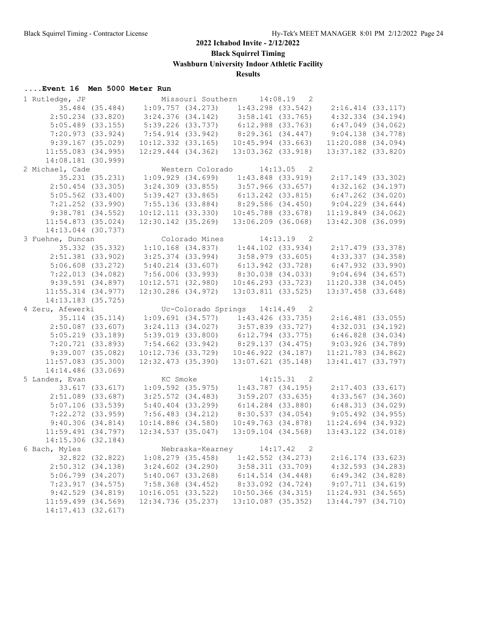**Black Squirrel Timing**

**Washburn University Indoor Athletic Facility**

## **Results**

| 1 Rutledge, JP         |                 |                                                       |                | Missouri Southern 14:08.19 2                  |                        |                                                                                                                        |  |
|------------------------|-----------------|-------------------------------------------------------|----------------|-----------------------------------------------|------------------------|------------------------------------------------------------------------------------------------------------------------|--|
| 35.484 (35.484)        |                 |                                                       |                |                                               |                        | $1:09.757$ (34.273) $1:43.298$ (33.542) $2:16.414$ (33.117)                                                            |  |
| $2:50.234$ (33.820)    |                 | $3:24.376$ (34.142) $3:58.141$ (33.765)               |                |                                               |                        | $4:32.334$ $(34.194)$                                                                                                  |  |
| $5:05.489$ (33.155)    |                 |                                                       |                | 5:39.226 (33.737) 6:12.988 (33.763)           |                        | $6:47.049$ $(34.062)$                                                                                                  |  |
| 7:20.973(33.924)       |                 |                                                       |                | 7:54.914 (33.942) 8:29.361 (34.447)           |                        | 9:04.138(34.778)                                                                                                       |  |
| $9:39.167$ (35.029)    |                 | 10:12.332 (33.165)                                    |                |                                               | 10:45.994 (33.663)     | $11:20.088$ $(34.094)$                                                                                                 |  |
| $11:55.083$ (34.995)   |                 | $12:29.444$ $(34.362)$                                |                |                                               | 13:03.362 (33.918)     | 13:37.182 (33.820)                                                                                                     |  |
| 14:08.181 (30.999)     |                 |                                                       |                |                                               |                        |                                                                                                                        |  |
| 2 Michael, Cade        |                 |                                                       |                | Western Colorado 14:13.05 2                   |                        |                                                                                                                        |  |
|                        |                 | 35.231 (35.231) 1:09.929 (34.699) 1:43.848 (33.919)   |                |                                               |                        | 2:17.149 (33.302)                                                                                                      |  |
| $2:50.454$ (33.305)    |                 |                                                       |                | $3:24.309$ (33.855) $3:57.966$ (33.657)       |                        | $4:32.162$ $(34.197)$                                                                                                  |  |
| $5:05.562$ (33.400)    |                 |                                                       |                |                                               |                        | 5:39.427 (33.865) 6:13.242 (33.815) 6:47.262 (34.020)                                                                  |  |
| $7:21.252$ $(33.990)$  |                 |                                                       |                |                                               |                        | 7:55.136 (33.884) 8:29.586 (34.450) 9:04.229 (34.644)                                                                  |  |
|                        |                 |                                                       |                | $10:12.111$ $(33.330)$ $10:45.788$ $(33.678)$ |                        |                                                                                                                        |  |
| 9:38.781(34.552)       |                 |                                                       |                |                                               |                        | 11:19.849(34.062)                                                                                                      |  |
| $11:54.873$ (35.024)   |                 | $12:30.142$ $(35.269)$                                |                |                                               | 13:06.209 (36.068)     | 13:42.308 (36.099)                                                                                                     |  |
| 14:13.044 (30.737)     |                 |                                                       |                |                                               |                        |                                                                                                                        |  |
| 3 Fuehne, Duncan       |                 |                                                       | Colorado Mines |                                               | 14:13.19 2             |                                                                                                                        |  |
|                        |                 | $35.332$ (35.332) 1:10.168 (34.837) 1:44.102 (33.934) |                |                                               |                        | 2:17.479 (33.378)                                                                                                      |  |
| $2:51.381$ (33.902)    |                 | $3:25.374$ (33.994) $3:58.979$ (33.605)               |                |                                               |                        | 4:33.337(34.358)                                                                                                       |  |
| $5:06.608$ $(33.272)$  |                 | 5:40.214 (33.607) 6:13.942 (33.728)                   |                |                                               |                        | $6:47.932$ $(33.990)$                                                                                                  |  |
| 7:22.013(34.082)       |                 | 7:56.006 (33.993)                                     |                | 8:30.038 (34.033)                             |                        | $9:04.694$ $(34.657)$                                                                                                  |  |
| $9:39.591$ $(34.897)$  |                 |                                                       |                |                                               |                        | $10:12.571 (32.980) 10:46.293 (33.723) 11:20.338 (34.045)$                                                             |  |
| $11:55.314$ (34.977)   |                 | 12:30.286 (34.972)                                    |                |                                               | 13:03.811 (33.525)     | $13:37.458$ (33.648)                                                                                                   |  |
| 14:13.183 (35.725)     |                 |                                                       |                |                                               |                        |                                                                                                                        |  |
| 4 Zeru, Afewerki       |                 |                                                       |                | Uc-Colorado Springs 14:14.49 2                |                        |                                                                                                                        |  |
| 35.114 (35.114)        |                 |                                                       |                |                                               |                        | $1:09.691$ (34.577) $1:43.426$ (33.735) $2:16.481$ (33.055)                                                            |  |
| $2:50.087$ (33.607)    |                 |                                                       |                |                                               |                        | $3:24.113$ $(34.027)$ $3:57.839$ $(33.727)$ $4:32.031$ $(34.192)$                                                      |  |
| $5:05.219$ $(33.189)$  |                 |                                                       |                |                                               |                        | $6:46.828$ $(34.034)$                                                                                                  |  |
| 7:20.721(33.893)       |                 |                                                       |                |                                               |                        | 5:39.019 (33.800)   6:12.794 (33.775)   6:46.828 (34.034)<br>7:54.662 (33.942)   8:29.137 (34.475)   9:03.926 (34.789) |  |
| $9:39.007$ (35.082)    |                 |                                                       |                |                                               |                        | $10:12.736$ (33.729) $10:46.922$ (34.187) $11:21.783$ (34.862)                                                         |  |
| $11:57.083$ (35.300)   |                 |                                                       |                | 12:32.473 (35.390) 13:07.621 (35.148)         |                        | 13:41.417 (33.797)                                                                                                     |  |
| 14:14.486 (33.069)     |                 |                                                       |                |                                               |                        |                                                                                                                        |  |
| 5 Landes, Evan         |                 | KC Smoke                                              |                |                                               | 14:15.31 2             |                                                                                                                        |  |
|                        | 33.617 (33.617) | $1:09.592$ (35.975) $1:43.787$ (34.195)               |                |                                               |                        | $2:17.403$ (33.617)                                                                                                    |  |
| $2:51.089$ (33.687)    |                 | $3:25.572$ $(34.483)$                                 |                |                                               | 3:59.207(33.635)       | $4:33.567$ $(34.360)$                                                                                                  |  |
| $5:07.106$ (33.539)    |                 | $5:40.404$ $(33.299)$                                 |                |                                               |                        | $6:14.284$ (33.880) $6:48.313$ (34.029)                                                                                |  |
| $7:22.272$ (33.959)    |                 | $7:56.483$ $(34.212)$                                 |                | 8:30.537(34.054)                              |                        | $9:05.492$ $(34.955)$                                                                                                  |  |
| 9:40.306(34.814)       |                 | $10:14.886$ $(34.580)$                                |                |                                               | 10:49.763 (34.878)     | $11:24.694$ (34.932)                                                                                                   |  |
| 11:59.491(34.797)      |                 | 12:34.537(35.047)                                     |                |                                               | $13:09.104$ $(34.568)$ | 13:43.122 (34.018)                                                                                                     |  |
| 14:15.306 (32.184)     |                 |                                                       |                |                                               |                        |                                                                                                                        |  |
|                        |                 |                                                       |                |                                               |                        |                                                                                                                        |  |
| 6 Bach, Myles          |                 |                                                       |                | Nebraska-Kearney 14:17.42                     | 2                      |                                                                                                                        |  |
|                        | 32.822 (32.822) | $1:08.279$ (35.458)                                   |                |                                               | $1:42.552$ $(34.273)$  | $2:16.174$ (33.623)                                                                                                    |  |
| 2:50.312(34.138)       |                 | $3:24.602$ $(34.290)$                                 |                |                                               | 3:58.311(33.709)       | $4:32.593$ $(34.283)$                                                                                                  |  |
| $5:06.799$ $(34.207)$  |                 | $5:40.067$ $(33.268)$                                 |                |                                               | $6:14.514$ $(34.448)$  | $6:49.342$ $(34.828)$                                                                                                  |  |
| 7:23.917(34.575)       |                 | $7:58.368$ $(34.452)$                                 |                |                                               | 8:33.092 (34.724)      | 9:07.711(34.619)                                                                                                       |  |
| $9:42.529$ $(34.819)$  |                 | 10:16.051 (33.522)                                    |                |                                               | $10:50.366$ $(34.315)$ | $11:24.931$ (34.565)                                                                                                   |  |
| $11:59.499$ $(34.569)$ |                 | 12:34.736 (35.237)                                    |                |                                               | 13:10.087 (35.352)     | 13:44.797 (34.710)                                                                                                     |  |
| 14:17.413 (32.617)     |                 |                                                       |                |                                               |                        |                                                                                                                        |  |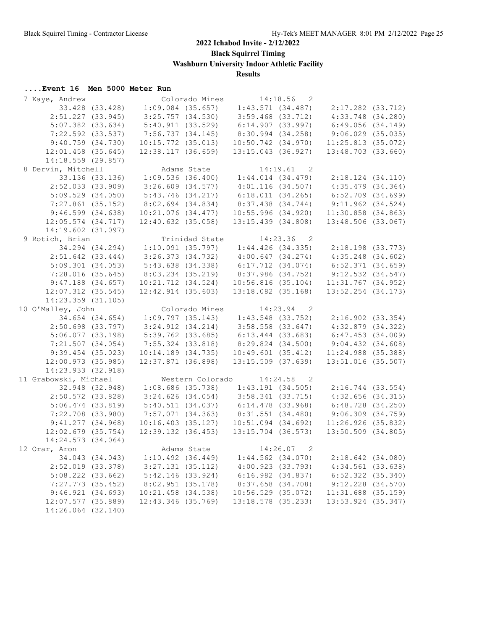**Black Squirrel Timing**

**Washburn University Indoor Athletic Facility**

**Results**

| 7 Kaye, Andrew         |                 |                                                     |                     | Colorado Mines 14:18.56 2               |              |                                     |  |
|------------------------|-----------------|-----------------------------------------------------|---------------------|-----------------------------------------|--------------|-------------------------------------|--|
|                        | 33.428 (33.428) |                                                     |                     | $1:09.084$ (35.657) $1:43.571$ (34.487) |              | 2:17.282 (33.712)                   |  |
| $2:51.227$ (33.945)    |                 | $3:25.757$ $(34.530)$                               |                     | $3:59.468$ (33.712)                     |              | $4:33.748$ $(34.280)$               |  |
| $5:07.382$ $(33.634)$  |                 | 5:40.911(33.529)                                    |                     | 6:14.907 (33.997)                       |              | 6:49.056(34.149)                    |  |
| $7:22.592$ $(33.537)$  |                 | 7:56.737 (34.145)                                   |                     | 8:30.994 (34.258)                       |              | $9:06.029$ $(35.035)$               |  |
| 9:40.759(34.730)       |                 | $10:15.772$ (35.013)                                |                     | 10:50.742 (34.970)                      |              | $11:25.813$ (35.072)                |  |
| $12:01.458$ (35.645)   |                 | 12:38.117(36.659)                                   |                     | $13:15.043$ (36.927)                    |              | $13:48.703$ (33.660)                |  |
| 14:18.559 (29.857)     |                 |                                                     |                     |                                         |              |                                     |  |
| 8 Dervin, Mitchell     |                 |                                                     | Adams State         |                                         | $14:19.61$ 2 |                                     |  |
|                        |                 | 33.136 (33.136) 1:09.536 (36.400) 1:44.014 (34.479) |                     |                                         |              | 2:18.124 (34.110)                   |  |
| $2:52.033$ (33.909)    |                 | $3:26.609$ $(34.577)$                               |                     | $4:01.116$ (34.507)                     |              | 4:35.479(34.364)                    |  |
| $5:09.529$ $(34.050)$  |                 | 5:43.746(34.217)                                    |                     | 6:18.011(34.265)                        |              | 6:52.709 (34.699)                   |  |
| $7:27.861$ (35.152)    |                 | 8:02.694 (34.834)                                   |                     | $8:37.438$ $(34.744)$                   |              | $9:11.962$ $(34.524)$               |  |
| 9:46.599(34.638)       |                 | $10:21.076$ $(34.477)$                              |                     | 10:55.996(34.920)                       |              | $11:30.858$ $(34.863)$              |  |
|                        |                 | $12:40.632$ (35.058)                                |                     | 13:15.439 (34.808)                      |              |                                     |  |
| $12:05.574$ (34.717)   |                 |                                                     |                     |                                         |              | $13:48.506$ (33.067)                |  |
| 14:19.602 (31.097)     |                 |                                                     |                     |                                         |              |                                     |  |
| 9 Rotich, Brian        |                 |                                                     | Trinidad State      |                                         | 14:23.36 2   |                                     |  |
|                        |                 | 34.294 (34.294) 1:10.091 (35.797) 1:44.426 (34.335) |                     |                                         |              | $2:18.198$ (33.773)                 |  |
| $2:51.642$ (33.444)    |                 | $3:26.373$ $(34.732)$ $4:00.647$ $(34.274)$         |                     |                                         |              | $4:35.248$ $(34.602)$               |  |
| 5:09.301(34.053)       |                 |                                                     |                     | 5:43.638 (34.338) 6:17.712 (34.074)     |              | 6:52.371 (34.659)                   |  |
| 7:28.016(35.645)       |                 | $8:03.234$ (35.219)                                 |                     | 8:37.986 (34.752)                       |              | $9:12.532$ $(34.547)$               |  |
| $9:47.188$ $(34.657)$  |                 | 10:21.712 (34.524)                                  |                     | 10:56.816(35.104)                       |              | 11:31.767 (34.952)                  |  |
| $12:07.312$ (35.545)   |                 | $12:42.914$ $(35.603)$                              |                     | $13:18.082$ (35.168)                    |              | $13:52.254$ $(34.173)$              |  |
| $14:23.359$ $(31.105)$ |                 |                                                     |                     |                                         |              |                                     |  |
| 10 O'Malley, John      |                 |                                                     | Colorado Mines      | $14:23.94$ 2                            |              |                                     |  |
| 34.654 (34.654)        |                 |                                                     | 1:09.797(35.143)    | 1:43.548 (33.752)                       |              | $2:16.902$ $(33.354)$               |  |
| $2:50.698$ (33.797)    |                 | $3:24.912$ (34.214) $3:58.558$ (33.647)             |                     |                                         |              | $4:32.879$ $(34.322)$               |  |
| 5:06.077(33.198)       |                 | $5:39.762$ (33.685)                                 |                     | $6:13.444$ (33.683)                     |              | 6:47.453(34.009)                    |  |
| 7:21.507(34.054)       |                 | 7:55.324 (33.818)                                   |                     |                                         |              | 8:29.824 (34.500) 9:04.432 (34.608) |  |
| $9:39.454$ (35.023)    |                 | $10:14.189$ $(34.735)$                              |                     | 10:49.601(35.412)                       |              | $11:24.988$ (35.388)                |  |
| $12:00.973$ (35.985)   |                 | $12:37.871$ (36.898)                                |                     | $13:15.509$ (37.639)                    |              | 13:51.016 (35.507)                  |  |
| 14:23.933 (32.918)     |                 |                                                     |                     |                                         |              |                                     |  |
| 11 Grabowski, Michael  |                 |                                                     |                     | Western Colorado 14:24.58 2             |              |                                     |  |
|                        | 32.948 (32.948) |                                                     |                     | $1:08.686$ (35.738) $1:43.191$ (34.505) |              | 2:16.744 (33.554)                   |  |
| $2:50.572$ (33.828)    |                 |                                                     | $3:24.626$ (34.054) | 3:58.341 (33.715)                       |              | $4:32.656$ $(34.315)$               |  |
| $5:06.474$ (33.819)    |                 |                                                     |                     | $5:40.511(34.037)$ $6:14.478(33.968)$   |              | $6:48.728$ $(34.250)$               |  |
| $7:22.708$ (33.980)    |                 |                                                     |                     | $7:57.071$ (34.363) 8:31.551 (34.480)   |              | $9:06.309$ $(34.759)$               |  |
| 9:41.277(34.968)       |                 | 10:16.403(35.127)                                   |                     | $10:51.094$ $(34.692)$                  |              | 11:26.926(35.832)                   |  |
| $12:02.679$ (35.754)   |                 | 12:39.132(36.453)                                   |                     | $13:15.704$ (36.573)                    |              | $13:50.509$ $(34.805)$              |  |
| 14:24.573 (34.064)     |                 |                                                     |                     |                                         |              |                                     |  |
| 12 Orar, Aron          |                 |                                                     |                     | Adams State 14:26.07                    | 2            |                                     |  |
|                        | 34.043 (34.043) | $1:10.492$ (36.449)                                 |                     | $1:44.562$ $(34.070)$                   |              | $2:18.642$ $(34.080)$               |  |
| 2:52.019 (33.378)      |                 | $3:27.131$ $(35.112)$                               |                     | 4:00.923(33.793)                        |              | $4:34.561$ (33.638)                 |  |
| $5:08.222$ $(33.662)$  |                 | $5:42.146$ (33.924)                                 |                     | $6:16.982$ $(34.837)$                   |              | $6:52.322$ $(35.340)$               |  |
| $7:27.773$ (35.452)    |                 | 8:02.951(35.178)                                    |                     | 8:37.658 (34.708)                       |              | $9:12.228$ $(34.570)$               |  |
| 9:46.921(34.693)       |                 | 10:21.458 (34.538)                                  |                     |                                         |              |                                     |  |
| 12:07.577 (35.889)     |                 | 12:43.346 (35.769)                                  |                     | $10:56.529$ (35.072)                    |              | $11:31.688$ (35.159)                |  |
|                        |                 |                                                     |                     | 13:18.578 (35.233)                      |              | 13:53.924 (35.347)                  |  |
| 14:26.064 (32.140)     |                 |                                                     |                     |                                         |              |                                     |  |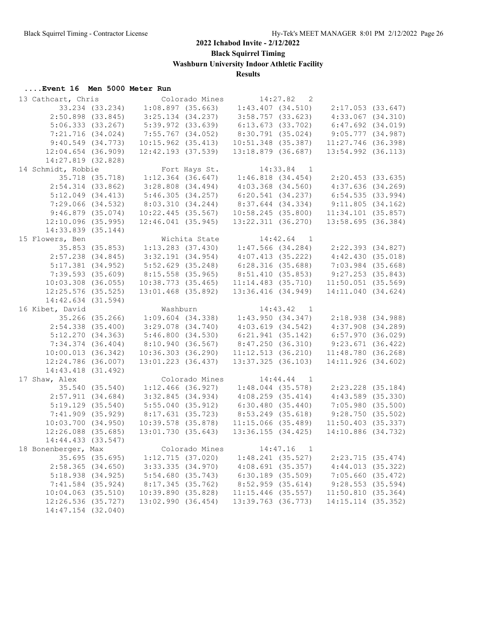**Black Squirrel Timing**

**Washburn University Indoor Athletic Facility**

**Results**

| 13 Cathcart, Chris     |                       |                        | Colorado Mines   |                        | 14:27.82<br>2              |                       |  |
|------------------------|-----------------------|------------------------|------------------|------------------------|----------------------------|-----------------------|--|
|                        | 33.234 (33.234)       |                        | 1:08.897(35.663) | $1:43.407$ $(34.510)$  |                            | 2:17.053(33.647)      |  |
|                        | $2:50.898$ (33.845)   | $3:25.134$ (34.237)    |                  | $3:58.757$ (33.623)    |                            | $4:33.067$ $(34.310)$ |  |
|                        | 5:06.333(33.267)      | $5:39.972$ $(33.639)$  |                  | 6:13.673(33.702)       |                            | $6:47.692$ $(34.019)$ |  |
|                        | 7:21.716(34.024)      | 7:55.767 (34.052)      |                  | 8:30.791 (35.024)      |                            | 9:05.777(34.987)      |  |
|                        | 9:40.549(34.773)      | $10:15.962$ $(35.413)$ |                  | $10:51.348$ (35.387)   |                            | $11:27.746$ (36.398)  |  |
| $12:04.654$ (36.909)   |                       | $12:42.193$ (37.539)   |                  | 13:18.879 (36.687)     |                            | 13:54.992 (36.113)    |  |
| 14:27.819 (32.828)     |                       |                        |                  |                        |                            |                       |  |
| 14 Schmidt, Robbie     |                       |                        | Fort Hays St.    |                        | 14:33.84<br>$\overline{1}$ |                       |  |
|                        | 35.718 (35.718)       | $1:12.364$ (36.647)    |                  | 1:46.818(34.454)       |                            | 2:20.453(33.635)      |  |
|                        | $2:54.314$ (33.862)   | $3:28.808$ $(34.494)$  |                  | $4:03.368$ $(34.560)$  |                            | $4:37.636$ $(34.269)$ |  |
|                        |                       |                        |                  |                        |                            |                       |  |
|                        | 5:12.049(34.413)      | 5:46.305(34.257)       |                  | 6:20.541(34.237)       |                            | 6:54.535(33.994)      |  |
|                        | $7:29.066$ $(34.532)$ | 8:03.310(34.244)       |                  | 8:37.644 (34.334)      |                            | 9:11.805(34.162)      |  |
|                        | $9:46.879$ (35.074)   | $10:22.445$ (35.567)   |                  | 10:58.245(35.800)      |                            | $11:34.101$ (35.857)  |  |
| $12:10.096$ (35.995)   |                       | $12:46.041$ (35.945)   |                  | 13:22.311 (36.270)     |                            | $13:58.695$ (36.384)  |  |
| 14:33.839 (35.144)     |                       |                        |                  |                        |                            |                       |  |
| 15 Flowers, Ben        |                       |                        | Wichita State    |                        | 14:42.64<br>$\overline{1}$ |                       |  |
|                        | 35.853 (35.853)       | $1:13.283$ (37.430)    |                  | $1:47.566$ $(34.284)$  |                            | $2:22.393$ $(34.827)$ |  |
|                        | $2:57.238$ $(34.845)$ | $3:32.191$ $(34.954)$  |                  | 4:07.413(35.222)       |                            | 4:42.430(35.018)      |  |
|                        | $5:17.381$ (34.952)   | $5:52.629$ $(35.248)$  |                  | 6:28.316(35.688)       |                            | $7:03.984$ $(35.668)$ |  |
|                        | $7:39.593$ $(35.609)$ | $8:15.558$ (35.965)    |                  | 8:51.410 (35.853)      |                            | $9:27.253$ (35.843)   |  |
| $10:03.308$ (36.055)   |                       | $10:38.773$ $(35.465)$ |                  | $11:14.483$ $(35.710)$ |                            | $11:50.051$ (35.569)  |  |
| $12:25.576$ (35.525)   |                       | 13:01.468 (35.892)     |                  | 13:36.416 (34.949)     |                            | 14:11.040 (34.624)    |  |
| 14:42.634 (31.594)     |                       |                        |                  |                        |                            |                       |  |
| 16 Kibet, David        |                       | Washburn               |                  |                        | 14:43.42 1                 |                       |  |
|                        | 35.266 (35.266)       | $1:09.604$ $(34.338)$  |                  | 1:43.950(34.347)       |                            | 2:18.938(34.988)      |  |
|                        | $2:54.338$ $(35.400)$ | $3:29.078$ $(34.740)$  |                  | 4:03.619(34.542)       |                            | $4:37.908$ $(34.289)$ |  |
|                        | 5:12.270(34.363)      | 5:46.800(34.530)       |                  | $6:21.941$ $(35.142)$  |                            | $6:57.970$ $(36.029)$ |  |
|                        | $7:34.374$ $(36.404)$ | 8:10.940(36.567)       |                  | 8:47.250(36.310)       |                            | $9:23.671$ (36.422)   |  |
| 10:00.013(36.342)      |                       | $10:36.303$ (36.290)   |                  | 11:12.513(36.210)      |                            | 11:48.780 (36.268)    |  |
| 12:24.786 (36.007)     |                       | 13:01.223 (36.437)     |                  | $13:37.325$ (36.103)   |                            | 14:11.926 (34.602)    |  |
|                        |                       |                        |                  |                        |                            |                       |  |
| 14:43.418 (31.492)     |                       |                        |                  |                        |                            |                       |  |
| 17 Shaw, Alex          |                       |                        | Colorado Mines   |                        | $14:44.44$ 1               |                       |  |
|                        | 35.540 (35.540)       | $1:12.466$ (36.927)    |                  | $1:48.044$ (35.578)    |                            | $2:23.228$ (35.184)   |  |
|                        | $2:57.911$ (34.684)   | 3:32.845(34.934)       |                  | $4:08.259$ $(35.414)$  |                            | $4:43.589$ $(35.330)$ |  |
|                        | $5:19.129$ $(35.540)$ | 5:55.040(35.912)       |                  | 6:30.480(35.440)       |                            | 7:05.980(35.500)      |  |
|                        | $7:41.909$ (35.929)   | 8:17.631(35.723)       |                  | 8:53.249 (35.618)      |                            | 9:28.750(35.502)      |  |
| 10:03.700 (34.950)     |                       | $10:39.578$ (35.878)   |                  | $11:15.066$ (35.489)   |                            | $11:50.403$ (35.337)  |  |
| 12:26.088 (35.685)     |                       | 13:01.730 (35.643)     |                  | 13:36.155(34.425)      |                            | 14:10.886 (34.732)    |  |
| 14:44.433 (33.547)     |                       |                        |                  |                        |                            |                       |  |
| 18 Bonenberger, Max    |                       |                        | Colorado Mines   |                        | 14:47.16<br>$\overline{1}$ |                       |  |
|                        | $35.695$ (35.695)     |                        | 1:12.715(37.020) | $1:48.241$ (35.527)    |                            | $2:23.715$ (35.474)   |  |
|                        | $2:58.365$ (34.650)   | $3:33.335$ $(34.970)$  |                  | $4:08.691$ $(35.357)$  |                            | $4:44.013$ (35.322)   |  |
|                        | 5:18.938(34.925)      | 5:54.680(35.743)       |                  | $6:30.189$ $(35.509)$  |                            | 7:05.660(35.472)      |  |
|                        | $7:41.584$ (35.924)   | 8:17.345(35.762)       |                  | $8:52.959$ (35.614)    |                            | 9:28.553(35.594)      |  |
| $10:04.063$ $(35.510)$ |                       | 10:39.890(35.828)      |                  | $11:15.446$ (35.557)   |                            | 11:50.810(35.364)     |  |
| 12:26.536 (35.727)     |                       | 13:02.990(36.454)      |                  | 13:39.763 (36.773)     |                            | 14:15.114 (35.352)    |  |
| 14:47.154 (32.040)     |                       |                        |                  |                        |                            |                       |  |
|                        |                       |                        |                  |                        |                            |                       |  |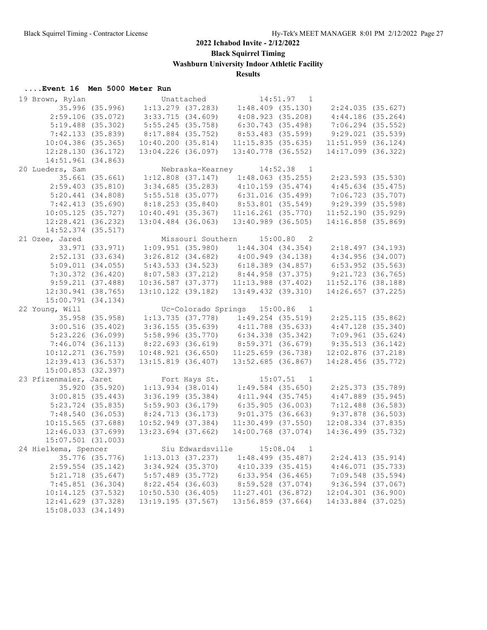**Black Squirrel Timing**

**Washburn University Indoor Athletic Facility**

**Results**

| 19 Brown, Rylan        |                 |                       | Unattached |                                                                            | $14:51.97$ 1 |                                                                           |  |
|------------------------|-----------------|-----------------------|------------|----------------------------------------------------------------------------|--------------|---------------------------------------------------------------------------|--|
| 35.996 (35.996)        |                 |                       |            |                                                                            |              | $1:13.279$ (37.283) $1:48.409$ (35.130) $2:24.035$ (35.627)               |  |
| $2:59.106$ (35.072)    |                 | 3:33.715(34.609)      |            | 4:08.923(35.208)                                                           |              | $4:44.186$ (35.264)                                                       |  |
| $5:19.488$ (35.302)    |                 | $5:55.245$ (35.758)   |            | 6:30.743(35.498)                                                           |              | $7:06.294$ (35.552)                                                       |  |
| 7:42.133 (35.839)      |                 | 8:17.884 (35.752)     |            | 8:53.483 (35.599)                                                          |              | $9:29.021$ (35.539)                                                       |  |
| $10:04.386$ (35.365)   |                 | 10:40.200(35.814)     |            | 11:15.835(35.635)                                                          |              | $11:51.959$ (36.124)                                                      |  |
| 12:28.130(36.172)      |                 | 13:04.226 (36.097)    |            | $13:40.778$ (36.552)                                                       |              | $14:17.099$ (36.322)                                                      |  |
| 14:51.961 (34.863)     |                 |                       |            |                                                                            |              |                                                                           |  |
| 20 Lueders, Sam        |                 |                       |            | Nebraska-Kearney 14:52.38 1                                                |              |                                                                           |  |
|                        | 35.661 (35.661) |                       |            |                                                                            |              | 2:23.593 (35.530)                                                         |  |
| $2:59.403$ (35.810)    |                 |                       |            | 1:12.808 (37.147) 1:48.063 (35.255)<br>3:34.685 (35.283) 4:10.159 (35.474) |              | $4:45.634$ (35.475)                                                       |  |
| 5:20.441(34.808)       |                 |                       |            | $5:55.518$ (35.077) 6:31.016 (35.499)                                      |              | 7:06.723 (35.707)                                                         |  |
| 7:42.413(35.690)       |                 |                       |            | 8:18.253 (35.840) 8:53.801 (35.549)                                        |              | 9:29.399 (35.598)                                                         |  |
| $10:05.125$ (35.727)   |                 |                       |            | $10:40.491$ (35.367) $11:16.261$ (35.770)                                  |              | 11:52.190(35.929)                                                         |  |
|                        |                 |                       |            |                                                                            |              |                                                                           |  |
| 12:28.421(36.232)      |                 |                       |            | $13:04.484$ (36.063) $13:40.989$ (36.505)                                  |              | 14:16.858 (35.869)                                                        |  |
| $14:52.374$ (35.517)   |                 |                       |            |                                                                            |              |                                                                           |  |
| 21 Ozee, Jared         |                 |                       |            | Missouri Southern 15:00.80 2                                               |              |                                                                           |  |
|                        |                 |                       |            |                                                                            |              | 33.971 (33.971) 1:09.951 (35.980) 1:44.304 (34.354) 2:18.497 (34.193)     |  |
| $2:52.131$ (33.634)    |                 |                       |            | $3:26.812$ (34.682) $4:00.949$ (34.138)                                    |              | 4:34.956 (34.007)                                                         |  |
| 5:09.011(34.055)       |                 |                       |            | $5:43.533$ (34.523) 6:18.389 (34.857)                                      |              | $6:53.952$ (35.563)                                                       |  |
| 7:30.372 (36.420)      |                 |                       |            | 8:07.583 (37.212) 8:44.958 (37.375)                                        |              | 9:21.723 (36.765)                                                         |  |
| 9:59.211(37.488)       |                 |                       |            |                                                                            |              | $10:36.587\ (37.377)\qquad 11:13.988\ (37.402)\qquad 11:52.176\ (38.188)$ |  |
| 12:30.941 (38.765)     |                 | 13:10.122 (39.182)    |            | 13:49.432 (39.310)                                                         |              | $14:26.657$ (37.225)                                                      |  |
| 15:00.791(34.134)      |                 |                       |            |                                                                            |              |                                                                           |  |
| 22 Young, Will         |                 |                       |            | Uc-Colorado Springs 15:00.86 1                                             |              |                                                                           |  |
| 35.958 (35.958)        |                 |                       |            |                                                                            |              | $1:13.735$ (37.778) $1:49.254$ (35.519) $2:25.115$ (35.862)               |  |
| $3:00.516$ (35.402)    |                 |                       |            | $3:36.155$ (35.639) $4:11.788$ (35.633)                                    |              | $4:47.128$ $(35.340)$                                                     |  |
| $5:23.226$ (36.099)    |                 |                       |            |                                                                            |              |                                                                           |  |
| 7:46.074(36.113)       |                 |                       |            |                                                                            |              |                                                                           |  |
| $10:12.271$ (36.759)   |                 |                       |            | $10:48.921$ (36.650) $11:25.659$ (36.738)                                  |              | $12:02.876$ (37.218)                                                      |  |
| 12:39.413(36.537)      |                 | 13:15.819 (36.407)    |            | 13:52.685 (36.867)                                                         |              | 14:28.456 (35.772)                                                        |  |
| 15:00.853 (32.397)     |                 |                       |            |                                                                            |              |                                                                           |  |
| 23 Pfizenmaier, Jaret  |                 | Fort Hays St.         |            |                                                                            | $15:07.51$ 1 |                                                                           |  |
|                        |                 |                       |            | 35.920 (35.920) 1:13.934 (38.014) 1:49.584 (35.650)                        |              | 2:25.373 (35.789)                                                         |  |
| 3:00.815(35.443)       |                 | $3:36.199$ $(35.384)$ |            | $4:11.944$ (35.745)                                                        |              | $4:47.889$ $(35.945)$                                                     |  |
| $5:23.724$ (35.835)    |                 | $5:59.903$ (36.179)   |            | 6:35.905(36.003)                                                           |              | 7:12.488 (36.583)                                                         |  |
| 7:48.540(36.053)       |                 | 8:24.713(36.173)      |            | 9:01.375(36.663)                                                           |              | 9:37.878 (36.503)                                                         |  |
| $10:15.565$ (37.688)   |                 | $10:52.949$ (37.384)  |            | $11:30.499$ $(37.550)$                                                     |              | $12:08.334$ (37.835)                                                      |  |
| $12:46.033$ $(37.699)$ |                 | $13:23.694$ (37.662)  |            | 14:00.768 (37.074)                                                         |              | 14:36.499 (35.732)                                                        |  |
| $15:07.501$ (31.003)   |                 |                       |            |                                                                            |              |                                                                           |  |
| 24 Hielkema, Spencer   |                 |                       |            | Siu Edwardsville 15:08.04                                                  | 1            |                                                                           |  |
|                        |                 |                       |            |                                                                            |              |                                                                           |  |
|                        | 35.776 (35.776) | 1:13.013 (37.237)     |            | 1:48.499 (35.487)                                                          |              | 2:24.413(35.914)                                                          |  |
| $2:59.554$ (35.142)    |                 | $3:34.924$ $(35.370)$ |            | 4:10.339(35.415)                                                           |              | $4:46.071$ (35.733)                                                       |  |
| $5:21.718$ $(35.647)$  |                 | $5:57.489$ (35.772)   |            | $6:33.954$ $(36.465)$                                                      |              | $7:09.548$ (35.594)                                                       |  |
| $7:45.851$ (36.304)    |                 | 8:22.454 (36.603)     |            | 8:59.528 (37.074)                                                          |              | $9:36.594$ (37.067)                                                       |  |
| 10:14.125 (37.532)     |                 | 10:50.530(36.405)     |            | $11:27.401$ (36.872)                                                       |              | $12:04.301$ (36.900)                                                      |  |
| 12:41.629 (37.328)     |                 | 13:19.195 (37.567)    |            | 13:56.859 (37.664)                                                         |              | 14:33.884 (37.025)                                                        |  |
| 15:08.033 (34.149)     |                 |                       |            |                                                                            |              |                                                                           |  |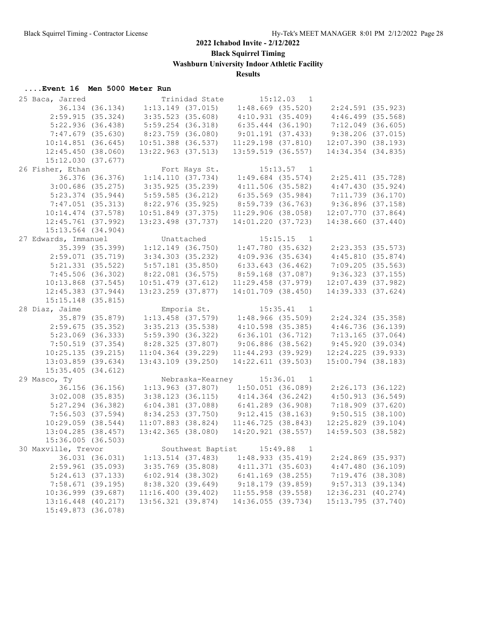**Black Squirrel Timing**

**Washburn University Indoor Athletic Facility**

**Results**

| 25 Baca, Jarred        |                 |                                                             | Trinidad State | $15:12.03$ 1                              |                |                       |  |
|------------------------|-----------------|-------------------------------------------------------------|----------------|-------------------------------------------|----------------|-----------------------|--|
|                        | 36.134 (36.134) | $1:13.149$ (37.015)                                         |                | $1:48.669$ (35.520)                       |                | 2:24.591 (35.923)     |  |
| 2:59.915(35.324)       |                 | $3:35.523$ (35.608)                                         |                | 4:10.931(35.409)                          |                | $4:46.499$ $(35.568)$ |  |
| 5:22.936(36.438)       |                 | $5:59.254$ (36.318)                                         |                | $6:35.444$ (36.190)                       |                | $7:12.049$ (36.605)   |  |
| 7:47.679 (35.630)      |                 | 8:23.759 (36.080)                                           |                | 9:01.191(37.433)                          |                | 9:38.206(37.015)      |  |
| 10:14.851(36.645)      |                 | $10:51.388$ (36.537)                                        |                | $11:29.198$ $(37.810)$                    |                | 12:07.390(38.193)     |  |
| 12:45.450(38.060)      |                 | 13:22.963 (37.513)                                          |                | $13:59.519$ (36.557)                      |                | 14:34.354 (34.835)    |  |
| 15:12.030(37.677)      |                 |                                                             |                |                                           |                |                       |  |
| 26 Fisher, Ethan       |                 |                                                             |                | Fort Hays St. 15:13.57 1                  |                |                       |  |
|                        | 36.376 (36.376) | 1:14.110 (37.734) 1:49.684 (35.574)                         |                |                                           |                | 2:25.411 (35.728)     |  |
| $3:00.686$ (35.275)    |                 | 3:35.925(35.239)                                            |                | $4:11.506$ (35.582)                       |                | 4:47.430(35.924)      |  |
| $5:23.374$ (35.944)    |                 | $5:59.585$ (36.212)                                         |                | $6:35.569$ (35.984)                       |                | $7:11.739$ (36.170)   |  |
| $7:47.051$ (35.313)    |                 | 8:22.976 (35.925)                                           |                | 8:59.739 (36.763)                         |                | 9:36.896(37.158)      |  |
| $10:14.474$ (37.578)   |                 | 10:51.849 (37.375)                                          |                | 11:29.906(38.058)                         |                | $12:07.770$ (37.864)  |  |
| $12:45.761$ (37.992)   |                 | 13:23.498 (37.737)                                          |                | 14:01.220 (37.723)                        |                | 14:38.660 (37.440)    |  |
| 15:13.564 (34.904)     |                 |                                                             |                |                                           |                |                       |  |
| 27 Edwards, Immanuel   |                 |                                                             |                |                                           |                |                       |  |
|                        |                 | $1:12.149$ (36.750) $1:47.780$ (35.632)                     |                | Unattached 15:15.15 1                     |                |                       |  |
|                        | 35.399 (35.399) |                                                             |                |                                           |                | $2:23.353$ (35.573)   |  |
| $2:59.071$ (35.719)    |                 | $3:34.303$ $(35.232)$                                       |                | $4:09.936$ (35.634)                       |                | 4:45.810(35.874)      |  |
| $5:21.331$ $(35.522)$  |                 | $5:57.181$ (35.850)                                         |                | $6:33.643$ (36.462)                       |                | $7:09.205$ (35.563)   |  |
| $7:45.506$ (36.302)    |                 | $8:22.081$ (36.575)                                         |                | 8:59.168 (37.087)                         |                | $9:36.323$ (37.155)   |  |
| $10:13.868$ (37.545)   |                 | $10:51.479$ (37.612)                                        |                | $11:29.458$ (37.979)                      |                | 12:07.439 (37.982)    |  |
| $12:45.383$ $(37.944)$ |                 | 13:23.259 (37.877)                                          |                | $14:01.709$ $(38.450)$                    |                | 14:39.333 (37.624)    |  |
| 15:15.148 (35.815)     |                 |                                                             |                |                                           |                |                       |  |
| 28 Diaz, Jaime         |                 |                                                             | Emporia St.    |                                           | $15:35.41$ 1   |                       |  |
|                        | 35.879 (35.879) | $1:13.458$ (37.579) $1:48.966$ (35.509) $2:24.324$ (35.358) |                |                                           |                |                       |  |
| $2:59.675$ (35.352)    |                 | $3:35.213$ (35.538)                                         |                | $4:10.598$ (35.385)                       |                | 4:46.736(36.139)      |  |
| $5:23.069$ (36.333)    |                 | 5:59.390 (36.322)                                           |                | 6:36.101(36.712)                          |                | $7:13.165$ (37.064)   |  |
| $7:50.519$ (37.354)    |                 | 8:28.325 (37.807)                                           |                | $9:06.886$ (38.562)                       |                | 9:45.920(39.034)      |  |
| 10:25.135(39.215)      |                 | $11:04.364$ (39.229)                                        |                | $11:44.293$ (39.929)                      |                | $12:24.225$ (39.933)  |  |
| $13:03.859$ (39.634)   |                 | $13:43.109$ (39.250)                                        |                | 14:22.611(39.503)                         |                | 15:00.794 (38.183)    |  |
| $15:35.405$ (34.612)   |                 |                                                             |                |                                           |                |                       |  |
| 29 Masco, Ty           |                 |                                                             |                | Nebraska-Kearney 15:36.01                 | $\overline{1}$ |                       |  |
|                        | 36.156 (36.156) |                                                             |                | $1:13.963$ (37.807) $1:50.051$ (36.089)   |                | 2:26.173(36.122)      |  |
| $3:02.008$ (35.835)    |                 |                                                             |                | $3:38.123$ (36.115) $4:14.364$ (36.242)   |                | 4:50.913(36.549)      |  |
| $5:27.294$ (36.382)    |                 | $6:04.381$ (37.088)                                         |                | 6:41.289 (36.908)                         |                | $7:18.909$ $(37.620)$ |  |
| $7:56.503$ (37.594)    |                 | $8:34.253$ (37.750) 9:12.415 (38.163)                       |                |                                           |                | 9:50.515(38.100)      |  |
| $10:29.059$ $(38.544)$ |                 |                                                             |                | $11:07.883$ (38.824) $11:46.725$ (38.843) |                | $12:25.829$ (39.104)  |  |
| $13:04.285$ (38.457)   |                 |                                                             |                | 13:42.365 (38.080) 14:20.921 (38.557)     |                | 14:59.503 (38.582)    |  |
| 15:36.005 (36.503)     |                 |                                                             |                |                                           |                |                       |  |
|                        |                 |                                                             |                | Southwest Baptist 15:49.88 1              |                |                       |  |
| 30 Maxville, Trevor    |                 |                                                             |                |                                           |                |                       |  |
|                        | 36.031 (36.031) | $1:13.514$ (37.483)                                         |                | 1:48.933(35.419)                          |                | $2:24.869$ (35.937)   |  |
| 2:59.961 (35.093)      |                 | $3:35.769$ (35.808)                                         |                | 4:11.371(35.603)                          |                | 4:47.480(36.109)      |  |
| 5:24.613(37.133)       |                 | $6:02.914$ $(38.302)$                                       |                | 6:41.169 (38.255)                         |                | $7:19.476$ (38.308)   |  |
| 7:58.671(39.195)       |                 | 8:38.320 (39.649)                                           |                | 9:18.179(39.859)                          |                | 9:57.313(39.134)      |  |
| 10:36.999 (39.687)     |                 | 11:16.400(39.402)                                           |                | $11:55.958$ (39.558)                      |                | 12:36.231 (40.274)    |  |
| 13:16.448 (40.217)     |                 | 13:56.321 (39.874)                                          |                | 14:36.055 (39.734)                        |                | 15:13.795 (37.740)    |  |
| 15:49.873 (36.078)     |                 |                                                             |                |                                           |                |                       |  |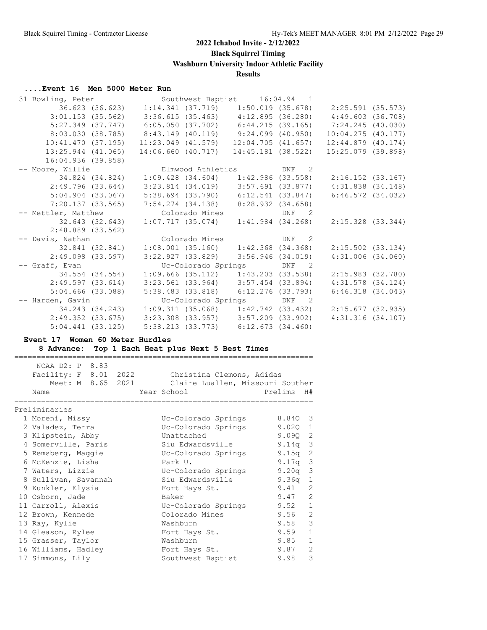**Black Squirrel Timing**

**Washburn University Indoor Athletic Facility**

## **Results**

#### **....Event 16 Men 5000 Meter Run**

| 31 Bowling, Peter                               |                        |                        | Southwest Baptist 16:04.94 1                                |       |                                                                         |  |
|-------------------------------------------------|------------------------|------------------------|-------------------------------------------------------------|-------|-------------------------------------------------------------------------|--|
|                                                 |                        |                        |                                                             |       | 2:25.591 (35.573)                                                       |  |
|                                                 | $3:01.153$ (35.562)    |                        | 3:36.615 (35.463)  4:12.895 (36.280)                        |       | 4:49.603(36.708)                                                        |  |
|                                                 |                        |                        |                                                             |       | 5:27.349 (37.747) 6:05.050 (37.702) 6:44.215 (39.165) 7:24.245 (40.030) |  |
|                                                 |                        |                        | $8:03.030$ (38.785) $8:43.149$ (40.119) $9:24.099$ (40.950) |       | 10:04.275(40.177)                                                       |  |
|                                                 | 10:41.470 (37.195)     | $11:23.049$ $(41.579)$ | $12:04.705$ $(41.657)$                                      |       | $12:44.879$ $(40.174)$                                                  |  |
|                                                 | $13:25.944$ $(41.065)$ | 14:06.660 (40.717)     | 14:45.181 (38.522)                                          |       | 15:25.079 (39.898)                                                      |  |
| 16:04.936 (39.858)                              |                        |                        |                                                             |       |                                                                         |  |
| -- Moore, Willie <b>Elmwood Athletics</b> DNF 2 |                        |                        |                                                             |       |                                                                         |  |
|                                                 |                        |                        |                                                             |       | $2:16.152$ (33.167)                                                     |  |
| 2:49.796 (33.644)                               |                        |                        | $3:23.814$ (34.019) $3:57.691$ (33.877)                     |       | $4:31.838$ $(34.148)$                                                   |  |
|                                                 | 5:04.904(33.067)       |                        | $5:38.694$ (33.790) $6:12.541$ (33.847)                     |       | $6:46.572$ $(34.032)$                                                   |  |
|                                                 | 7:20.137(33.565)       | 7:54.274 (34.138)      | 8:28.932(34.658)                                            |       |                                                                         |  |
| -- Mettler, Matthew                             |                        | Colorado Mines         |                                                             | DNF 2 |                                                                         |  |
|                                                 | 32.643 (32.643)        | $1:07.717$ (35.074)    | $1:41.984$ (34.268)                                         |       | $2:15.328$ $(33.344)$                                                   |  |
|                                                 | $2:48.889$ (33.562)    |                        |                                                             |       |                                                                         |  |
| -- Davis, Nathan                                |                        | Colorado Mines         | DNF 2                                                       |       |                                                                         |  |
| 32.841 (32.841)                                 |                        |                        | $1:08.001$ (35.160) $1:42.368$ (34.368)                     |       | $2:15.502$ (33.134)                                                     |  |
|                                                 | 2:49.098 (33.597)      | 3:22.927 (33.829)      | 3:56.946 (34.019)                                           |       | 4:31.006(34.060)                                                        |  |
| -- Graff, Evan                                  |                        |                        | Uc-Colorado Springs DNF 2                                   |       |                                                                         |  |
| 34.554 (34.554)                                 |                        |                        | $1:09.666$ (35.112) $1:43.203$ (33.538)                     |       | $2:15.983$ (32.780)                                                     |  |
| 2:49.597 (33.614)                               |                        |                        | $3:23.561$ (33.964) $3:57.454$ (33.894)                     |       | $4:31.578$ $(34.124)$                                                   |  |
|                                                 | $5:04.666$ (33.088)    |                        | $5:38.483$ (33.818) $6:12.276$ (33.793)                     |       | $6:46.318$ $(34.043)$                                                   |  |
| -- Harden, Gavin                                |                        |                        | Uc-Colorado Springs DNF 2                                   |       |                                                                         |  |
|                                                 |                        |                        |                                                             |       | 2:15.677(32.935)                                                        |  |
|                                                 | 2:49.352(33.675)       |                        | $3:23.308$ (33.957) $3:57.209$ (33.902)                     |       | $4:31.316$ (34.107)                                                     |  |
|                                                 | $5:04.441$ $(33.125)$  |                        | $5:38.213$ (33.773) 6:12.673 (34.460)                       |       |                                                                         |  |
|                                                 |                        |                        |                                                             |       |                                                                         |  |

#### **Event 17 Women 60 Meter Hurdles**

**8 Advance: Top 1 Each Heat plus Next 5 Best Times**

| ___<br>____ |               |  |     |  |  |  | ____ |
|-------------|---------------|--|-----|--|--|--|------|
|             | $N\cap$<br>ΔΔ |  | . . |  |  |  |      |

| Facility: F 8.01 2022<br>Meet: M 8.65 2021<br>Name |  | Christina Clemons, Adidas<br>Claire Luallen, Missouri Souther<br>Year School Prelims H# |                      |
|----------------------------------------------------|--|-----------------------------------------------------------------------------------------|----------------------|
| Preliminaries                                      |  |                                                                                         |                      |
| 1 Moreni, Missy                                    |  | Uc-Colorado Springs                                                                     | 8.840 3              |
| 2 Valadez, Terra                                   |  | Uc-Colorado Springs                                                                     | $9.02Q$ 1            |
| 3 Klipstein, Abby                                  |  | Unattached                                                                              | 9.0902               |
| 4 Somerville, Paris                                |  | Siu Edwardsville                                                                        | $9.14q$ 3            |
| 5 Remsberg, Maggie                                 |  | Uc-Colorado Springs                                                                     | 9.15 $q$ 2           |
| 6 McKenzie, Lisha                                  |  | Park U.                                                                                 | $9.17q$ 3            |
| 7 Waters, Lizzie                                   |  | Uc-Colorado Springs                                                                     | $9.20q$ 3            |
| 8 Sullivan, Savannah                               |  | Siu Edwardsville                                                                        | $9.36q$ 1            |
| 9 Kunkler, Elysia                                  |  | Fort Hays St.                                                                           | 9.41<br>2            |
| 10 Osborn, Jade                                    |  | Baker                                                                                   | 2<br>9.47            |
| 11 Carroll, Alexis                                 |  | Uc-Colorado Springs                                                                     | $9.52 \quad 1$       |
| 12 Brown, Kennede                                  |  | Colorado Mines                                                                          | 9.56 2               |
| 13 Ray, Kylie                                      |  | Washburn                                                                                | 9.58 3               |
| 14 Gleason, Rylee                                  |  | Fort Hays St.                                                                           | $9.59$ 1             |
| 15 Grasser, Taylor                                 |  | Washburn                                                                                | 9.85<br>$\mathbf{1}$ |
| 16 Williams, Hadley                                |  | Fort Hays St.                                                                           | 9.87<br>2            |
| 17 Simmons, Lily                                   |  | Southwest Baptist                                                                       | 3<br>9.98            |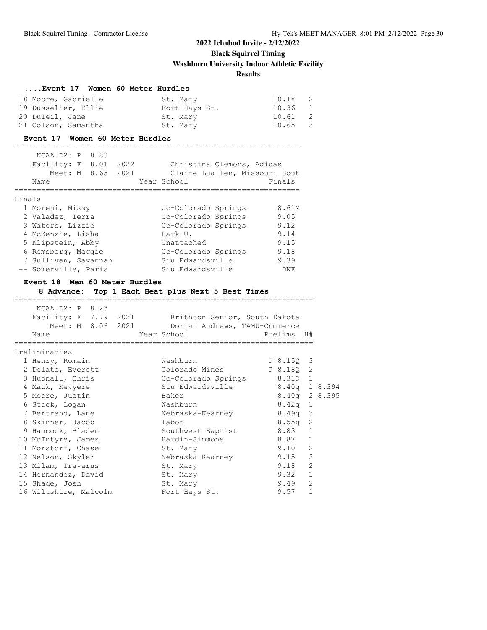## **....Event 17 Women 60 Meter Hurdles**

| 18 Moore, Gabrielle | St. Mary      | 10.18 2 |
|---------------------|---------------|---------|
| 19 Dusselier, Ellie | Fort Hays St. | 10.36 1 |
| 20 DuTeil, Jane     | St. Mary      | 10.61 2 |
| 21 Colson, Samantha | St. Mary      | 10.65 3 |

#### **Event 17 Women 60 Meter Hurdles**

================================================================

|        | $NCAA$ $D2: P$<br>Facility: F<br>Meet: M 8.65 | 8.83<br>8.01 | 2022<br>2021 | Christina Clemons, Adidas<br>Claire Luallen, Missouri Sout |        |
|--------|-----------------------------------------------|--------------|--------------|------------------------------------------------------------|--------|
|        | Name                                          |              |              | Year School                                                | Finals |
| Finals |                                               |              |              |                                                            |        |
|        | 1 Moreni, Missy                               |              |              | Uc-Colorado Springs                                        | 8.61M  |
|        | 2 Valadez, Terra                              |              |              | Uc-Colorado Springs                                        | 9.05   |
|        | 3 Waters, Lizzie                              |              |              | Uc-Colorado Springs                                        | 9.12   |
|        | 4 McKenzie, Lisha                             |              |              | Park U.                                                    | 9.14   |
|        | 5 Klipstein, Abby                             |              |              | Unattached                                                 | 9.15   |
|        | 6 Remsberg, Maggie                            |              |              | Uc-Colorado Springs                                        | 9.18   |
|        | 7 Sullivan, Savannah                          |              |              | Siu Edwardsville                                           | 9.39   |
|        | -- Somerville, Paris                          |              |              | Siu Edwardsville                                           | DNF    |

#### **Event 18 Men 60 Meter Hurdles**

**8 Advance: Top 1 Each Heat plus Next 5 Best Times**

===================================================================

| NCAA D2: P 8.23       |  |                                                     |      |                |                |  |
|-----------------------|--|-----------------------------------------------------|------|----------------|----------------|--|
|                       |  | Facility: F 7.79 2021 Brithton Senior, South Dakota |      |                |                |  |
|                       |  | Meet: M 8.06 2021 Dorian Andrews, TAMU-Commerce     |      |                |                |  |
| Name                  |  |                                                     |      |                |                |  |
|                       |  |                                                     |      |                |                |  |
| Preliminaries         |  |                                                     |      |                |                |  |
| 1 Henry, Romain       |  | Washburn                                            |      | P 8.150 3      |                |  |
| 2 Delate, Everett     |  | Colorado Mines P 8.180 2                            |      |                |                |  |
| 3 Hudnall, Chris      |  | Uc-Colorado Springs 8.31Q 1                         |      |                |                |  |
| 4 Mack, Kevyere       |  | Siu Edwardsville 8.40q 1 8.394                      |      |                |                |  |
| 5 Moore, Justin       |  | Baker                                               |      | 8.40g 2 8.395  |                |  |
| 6 Stock, Logan        |  | Washburn                                            |      | $8.42q$ 3      |                |  |
| 7 Bertrand, Lane      |  | Nebraska-Kearney                                    |      | $8.49q$ 3      |                |  |
| 8 Skinner, Jacob      |  | Tabor                                               |      | $8.55q$ 2      |                |  |
| 9 Hancock, Bladen     |  | Southwest Baptist 8.83 1                            |      |                |                |  |
| 10 McIntyre, James    |  | Hardin-Simmons 8.87 1                               |      |                |                |  |
| 11 Morstorf, Chase    |  | St. Mary                                            |      | 9.10           | 2              |  |
| 12 Nelson, Skyler     |  | Nebraska-Kearney                                    | 9.15 |                | $\mathcal{S}$  |  |
| 13 Milam, Travarus    |  | St. Mary                                            |      | 9.18           | $\overline{c}$ |  |
| 14 Hernandez, David   |  | St. Mary                                            |      | $9.32 \quad 1$ |                |  |
| 15 Shade, Josh        |  | St. Mary                                            |      | 9.49           | 2              |  |
| 16 Wiltshire, Malcolm |  | Fort Hays St.                                       |      | 9.57           | $\mathbf{1}$   |  |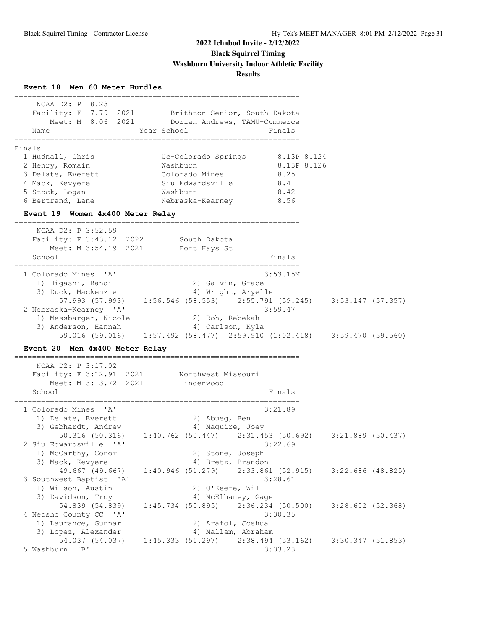**Event 18 Men 60 Meter Hurdles**

| NCAA D2: P 8.23<br>Facility: F 7.79 2021 Brithton Senior, South Dakota<br>Name<br>----------------<br>Finals                                                    | Meet: M 8.06 2021 Dorian Andrews, TAMU-Commerce<br>Year School<br>=====================                                                                | Finals<br>============                                     |                                         |  |
|-----------------------------------------------------------------------------------------------------------------------------------------------------------------|--------------------------------------------------------------------------------------------------------------------------------------------------------|------------------------------------------------------------|-----------------------------------------|--|
| 1 Hudnall, Chris<br>2 Henry, Romain<br>3 Delate, Everett<br>4 Mack, Kevyere<br>5 Stock, Logan<br>6 Bertrand, Lane<br>Event 19 Women 4x400 Meter Relay           | Uc-Colorado Springs<br>Washburn<br>Colorado Mines<br>Siu Edwardsville<br>Washburn<br>Nebraska-Kearney                                                  | 8.13P 8.124<br>8.13P 8.126<br>8.25<br>8.41<br>8.42<br>8.56 |                                         |  |
| NCAA D2: P 3:52.59<br>Facility: F 3:43.12 2022 South Dakota<br>Meet: M 3:54.19 2021<br>School                                                                   | Fort Hays St                                                                                                                                           | Finals                                                     |                                         |  |
| 1 Colorado Mines 'A'<br>1) Higashi, Randi<br>3) Duck, Mackenzie<br>2 Nebraska-Kearney 'A'<br>1) Messbarger, Nicole<br>3) Anderson, Hannah                       | 2) Galvin, Grace<br>4) Wright, Aryelle<br>57.993 (57.993) 1:56.546 (58.553) 2:55.791 (59.245) 3:53.147 (57.357)<br>2) Roh, Rebekah<br>4) Carlson, Kyla | 3:53.15M<br>3:59.47                                        |                                         |  |
| Event 20 Men 4x400 Meter Relay<br>======================<br>NCAA D2: P 3:17.02<br>Facility: F 3:12.91 2021 Northwest Missouri<br>Meet: M 3:13.72 2021<br>School | 59.016 (59.016) 1:57.492 (58.477) 2:59.910 (1:02.418) 3:59.470 (59.560)<br>-------------------<br>Lindenwood                                           | Finals                                                     |                                         |  |
| 1 Colorado Mines<br>$\mathsf{A}$<br>1) Delate, Everett<br>3) Gebhardt, Andrew<br>$50.316$ $(50.316)$<br>2 Siu Edwardsville 'A'<br>1) McCarthy, Conor            | 2) Abueg, Ben<br>4) Maguire, Joey<br>$1:40.762$ (50.447) $2:31.453$ (50.692)<br>2) Stone, Joseph                                                       | 3:21.89<br>3:22.69                                         | 3:21.889 (50.437)                       |  |
| 3) Mack, Kevyere<br>49.667 (49.667)<br>3 Southwest Baptist 'A'<br>1) Wilson, Austin<br>3) Davidson, Troy                                                        | 4) Bretz, Brandon<br>1:40.946(51.279)<br>2) O'Keefe, Will<br>4) McElhaney, Gage                                                                        | $2:33.861$ (52.915)<br>3:28.61                             | $3:22.686$ (48.825)                     |  |
| 54.839 (54.839)<br>4 Neosho County CC 'A'<br>1) Laurance, Gunnar<br>3) Lopez, Alexander<br>54.037 (54.037)                                                      | $1:45.734$ (50.895)<br>2) Arafol, Joshua<br>4) Mallam, Abraham<br>1:45.333(51.297)                                                                     | $2:36.234$ (50.500)<br>3:30.35<br>2:38.494 (53.162)        | $3:28.602$ (52.368)<br>3:30.347(51.853) |  |
| 5 Washburn<br>"B"                                                                                                                                               |                                                                                                                                                        | 3:33.23                                                    |                                         |  |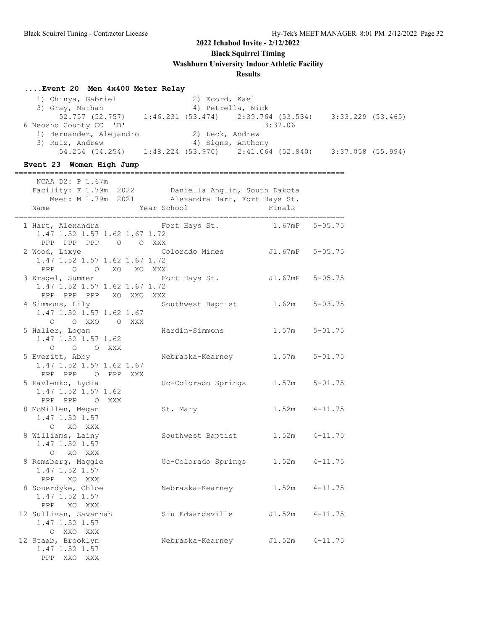**Black Squirrel Timing**

**Washburn University Indoor Athletic Facility**

#### **Results**

#### **....Event 20 Men 4x400 Meter Relay**

1) Chinya, Gabriel 2) Ecord, Kael<br>3) Gray, Nathan 4) Petrella, N 4) Petrella, Nick 52.757 (52.757) 1:46.231 (53.474) 2:39.764 (53.534) 3:33.229 (53.465) 6 Neosho County CC 'B' 3:37.06<br>1) Hernandez, Alejandro 2) Leck, Andrew deosno counc<sub>i</sub> ..<br>1) Hernandez, Alejandro 3) Ruiz, Andrew 4) Signs, Anthony 54.254 (54.254) 1:48.224 (53.970) 2:41.064 (52.840) 3:37.058 (55.994)

#### **Event 23 Women High Jump**

========================================================================== NCAA D2: P 1.67m

| Facility: F 1.79m 2022 Daniella Anglin, South Dakota                    | Meet: M 1.79m 2021 Alexandra Hart, Fort Hays St. |                   |                   |
|-------------------------------------------------------------------------|--------------------------------------------------|-------------------|-------------------|
| Name                                                                    | Year School                                      | Finals            |                   |
|                                                                         |                                                  |                   |                   |
| 1 Hart, Alexandra Manuel Fort Hays St.<br>1.47 1.52 1.57 1.62 1.67 1.72 |                                                  | 1.67mP            | $5 - 05.75$       |
| PPP PPP PPP 0 0 XXX                                                     |                                                  |                   |                   |
| 2 Wood, Lexye                                                           | Colorado Mines J1.67mP 5-05.75                   |                   |                   |
| 1.47 1.52 1.57 1.62 1.67 1.72                                           |                                                  |                   |                   |
| PPP 0 0 XO XO XXX                                                       |                                                  |                   |                   |
| 3 Kragel, Summer                                                        | Fort Hays St.                                    | J1.67mP           | $5 - 05.75$       |
| 1.47 1.52 1.57 1.62 1.67 1.72                                           |                                                  |                   |                   |
| PPP PPP PPP XO XXO XXX                                                  |                                                  |                   |                   |
| 4 Simmons, Lily                                                         | Southwest Baptist 1.62m                          |                   | $5 - 03.75$       |
| 1.47 1.52 1.57 1.62 1.67                                                |                                                  |                   |                   |
| O OXXO OXXX                                                             |                                                  |                   |                   |
| 5 Haller, Logan                                                         | Hardin-Simmons                                   | $1.57m$ $5-01.75$ |                   |
| $1.47$ 1.52 1.57 1.62                                                   |                                                  |                   |                   |
| O O O XXX                                                               |                                                  |                   |                   |
| 5 Everitt, Abby                                                         | Nebraska-Kearney                                 | 1.57m             | $5 - 01.75$       |
| 1.47 1.52 1.57 1.62 1.67                                                |                                                  |                   |                   |
| PPP PPP 0 PPP XXX                                                       |                                                  |                   |                   |
| 5 Pavlenko, Lydia                                                       | Uc-Colorado Springs                              | 1.57m             | $5 - 01.75$       |
| 1.47 1.52 1.57 1.62                                                     |                                                  |                   |                   |
| PPP PPP O XXX<br>8 McMillen, Megan                                      | St. Mary                                         |                   | $1.52m$ $4-11.75$ |
| 1.47 1.52 1.57                                                          |                                                  |                   |                   |
| O XO XXX                                                                |                                                  |                   |                   |
| 8 Williams, Lainy                                                       | Southwest Baptist                                | 1.52m             | $4 - 11.75$       |
| 1.47 1.52 1.57                                                          |                                                  |                   |                   |
| O XO XXX                                                                |                                                  |                   |                   |
| 8 Remsberg, Maggie                                                      | Uc-Colorado Springs                              |                   | $1.52m$ $4-11.75$ |
| 1.47 1.52 1.57                                                          |                                                  |                   |                   |
| PPP XO XXX                                                              |                                                  |                   |                   |
| 8 Souerdyke, Chloe                                                      | Nebraska-Kearney                                 | 1.52m             | $4 - 11.75$       |
| 1.47 1.52 1.57                                                          |                                                  |                   |                   |
| PPP XO XXX                                                              |                                                  |                   |                   |
| 12 Sullivan, Savannah                                                   | Siu Edwardsville                                 | J1.52m            | $4 - 11.75$       |
| 1.47 1.52 1.57                                                          |                                                  |                   |                   |
| O XXO XXX                                                               |                                                  |                   |                   |
| 12 Staab, Brooklyn                                                      | Nebraska-Kearney J1.52m 4-11.75                  |                   |                   |
| 1.47 1.52 1.57                                                          |                                                  |                   |                   |
| PPP XXO XXX                                                             |                                                  |                   |                   |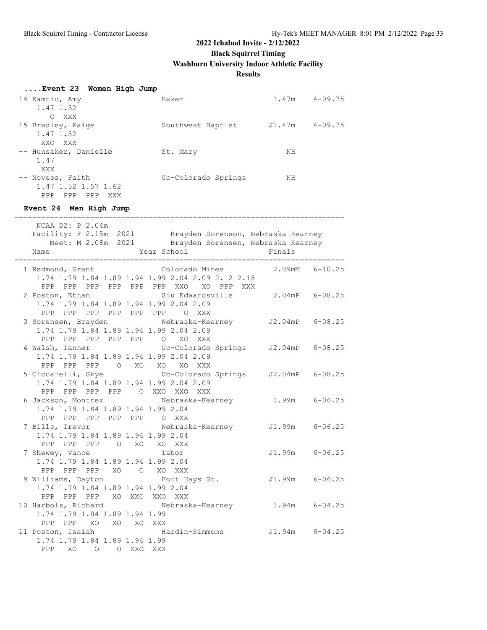**Black Squirrel Timing**

**Washburn University Indoor Athletic Facility**

## **Results**

## **....Event 23 Women High Jump**

| 14 Kamtio, Amy           | Baker               | 1.47m  | $4 - 09.75$ |
|--------------------------|---------------------|--------|-------------|
| 1.47 1.52                |                     |        |             |
| XXX<br>$\Omega$          |                     |        |             |
| 15 Bradley, Paige        | Southwest Baptist   | J1.47m | $4 - 09.75$ |
| 1.47 1.52                |                     |        |             |
| XXO<br>XXX               |                     |        |             |
| -- Hunsaker, Danielle    | St. Mary            | ΝH     |             |
| 1.47                     |                     |        |             |
| XXX                      |                     |        |             |
| -- Novess, Faith         | Uc-Colorado Springs | ΝH     |             |
| 1.47 1.52 1.57 1.62      |                     |        |             |
| PPP<br>PPP<br>PPP<br>XXX |                     |        |             |

## **Event 24 Men High Jump**

| NCAA D2: P 2.04m                                              | Facility: F 2.15m 2021 Brayden Sorenson, Nebraska Kearney<br>Meet: M 2.08m 2021 Brayden Sorensen, Nebraska Kearney |                |  |
|---------------------------------------------------------------|--------------------------------------------------------------------------------------------------------------------|----------------|--|
| Name                                                          | Year School                                                                                                        | Finals         |  |
|                                                               | 1 Redmond, Grant Colorado Mines                                                                                    | 2.09mM 6-10.25 |  |
|                                                               | 1.74 1.79 1.84 1.89 1.94 1.99 2.04 2.09 2.12 2.15                                                                  |                |  |
|                                                               | PPP PPP PPP PPP PPP PPP XXO XO PPP XXX                                                                             |                |  |
| 2 Poston, Ethan<br>1.74 1.79 1.84 1.89 1.94 1.99 2.04 2.09    | Siu Edwardsville 2.04mP 6-08.25                                                                                    |                |  |
| PPP PPP PPP PPP PPP PPP O XXX                                 |                                                                                                                    |                |  |
|                                                               | 3 Sorensen, Brayden Mebraska-Kearney J2.04mP 6-08.25                                                               |                |  |
| 1.74 1.79 1.84 1.89 1.94 1.99 2.04 2.09                       |                                                                                                                    |                |  |
| PPP PPP PPP PPP PPP O XO XXX                                  |                                                                                                                    |                |  |
| 4 Walsh, Tanner                                               | Uc-Colorado Springs J2.04mP 6-08.25                                                                                |                |  |
| 1.74 1.79 1.84 1.89 1.94 1.99 2.04 2.09                       |                                                                                                                    |                |  |
| PPP PPP PPP O XO XO XO XXX                                    |                                                                                                                    |                |  |
|                                                               | 5 Ciccarelli, Skye             Uc-Colorado Springs     J2.04mP   6-08.25                                           |                |  |
| 1.74 1.79 1.84 1.89 1.94 1.99 2.04 2.09                       |                                                                                                                    |                |  |
| PPP PPP PPP PPP O XXO XXO XXX                                 |                                                                                                                    |                |  |
| 6 Jackson, Montrez                                            | Nebraska-Kearney 1.99m 6-06.25                                                                                     |                |  |
| 1.74 1.79 1.84 1.89 1.94 1.99 2.04                            |                                                                                                                    |                |  |
| PPP PPP PPP PPP PPP 0 XXX                                     |                                                                                                                    |                |  |
| 7 Bills, Trevor                                               | Nebraska-Kearney J1.99m 6-06.25                                                                                    |                |  |
| 1.74 1.79 1.84 1.89 1.94 1.99 2.04                            |                                                                                                                    |                |  |
| PPP PPP PPP 0 XO XO XXX                                       |                                                                                                                    |                |  |
| 7 Shewey, Vance                                               | Tabor                                                                                                              | J1.99m 6-06.25 |  |
| 1.74 1.79 1.84 1.89 1.94 1.99 2.04<br>PPP PPP PPP XO O XO XXX |                                                                                                                    |                |  |
| 9 Williams, Dayton Fort Hays St.                              |                                                                                                                    | J1.99m 6-06.25 |  |
| 1.74 1.79 1.84 1.89 1.94 1.99 2.04                            |                                                                                                                    |                |  |
| PPP PPP XO XXO XXO XXX<br>PPP                                 |                                                                                                                    |                |  |
|                                                               | 10 Harbols, Richard Mebraska-Kearney 1.94m 6-04.25                                                                 |                |  |
| 1.74 1.79 1.84 1.89 1.94 1.99                                 |                                                                                                                    |                |  |
| PPP PPP XO XO XO XXX                                          |                                                                                                                    |                |  |
|                                                               | 11 Poston, Isaiah Mardin-Simmons J1.94m 6-04.25                                                                    |                |  |
| 1.74 1.79 1.84 1.89 1.94 1.99                                 |                                                                                                                    |                |  |
| PPP XO O O XXO XXX                                            |                                                                                                                    |                |  |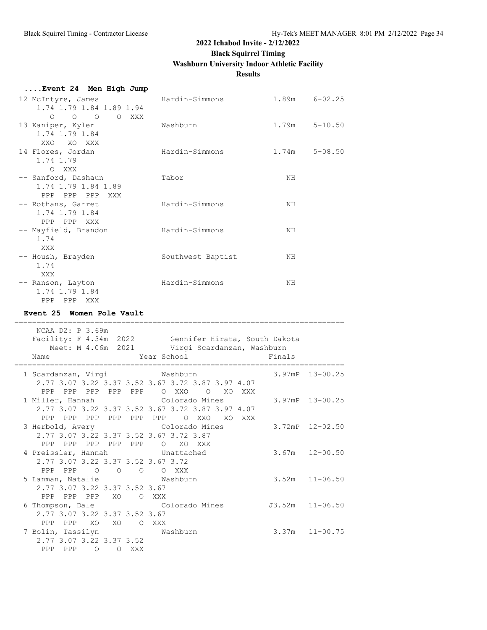## **2022 Ichabod Invite - 2/12/2022 Black Squirrel Timing**

# **Washburn University Indoor Athletic Facility**

## **Results**

| Event 24 Men High Jump                                                                                                    |                   |                   |
|---------------------------------------------------------------------------------------------------------------------------|-------------------|-------------------|
| 12 McIntyre, James<br>1.74 1.79 1.84 1.89 1.94<br>$O$ $O$ $O$ $O$ $XXX$                                                   | Hardin-Simmons    | $1.89m$ $6-02.25$ |
| 13 Kaniper, Kyler<br>1.74 1.79 1.84<br>XXO XO XXX                                                                         | Washburn          | $1.79m$ $5-10.50$ |
| 14 Flores, Jordan<br>1.74 1.79<br>O XXX                                                                                   | Hardin-Simmons    | $1.74m$ $5-08.50$ |
| -- Sanford, Dashaun<br>1.74 1.79 1.84 1.89<br>PPP PPP PPP XXX                                                             | Tabor             | NH                |
| -- Rothans, Garret<br>1.74 1.79 1.84<br>PPP PPP XXX                                                                       | Hardin-Simmons    | NH                |
| -- Mayfield, Brandon<br>1.74<br>XXX                                                                                       | Hardin-Simmons    | NH                |
| -- Housh, Brayden<br>1.74<br>XXX                                                                                          | Southwest Baptist | NH                |
| -- Ranson, Layton<br>1.74 1.79 1.84<br>PPP PPP XXX                                                                        | Hardin-Simmons    | NΗ                |
| Event 25 Women Pole Vault                                                                                                 |                   |                   |
| NCAA D2: P 3.69m<br>Facility: F 4.34m 2022 Gennifer Hirata, South Dakota<br>Meet: M 4.06m 2021 Virgi Scardanzan, Washburn |                   |                   |
| Name                                                                                                                      | Year School       | Finals            |

| 1 Scardanzan, Virgi           |                 |         |         | <b>Washburn</b>                                   |                 | $3.97$ mP $13-00.25$ |
|-------------------------------|-----------------|---------|---------|---------------------------------------------------|-----------------|----------------------|
|                               |                 |         |         | 2.77 3.07 3.22 3.37 3.52 3.67 3.72 3.87 3.97 4.07 |                 |                      |
| PPP                           | PPP PPP         |         | PPP PPP | O XXO<br>$\circ$<br>XO.<br><b>XXX</b>             |                 |                      |
|                               |                 |         |         | 1 Miller, Hannah             Colorado Mines       |                 | 3.97mP 13-00.25      |
|                               |                 |         |         | 2.77 3.07 3.22 3.37 3.52 3.67 3.72 3.87 3.97 4.07 |                 |                      |
| PPP<br>PPP PPP                |                 |         | PPP PPP | PPP<br>$\circ$<br>XXO<br>XO<br>XXX                |                 |                      |
|                               |                 |         |         | 3 Herbold, Avery Colorado Mines                   |                 | $3.72$ mP $12-02.50$ |
|                               |                 |         |         | 2.77 3.07 3.22 3.37 3.52 3.67 3.72 3.87           |                 |                      |
| PPP                           | PPP PPP PPP PPP |         |         | $O$ XO<br>XXX X                                   |                 |                      |
|                               |                 |         |         | 4 Preissler, Hannah Unattached                    |                 | $3.67m$ $12-00.50$   |
|                               |                 |         |         | 2.77 3.07 3.22 3.37 3.52 3.67 3.72                |                 |                      |
| PPP PPP 0                     |                 |         |         | O O O XXX                                         |                 |                      |
|                               |                 |         |         | 5 Lanman, Natalie Mashburn                        |                 | $3.52m$ $11-06.50$   |
| 2.77 3.07 3.22 3.37 3.52 3.67 |                 |         |         |                                                   |                 |                      |
| PPP PPP<br>PPP                |                 |         | XO OXXX |                                                   |                 |                      |
|                               |                 |         |         | 6 Thompson, Dale Colorado Mines                   | J3.52m 11-06.50 |                      |
| 2.77 3.07 3.22 3.37 3.52 3.67 |                 |         |         |                                                   |                 |                      |
| PPP<br>PPP                    | XO              | XO      |         | O XXX                                             |                 |                      |
| 7 Bolin, Tassilyn             |                 |         |         | <b>Washburn</b>                                   |                 | $3.37m$ $11-00.75$   |
| 2.77 3.07 3.22 3.37 3.52      |                 |         |         |                                                   |                 |                      |
| PPP<br>PPP                    | $\Omega$        | $\circ$ | XXX     |                                                   |                 |                      |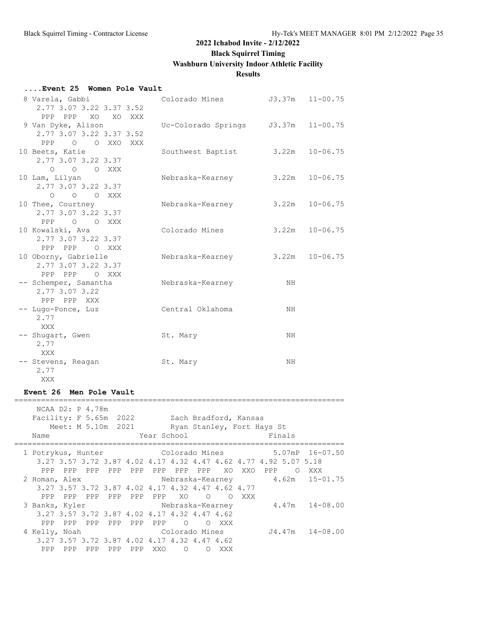**Black Squirrel Timing**

**Washburn University Indoor Athletic Facility**

## **Results**

#### **....Event 25 Women Pole Vault**

| 8 Varela, Gabbi          | Colorado Mines                      |                    | J3.37m 11-00.75 |
|--------------------------|-------------------------------------|--------------------|-----------------|
| 2.77 3.07 3.22 3.37 3.52 |                                     |                    |                 |
| PPP PPP XO XO XXX        |                                     |                    |                 |
| 9 Van Dyke, Alison       | Uc-Colorado Springs J3.37m 11-00.75 |                    |                 |
| 2.77 3.07 3.22 3.37 3.52 |                                     |                    |                 |
| PPP<br>O O XXO XXX       |                                     |                    |                 |
| 10 Beets, Katie          | Southwest Baptist                   | $3.22m$ $10-06.75$ |                 |
| 2.77 3.07 3.22 3.37      |                                     |                    |                 |
| O O O XXX                |                                     |                    |                 |
| 10 Lam, Lilyan           | Nebraska-Kearney                    | $3.22m$ $10-06.75$ |                 |
| 2.77 3.07 3.22 3.37      |                                     |                    |                 |
| O O O XXX                |                                     |                    |                 |
| 10 Thee, Courtney        | Nebraska-Kearney                    | 3.22m              | $10 - 06.75$    |
| 2.77 3.07 3.22 3.37      |                                     |                    |                 |
| PPP O O XXX              |                                     |                    |                 |
| 10 Kowalski, Ava         | Colorado Mines                      | $3.22m$ $10-06.75$ |                 |
| 2.77 3.07 3.22 3.37      |                                     |                    |                 |
| PPP PPP O XXX            |                                     |                    |                 |
| 10 Oborny, Gabrielle     | Nebraska-Kearney                    | 3.22m              | $10 - 06.75$    |
| 2.77 3.07 3.22 3.37      |                                     |                    |                 |
| PPP PPP<br>O XXX         |                                     |                    |                 |
| -- Schemper, Samantha    | Nebraska-Kearney                    | NH                 |                 |
| 2.77 3.07 3.22           |                                     |                    |                 |
| PPP PPP XXX              |                                     |                    |                 |
| -- Lugo-Ponce, Luz       | Central Oklahoma                    | NH                 |                 |
| 2.77                     |                                     |                    |                 |
| <b>XXX</b>               |                                     |                    |                 |
| -- Shugart, Gwen         | St. Mary                            | NH                 |                 |
| 2.77                     |                                     |                    |                 |
| XXX                      |                                     |                    |                 |
| -- Stevens, Reagan       | St. Mary                            | NH                 |                 |
| 2.77                     |                                     |                    |                 |
| XXX                      |                                     |                    |                 |

#### **Event 26 Men Pole Vault**

| NCAA D2: P 4.78m<br>Facility: F 5.65m 2022 Zach Bradford, Kansas<br>Meet: M 5.10m 2021<br>Name |     |     |                                    | Year School |                |            |     |     | Ryan Stanley, Fort Hays St<br>Finals                             |       |
|------------------------------------------------------------------------------------------------|-----|-----|------------------------------------|-------------|----------------|------------|-----|-----|------------------------------------------------------------------|-------|
| 1 Potrykus, Hunter Colorado Mines 5.07mP 16-07.50                                              |     |     |                                    |             |                |            |     |     |                                                                  |       |
|                                                                                                |     |     |                                    |             |                |            |     |     | 3.27 3.57 3.72 3.87 4.02 4.17 4.32 4.47 4.62 4.77 4.92 5.07 5.18 |       |
| PPP                                                                                            |     |     | PPP PPP PPP PPP PPP PPP PPP XO XXO |             |                |            |     |     | PPP                                                              | O XXX |
| 2 Homan, Alex                                                                                  |     |     |                                    |             |                |            |     |     | Nebraska-Kearney $4.62$ m 15-01.75                               |       |
| 3.27 3.57 3.72 3.87 4.02 4.17 4.32 4.47 4.62 4.77                                              |     |     |                                    |             |                |            |     |     |                                                                  |       |
| PPP<br><b>PPP</b>                                                                              | PPP |     | PPP PPP PPP                        |             | XO X           | $\Omega$   | ∩   | XXX |                                                                  |       |
| 3 Banks, Kyler                                                                                 |     |     |                                    |             |                |            |     |     | Nebraska-Kearney 4.47m 14-08.00                                  |       |
| 3.27 3.57 3.72 3.87 4.02 4.17 4.32 4.47 4.62                                                   |     |     |                                    |             |                |            |     |     |                                                                  |       |
| PPP<br>PPP                                                                                     |     |     | PPP PPP PPP PPP                    |             | $\overline{O}$ | $\Omega$   | XXX |     |                                                                  |       |
| 4 Kelly, Noah                                                                                  |     |     | Colorado Mines                     |             |                |            |     |     | J4.47m 14-08.00                                                  |       |
| 3.27 3.57 3.72 3.87 4.02 4.17 4.32 4.47 4.62                                                   |     |     |                                    |             |                |            |     |     |                                                                  |       |
| PPP<br><b>PPP</b>                                                                              | PPP | PPP |                                    | PPP XXO     | $\bigcirc$     | $\bigcirc$ | XXX |     |                                                                  |       |

==========================================================================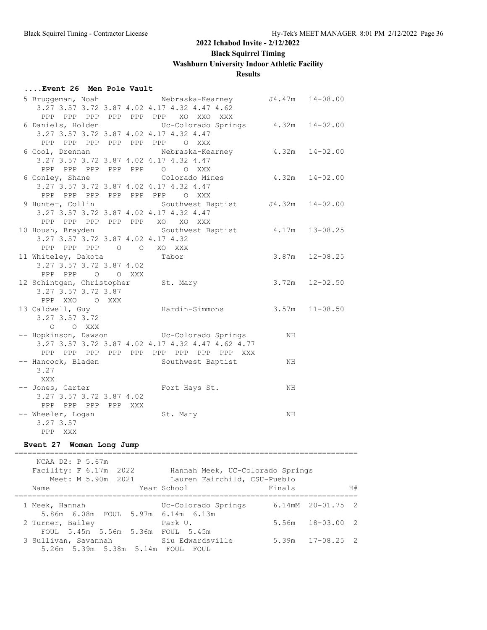## **....Event 26 Men Pole Vault**

|                           |                          | 5 Bruggeman, Noah Mebraska-Kearney J4.47m 14-08.00            |    |                    |
|---------------------------|--------------------------|---------------------------------------------------------------|----|--------------------|
|                           |                          | 3.27 3.57 3.72 3.87 4.02 4.17 4.32 4.47 4.62                  |    |                    |
|                           |                          | PPP PPP PPP PPP PPP PPP XO XXO XXX                            |    |                    |
|                           |                          | 6 Daniels, Holden CDC-Colorado Springs 4.32m 14-02.00         |    |                    |
|                           |                          | 3.27 3.57 3.72 3.87 4.02 4.17 4.32 4.47                       |    |                    |
|                           |                          | PPP PPP PPP PPP PPP PPP O XXX                                 |    |                    |
|                           |                          | 6 Cool, Drennan Mebraska-Kearney 4.32m 14-02.00               |    |                    |
|                           |                          | 3.27 3.57 3.72 3.87 4.02 4.17 4.32 4.47                       |    |                    |
|                           |                          | PPP PPP PPP PPP PPP 0 0 XXX                                   |    |                    |
| 6 Conley, Shane           |                          | Colorado Mines                                                |    | $4.32m$ $14-02.00$ |
|                           |                          | 3.27 3.57 3.72 3.87 4.02 4.17 4.32 4.47                       |    |                    |
|                           |                          | PPP PPP PPP PPP PPP PPP O XXX                                 |    |                    |
|                           |                          | 9 Hunter, Collin Southwest Baptist J4.32m 14-02.00            |    |                    |
|                           |                          | 3.27 3.57 3.72 3.87 4.02 4.17 4.32 4.47                       |    |                    |
|                           |                          | PPP PPP PPP PPP PPP XO XO XXX                                 |    |                    |
|                           |                          | 10 Housh, Brayden Southwest Baptist 4.17m 13-08.25            |    |                    |
|                           |                          | 3.27 3.57 3.72 3.87 4.02 4.17 4.32                            |    |                    |
|                           |                          | PPP PPP PPP 0 0 XO XXX                                        |    |                    |
| 11 Whiteley, Dakota Tabor |                          |                                                               |    | $3.87m$ $12-08.25$ |
|                           | 3.27 3.57 3.72 3.87 4.02 |                                                               |    |                    |
|                           | PPP PPP 0 0 XXX          |                                                               |    |                    |
|                           |                          | 12 Schintgen, Christopher St. Mary                            |    | $3.72m$ $12-02.50$ |
| 3.27 3.57 3.72 3.87       |                          |                                                               |    |                    |
|                           | PPP XXO O XXX            |                                                               |    |                    |
| 13 Caldwell, Guy          |                          | Hardin-Simmons 3.57m 11-08.50                                 |    |                    |
| 3.27 3.57 3.72            |                          |                                                               |    |                    |
| O O XXX                   |                          |                                                               |    |                    |
|                           |                          | -- Hopkinson, Dawson           Uc-Colorado Springs         NH |    |                    |
|                           |                          | 3.27 3.57 3.72 3.87 4.02 4.17 4.32 4.47 4.62 4.77             |    |                    |
|                           |                          | PPP PPP PPP PPP PPP PPP PPP PPP PPP XXX                       |    |                    |
|                           |                          | -- Hancock, Bladen Southwest Baptist                          | ΝH |                    |
| 3.27                      |                          |                                                               |    |                    |
| XXX                       |                          |                                                               |    |                    |
|                           |                          | -- Jones, Carter Fort Hays St.                                | NH |                    |
| 3.27 3.57 3.72 3.87 4.02  |                          |                                                               |    |                    |
| PPP PPP PPP PPP XXX       |                          |                                                               |    |                    |
| -- Wheeler, Logan         |                          | St. Mary                                                      | NH |                    |
| 3.27 3.57                 |                          |                                                               |    |                    |
| PPP XXX                   |                          |                                                               |    |                    |

## **Event 27 Women Long Jump**

| NCAA D2: P 5.67m<br>Facility: F 6.17m 2022<br>Meet: M 5.90m 2021<br>Name                    | Hannah Meek, UC-Colorado Springs<br>Lauren Fairchild, CSU-Pueblo<br>Year School | Finals |                                  | H# |
|---------------------------------------------------------------------------------------------|---------------------------------------------------------------------------------|--------|----------------------------------|----|
| 1 Meek, Hannah                                                                              | Uc-Colorado Springs                                                             |        | $6.14 \text{m}$ M $20 - 01.75$ 2 |    |
| 5.86m 6.08m FOUL 5.97m 6.14m 6.13m<br>2 Turner, Bailey<br>FOUL 5.45m 5.56m 5.36m FOUL 5.45m | Park U.                                                                         | 5.56m  | $18 - 03.00$ 2                   |    |
| 3 Sullivan, Savannah<br>5.26m 5.39m 5.38m 5.14m FOUL FOUL                                   | Siu Edwardsville                                                                |        | $5.39m$ $17-08.25$ 2             |    |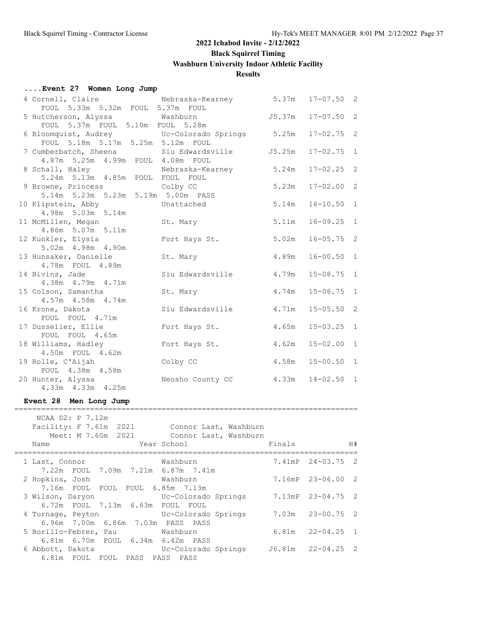## **....Event 27 Women Long Jump**

| 4 Cornell, Claire                               | Nebraska-Kearney 5.37m |        | $17 - 07.50$ 2 |                |
|-------------------------------------------------|------------------------|--------|----------------|----------------|
| FOUL 5.33m 5.32m FOUL 5.37m FOUL                |                        |        |                |                |
| 5 Hutcherson, Alyssa Mashburn                   |                        | J5.37m | $17 - 07.50$ 2 |                |
| FOUL 5.37m FOUL 5.10m FOUL 5.28m                |                        |        |                |                |
| 6 Bloomquist, Audrey CDC-Colorado Springs 5.25m |                        |        | $17 - 02.75$ 2 |                |
| FOUL 5.18m 5.17m 5.25m 5.12m FOUL               |                        |        |                |                |
| 7 Cumberbatch, Sheena                           | Siu Edwardsville       | J5.25m | $17 - 02.75$   | 1              |
| 4.87m 5.25m 4.99m FOUL 4.08m FOUL               |                        |        |                |                |
| 8 Schall, Haley                                 | Nebraska-Kearney       | 5.24m  | $17 - 02.25$   | $\overline{2}$ |
| 5.24m 5.13m 4.85m FOUL FOUL FOUL                |                        |        |                |                |
| 9 Browne, Princess                              | Colby CC               | 5.23m  | $17 - 02.00$ 2 |                |
| 5.14m 5.23m 5.23m 5.19m 5.00m PASS              |                        |        |                |                |
| 10 Klipstein, Abby                              | Unattached             | 5.14m  | $16 - 10.50$ 1 |                |
| 4.98m 5.03m 5.14m                               |                        |        |                |                |
| 11 McMillen, Megan                              | St. Mary               | 5.11m  | $16 - 09.25$ 1 |                |
| 4.86m 5.07m 5.11m                               |                        |        |                |                |
| 12 Kunkler, Elysia                              | Fort Hays St.          | 5.02m  | $16 - 05.75$ 2 |                |
| 5.02m  4.98m  4.90m                             |                        |        |                |                |
| 13 Hunsaker, Danielle                           | St. Mary               | 4.89m  | $16 - 00.50$ 1 |                |
| 4.78m FOUL 4.89m                                |                        |        |                |                |
| 14 Bivins, Jade                                 | Siu Edwardsville       | 4.79m  | $15 - 08.75$ 1 |                |
| 4.38m  4.79m  4.71m                             |                        |        |                |                |
| 15 Colson, Samantha                             | St. Mary               | 4.74m  | $15 - 06.75$ 1 |                |
| 4.57m  4.58m  4.74m                             |                        |        |                |                |
| 16 Krone, Dakota                                | Siu Edwardsville       | 4.71m  | $15 - 05.50$ 2 |                |
| FOUL FOUL 4.71m                                 |                        |        |                |                |
| 17 Dusselier, Ellie                             | Fort Hays St.          | 4.65m  | $15 - 03.25$ 1 |                |
| FOUL FOUL 4.65m                                 |                        |        |                |                |
| 18 Williams, Hadley                             | Fort Hays St.          | 4.62m  | $15 - 02.00$ 1 |                |
| 4.50m FOUL 4.62m                                |                        |        |                |                |
| 19 Rolle, C'Aijah                               | Colby CC               | 4.58m  | $15 - 00.50$ 1 |                |
| FOUL 4.38m 4.58m                                |                        |        |                |                |
| 20 Hunter, Alyssa                               | Neosho County CC       | 4.33m  | $14 - 02.50$ 1 |                |
| 4.33m  4.33m  4.25m                             |                        |        |                |                |
| Event 28 Men Long Jump                          |                        |        |                |                |
|                                                 |                        |        |                |                |
| NCAA D2: P 7.12m                                |                        |        |                |                |

| Facility: F 7.61m 2021<br>Meet: M 7.60m 2021<br>Name                                                     | Connor Last, Washburn<br>Connor Last, Washburn<br>Year School | Finals | H#                   |
|----------------------------------------------------------------------------------------------------------|---------------------------------------------------------------|--------|----------------------|
| 1 Last, Connor                                                                                           | Washburn                                                      |        | 7.41mP 24-03.75 2    |
| 7.22m FOUL 7.09m 7.21m 6.87m 7.41m<br>2 Hopkins, Josh<br>7.16m FOUL FOUL FOUL 6.85m 7.13m                | Washburn                                                      |        | 7.16mP 23-06.00 2    |
| 3 Wilson, Daryon<br>6.72m FOUL 7.13m 6.63m FOUL FOUL                                                     | Uc-Colorado Springs                                           |        | 7.13mP 23-04.75 2    |
| 4 Turnage, Peyton                                                                                        | Uc-Colorado Springs                                           |        | 7.03m 23-00.75 2     |
| 6.96m 7.00m 6.86m 7.03m PASS PASS<br>5 Borillo-Febrer, Pau Mashburn<br>6.81m 6.70m FOUL 6.34m 6.42m PASS |                                                               |        | $6.81m$ $22-04.25$ 1 |
| 6 Abbott, Dakota<br>6.81m FOUL FOUL PASS PASS PASS                                                       | Uc-Colorado Springs 56.81m 22-04.25 2                         |        |                      |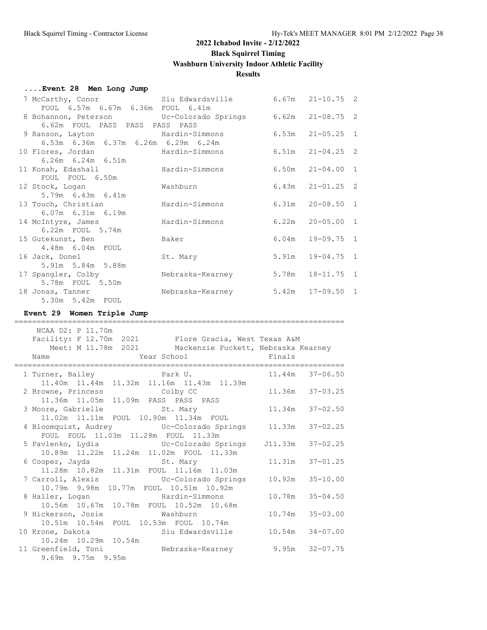## **....Event 28 Men Long Jump**

| 7 McCarthy, Conor Siu Edwardsville                        |                  | $6.67m$ $21-10.75$ 2 |  |
|-----------------------------------------------------------|------------------|----------------------|--|
| FOUL 6.57m 6.67m 6.36m FOUL 6.41m                         |                  |                      |  |
| 8 Bohannon, Peterson Uc-Colorado Springs 6.62m 21-08.75 2 |                  |                      |  |
| 6.62m FOUL PASS PASS PASS PASS                            |                  |                      |  |
| 9 Ranson, Layton Mardin-Simmons                           |                  | $6.53m$ $21-05.25$ 1 |  |
| 6.53m 6.36m 6.37m 6.26m 6.29m 6.24m                       |                  |                      |  |
| 10 Flores, Jordan Mardin-Simmons                          |                  | $6.51m$ $21-04.25$ 2 |  |
| $6.26m$ $6.24m$ $6.51m$                                   |                  |                      |  |
| 11 Konah, Edashall Mardin-Simmons                         |                  | $6.50m$ $21-04.00$ 1 |  |
| FOUL FOUL 6.50m                                           |                  |                      |  |
| 12 Stock, Logan                                           | Washburn         | $6.43m$ $21-01.25$ 2 |  |
| 5.79m 6.43m 6.41m                                         |                  |                      |  |
| 13 Touch, Christian                                       | Hardin-Simmons   | $6.31m$ $20-08.50$ 1 |  |
| $6.07m$ $6.31m$ $6.19m$                                   |                  |                      |  |
| 14 McIntyre, James                                        | Hardin-Simmons   | $6.22m$ $20-05.00$ 1 |  |
| 6.22m FOUL 5.74m                                          |                  |                      |  |
| 15 Gutekunst, Ben                                         | Baker            | $6.04m$ 19-09.75 1   |  |
| 4.48m 6.04m FOUL                                          |                  |                      |  |
| 16 Jack, Donel                                            | St. Mary         | 5.91m 19-04.75 1     |  |
| 5.91m 5.84m 5.88m                                         |                  |                      |  |
| 17 Spangler, Colby                                        | Nebraska-Kearney | 5.78m  18-11.75  1   |  |
| 5.78m FOUL 5.50m                                          |                  |                      |  |
| 18 Jonas, Tanner                                          | Nebraska-Kearney | $5.42m$ $17-09.50$ 1 |  |
| 5.30m 5.42m FOUL                                          |                  |                      |  |

## **Event 29 Women Triple Jump**

| NCAA D2: P 11.70m                                                                                                                          |                     |
|--------------------------------------------------------------------------------------------------------------------------------------------|---------------------|
| Facility: F 12.70m 2021 Flore Gracia, West Texas A&M<br>Meet: M 11.78m 2021 Mackenzie Puckett, Nebraska Kearney<br>Name Year School Finals |                     |
|                                                                                                                                            |                     |
| 1 Turner, Bailey <b>22 Canadian Park U.</b> 21.44m 37-06.50                                                                                |                     |
| 11.40m  11.44m  11.32m  11.16m  11.43m  11.39m                                                                                             |                     |
| 2 Browne, Princess Colby CC                                                                                                                | 11.36m 37-03.25     |
| 11.36m  11.05m  11.09m  PASS  PASS  PASS                                                                                                   |                     |
| 3 Moore, Gabrielle St. Mary 11.34m 37-02.50                                                                                                |                     |
| 11.02m  11.11m  FOUL  10.90m  11.34m  FOUL                                                                                                 |                     |
| 4 Bloomquist, Audrey CC-Colorado Springs 11.33m 37-02.25                                                                                   |                     |
| FOUL FOUL 11.03m 11.28m FOUL 11.33m                                                                                                        |                     |
| 5 Pavlenko, Lydia (Uc-Colorado Springs 5 J11.33m 37-02.25                                                                                  |                     |
| 10.89m 11.22m 11.24m 11.02m FOUL 11.33m                                                                                                    |                     |
| 6 Cooper, Jayda St. Mary                                                                                                                   | $11.31m$ $37-01.25$ |
| 11.28m  10.82m  11.31m  FOUL  11.16m  11.03m                                                                                               |                     |
|                                                                                                                                            | $10.92m$ $35-10.00$ |
|                                                                                                                                            |                     |
| 8 Haller, Logan Mardin-Simmons                                                                                                             | $10.78m$ $35-04.50$ |
| 10.56m  10.67m  10.78m  FOUL  10.52m  10.68m                                                                                               |                     |
| 9 Hickerson, Josie<br>Washburn                                                                                                             | $10.74m$ $35-03.00$ |
| 10.51m  10.54m  FOUL  10.53m  FOUL  10.74m                                                                                                 |                     |
| 10 Krone, Dakota (2008) Siu Edwardsville                                                                                                   | $10.54m$ $34-07.00$ |
| 10.24m 10.29m 10.54m                                                                                                                       |                     |
| 11 Greenfield, Toni Mebraska-Kearney                                                                                                       | $9.95m$ $32-07.75$  |
| 9.69m 9.75m 9.95m                                                                                                                          |                     |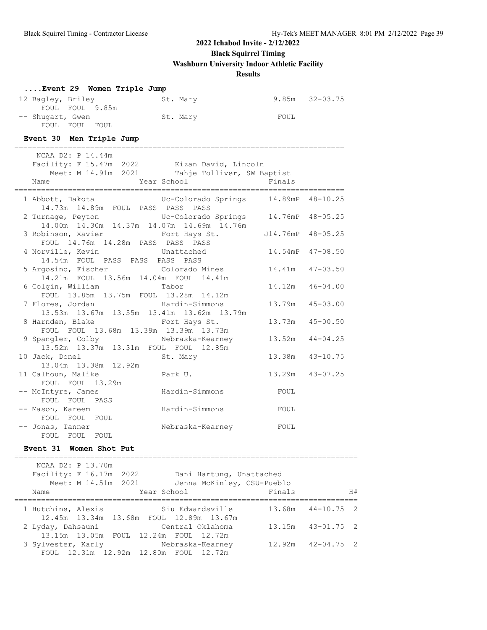**Black Squirrel Timing**

**Washburn University Indoor Athletic Facility**

## **Results**

| Event 29 Women Triple Jump                                                         |                               |                    |                     |
|------------------------------------------------------------------------------------|-------------------------------|--------------------|---------------------|
| 12 Bagley, Briley                                                                  | St. Mary                      | $9.85m$ $32-03.75$ |                     |
| FOUL FOUL 9.85m                                                                    |                               |                    |                     |
| -- Shuqart, Gwen<br>FOUL FOUL FOUL                                                 | St. Mary                      | FOUL               |                     |
|                                                                                    |                               |                    |                     |
| Event 30 Men Triple Jump                                                           |                               |                    |                     |
| NCAA D2: P 14.44m                                                                  |                               |                    |                     |
| Facility: F 15.47m 2022 Kizan David, Lincoln                                       |                               |                    |                     |
| Meet: M 14.91m 2021 Tahje Tolliver, SW Baptist                                     |                               |                    |                     |
| Year School<br>Name                                                                | _____________________________ | Finals             |                     |
| 1 Abbott, Dakota (C-Colorado Springs 14.89mP 48-10.25)                             |                               |                    |                     |
| 14.73m 14.89m FOUL PASS PASS PASS                                                  |                               |                    |                     |
| 2 Turnage, Peyton CC-Colorado Springs 14.76mP 48-05.25                             |                               |                    |                     |
| 14.00m  14.30m  14.37m  14.07m  14.69m  14.76m<br>3 Robinson, Xavier Fort Hays St. |                               | J14.76mP 48-05.25  |                     |
| FOUL 14.76m 14.28m PASS PASS PASS                                                  |                               |                    |                     |
| 4 Norville, Kevin                                                                  | Unattached                    | 14.54mP 47-08.50   |                     |
| 14.54m FOUL PASS PASS PASS PASS                                                    |                               |                    |                     |
| 5 Argosino, Fischer                                                                | Colorado Mines                |                    | $14.41m$ $47-03.50$ |
| 14.21m FOUL 13.56m 14.04m FOUL 14.41m<br>6 Colgin, William                         | Tabor                         | 14.12m             | $46 - 04.00$        |
| FOUL 13.85m 13.75m FOUL 13.28m 14.12m                                              |                               |                    |                     |
| 7 Flores, Jordan                                                                   | Hardin-Simmons                | 13.79m             | $45 - 03.00$        |
| 13.53m 13.67m 13.55m 13.41m 13.62m 13.79m                                          |                               |                    |                     |
| 8 Harnden, Blake                                                                   | Fort Hays St.                 | 13.73m             | $45 - 00.50$        |
| FOUL FOUL 13.68m 13.39m 13.39m 13.73m                                              |                               | 13.52m             | $44 - 04.25$        |
|                                                                                    |                               |                    |                     |
| 10 Jack, Donel                                                                     | St. Mary                      |                    | 13.38m  43-10.75    |
| 13.04m 13.38m 12.92m                                                               |                               |                    |                     |
| 11 Calhoun, Malike                                                                 | Park U.                       |                    | 13.29m 43-07.25     |
| FOUL FOUL 13.29m                                                                   | Hardin-Simmons                | FOUL               |                     |
| -- McIntyre, James<br>FOUL FOUL PASS                                               |                               |                    |                     |
| -- Mason, Kareem                                                                   | Hardin-Simmons                | FOUL               |                     |
| FOUL FOUL FOUL                                                                     |                               |                    |                     |
| -- Jonas, Tanner                                                                   | Nebraska-Kearney FOUL         |                    |                     |
| FOUL FOUL FOUL                                                                     |                               |                    |                     |
| Women Shot Put<br><b>Event 31</b>                                                  |                               |                    |                     |
| NCAA D2: P 13.70m                                                                  |                               |                    |                     |
| Facility: F 16.17m 2022                                                            | Dani Hartung, Unattached      |                    |                     |
| Meet: M 14.51m 2021                                                                | Jenna McKinley, CSU-Pueblo    |                    |                     |
| Name                                                                               | Year School                   | Finals             | H#                  |
| 1 Hutchins, Alexis                                                                 | Siu Edwardsville              | 13.68m             | 2<br>$44 - 10.75$   |
| 12.45m  13.34m                                                                     | 13.68m FOUL 12.89m 13.67m     |                    |                     |
| 2 Lyday, Dahsauni                                                                  | Central Oklahoma              | 13.15m             | $43 - 01.75$<br>2   |
| 13.15m  13.05m  FOUL  12.24m  FOUL  12.72m                                         |                               |                    |                     |
| 3 Sylvester, Karly<br>FOUL 12.31m 12.92m 12.80m FOUL 12.72m                        | Nebraska-Kearney              | 12.92m             | $42 - 04.75$<br>2   |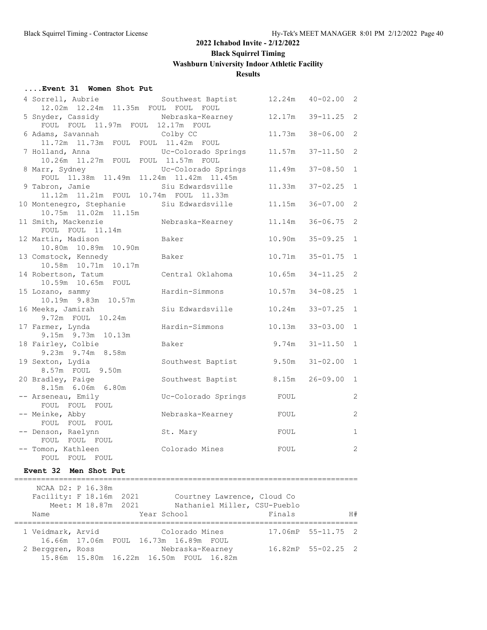#### **....Event 31 Women Shot Put**

| 4 Sorrell, Aubrie                                      | Southwest Baptist   | 12.24m | $40 - 02.00$ 2 |              |
|--------------------------------------------------------|---------------------|--------|----------------|--------------|
| 12.02m  12.24m  11.35m  FOUL  FOUL  FOUL               |                     |        |                |              |
| 5 Snyder, Cassidy<br>FOUL FOUL 11.97m FOUL 12.17m FOUL | Nebraska-Kearney    | 12.17m | $39 - 11.25$   | - 2          |
| 6 Adams, Savannah                                      | Colby CC            | 11.73m | $38 - 06.00$   | 2            |
| 11.72m  11.73m  FOUL  FOUL  11.42m  FOUL               |                     |        |                |              |
| 7 Holland, Anna                                        | Uc-Colorado Springs | 11.57m | $37 - 11.50$ 2 |              |
| 10.26m  11.27m  FOUL  FOUL  11.57m  FOUL               |                     |        |                |              |
| 8 Marr, Sydney                                         | Uc-Colorado Springs | 11.49m | $37 - 08.50$   | 1            |
| FOUL 11.38m 11.49m 11.24m 11.42m 11.45m                |                     |        |                |              |
| 9 Tabron, Jamie                                        | Siu Edwardsville    | 11.33m | $37 - 02.25$   | $\mathbf{1}$ |
| 11.12m  11.21m  FOUL  10.74m  FOUL  11.33m             |                     |        |                |              |
| 10 Montenegro, Stephanie                               | Siu Edwardsville    | 11.15m | $36 - 07.00$   | 2            |
| 10.75m  11.02m  11.15m                                 |                     |        |                |              |
| 11 Smith, Mackenzie                                    | Nebraska-Kearney    | 11.14m | $36 - 06.75$   | 2            |
| FOUL FOUL 11.14m                                       |                     |        |                |              |
| 12 Martin, Madison                                     | Baker               | 10.90m | $35 - 09.25$   | 1            |
| 10.80m  10.89m  10.90m                                 |                     |        |                |              |
| 13 Comstock, Kennedy                                   | Baker               | 10.71m | $35 - 01.75$   | $\mathbf{1}$ |
| 10.58m  10.71m  10.17m                                 |                     |        |                |              |
| 14 Robertson, Tatum                                    | Central Oklahoma    | 10.65m | $34 - 11.25$   | 2            |
| 10.59m  10.65m  FOUL                                   |                     |        |                |              |
| 15 Lozano, sammy                                       | Hardin-Simmons      | 10.57m | $34 - 08.25$   | $\mathbf{1}$ |
| 10.19m 9.83m 10.57m                                    |                     |        |                |              |
| 16 Meeks, Jamirah                                      | Siu Edwardsville    | 10.24m | $33 - 07.25$   | $\mathbf{1}$ |
| 9.72m FOUL 10.24m                                      |                     |        |                |              |
| 17 Farmer, Lynda                                       | Hardin-Simmons      | 10.13m | $33 - 03.00$   | $\mathbf{1}$ |
| 9.15m 9.73m 10.13m                                     |                     |        |                |              |
| 18 Fairley, Colbie                                     | Baker               | 9.74m  | $31 - 11.50$   | 1            |
| 9.23m 9.74m 8.58m                                      |                     |        |                |              |
| 19 Sexton, Lydia                                       | Southwest Baptist   | 9.50m  | $31 - 02.00$   | $\mathbf{1}$ |
| 8.57m FOUL 9.50m                                       |                     |        |                |              |
| 20 Bradley, Paige                                      | Southwest Baptist   | 8.15m  | $26 - 09.00$   | $\mathbf{1}$ |
| 8.15m 6.06m 6.80m                                      |                     |        |                |              |
| -- Arseneau, Emily                                     | Uc-Colorado Springs | FOUL   |                | 2            |
| FOUL FOUL FOUL                                         |                     |        |                |              |
| -- Meinke, Abby                                        | Nebraska-Kearney    | FOUL   |                | $\mathbf{2}$ |
| FOUL FOUL FOUL                                         |                     |        |                |              |
| -- Denson, Raelynn                                     | St. Mary            | FOUL   |                | $\mathbf{1}$ |
| FOUL FOUL FOUL                                         |                     |        |                |              |
| -- Tomon, Kathleen                                     | Colorado Mines      | FOUL   |                | 2            |
| FOUL FOUL FOUL                                         |                     |        |                |              |

#### **Event 32 Men Shot Put**

| NCAA D2: P 16.38m       |                     |                                         |                              |        |                    |    |
|-------------------------|---------------------|-----------------------------------------|------------------------------|--------|--------------------|----|
| Facility: F 18.16m 2021 |                     |                                         | Courtney Lawrence, Cloud Co  |        |                    |    |
|                         | Meet: M 18.87m 2021 |                                         | Nathaniel Miller, CSU-Pueblo |        |                    |    |
| Name                    |                     | Year School                             |                              | Finals |                    | H# |
| 1 Veidmark, Arvid       |                     |                                         | Colorado Mines               |        | 17.06mP 55-11.75 2 |    |
|                         |                     | 16.66m 17.06m FOUL 16.73m 16.89m FOUL   |                              |        |                    |    |
| 2 Berggren, Ross        |                     | 15.86m 15.80m 16.22m 16.50m FOUL 16.82m | Nebraska-Kearney             |        | 16.82mP 55-02.25 2 |    |
|                         |                     |                                         |                              |        |                    |    |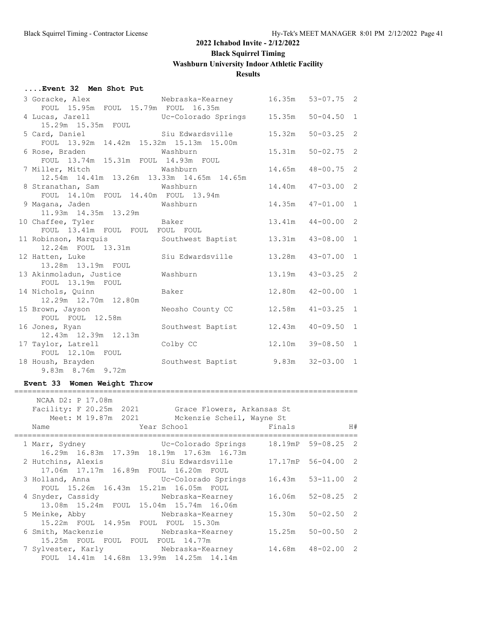#### **....Event 32 Men Shot Put**

| 3 Goracke, Alex                                | Nebraska-Kearney 16.35m |        | $53 - 07.75$ 2  |               |
|------------------------------------------------|-------------------------|--------|-----------------|---------------|
| FOUL 15.95m FOUL 15.79m FOUL 16.35m            |                         |        |                 |               |
|                                                |                         |        | $50 - 04.50$    | $\mathbf{1}$  |
|                                                |                         |        |                 |               |
| 5 Card, Daniel                                 | Siu Edwardsville        | 15.32m | $50 - 03.25$    | $\mathcal{L}$ |
| FOUL 13.92m 14.42m 15.32m 15.13m 15.00m        |                         |        |                 |               |
| 6 Rose, Braden                                 | Washburn                | 15.31m | $50 - 02.75$ 2  |               |
| FOUL 13.74m 15.31m FOUL 14.93m FOUL            |                         |        |                 |               |
| 7 Miller, Mitch Washburn                       |                         | 14.65m | $48 - 00.75$    | 2             |
| 12.54m  14.41m  13.26m  13.33m  14.65m  14.65m |                         |        |                 |               |
| 8 Stranathan, Sam Mashburn                     |                         | 14.40m | $47 - 03.00$    | 2             |
| FOUL 14.10m FOUL 14.40m FOUL 13.94m            |                         |        |                 |               |
| 9 Magana, Jaden Mashburn                       |                         | 14.35m | $47 - 01.00$ 1  |               |
| 11.93m  14.35m  13.29m                         |                         |        |                 |               |
| 10 Chaffee, Tyler Baker                        |                         | 13.41m | $44 - 00.00$    | 2             |
| FOUL 13.41m FOUL FOUL FOUL FOUL                |                         |        |                 |               |
| 11 Robinson, Marquis                           | Southwest Baptist       |        | 13.31m 43-08.00 | $\mathbf{1}$  |
| 12.24m FOUL 13.31m                             |                         |        |                 |               |
| 12 Hatten, Luke                                | Siu Edwardsville 13.28m |        | $43 - 07.00$    | 1             |
| 13.28m 13.19m FOUL                             |                         |        |                 |               |
| 13 Akinmoladun, Justice                        | Washburn                | 13.19m | $43 - 03.25$    | 2             |
| FOUL 13.19m FOUL                               |                         |        |                 |               |
| 14 Nichols, Quinn                              | Baker                   | 12.80m | $42 - 00.00$    | $\mathbf{1}$  |
| 12.29m 12.70m 12.80m                           |                         |        |                 |               |
| 15 Brown, Jayson<br>FOUL FOUL 12.58m           | Neosho County CC        | 12.58m | $41 - 03.25$    | 1             |
|                                                |                         |        |                 | $\mathbf{1}$  |
| 16 Jones, Ryan<br>12.43m 12.39m 12.13m         | Southwest Baptist       | 12.43m | $40 - 09.50$    |               |
| 17 Taylor, Latrell                             | Colby CC                | 12.10m | $39 - 08.50$    | $\mathbf{1}$  |
| FOUL 12.10m FOUL                               |                         |        |                 |               |
| 18 Housh, Brayden                              | Southwest Baptist 9.83m |        | $32 - 03.00$ 1  |               |
| 9.83m 8.76m 9.72m                              |                         |        |                 |               |
|                                                |                         |        |                 |               |

#### **Event 33 Women Weight Throw**

| NCAA D2: P 17.08m<br>Name           | Facility: F 20.25m 2021 Grace Flowers, Arkansas St<br>Meet: M 19.87m 2021 Mckenzie Scheil, Wayne St<br>Year School and the School and the School | Finals | H#                    |  |
|-------------------------------------|--------------------------------------------------------------------------------------------------------------------------------------------------|--------|-----------------------|--|
| 1 Marr, Sydney                      | Uc-Colorado Springs 18.19mP 59-08.25 2<br>16.29m  16.83m  17.39m  18.19m  17.63m  16.73m                                                         |        |                       |  |
|                                     | 2 Hutchins, Alexis 3iu Edwardsville 17.17mP 56-04.00 2<br>17.06m  17.17m  16.89m  FOUL  16.20m  FOUL                                             |        |                       |  |
|                                     | FOUL 15.26m 16.43m 15.21m 16.05m FOUL                                                                                                            |        | $16.43m$ $53-11.00$ 2 |  |
|                                     | 13.08m 15.24m FOUL 15.04m 15.74m 16.06m                                                                                                          |        | 16.06m 52-08.25 2     |  |
| 15.22m FOUL 14.95m FOUL FOUL 15.30m | 5 Meinke, Abby Mebraska-Kearney                                                                                                                  |        | 15.30m 50-02.50 2     |  |
| 15.25m FOUL FOUL FOUL FOUL 14.77m   | 6 Smith, Mackenzie 6 Mebraska-Kearney 15.25m 50-00.50 2                                                                                          |        |                       |  |
|                                     | 7 Sylvester, Karly Mebraska-Kearney 14.68m 48-02.00 2<br>FOUL 14.41m 14.68m 13.99m 14.25m 14.14m                                                 |        |                       |  |

=============================================================================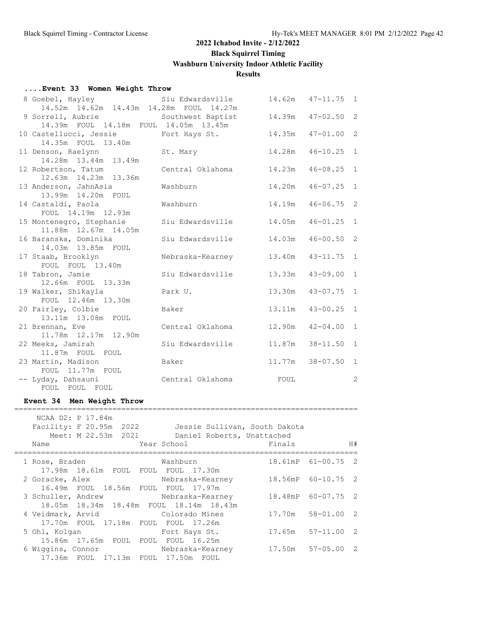**Black Squirrel Timing**

**Washburn University Indoor Athletic Facility**

## **Results**

#### **....Event 33 Women Weight Throw**

| 8 Goebel, Hayley                                 | Siu Edwardsville  | 14.62m | $47 - 11.75$ | 1            |
|--------------------------------------------------|-------------------|--------|--------------|--------------|
| 14.52m  14.62m  14.43m  14.28m  FOUL  14.27m     |                   |        |              |              |
| 9 Sorrell, Aubrie                                | Southwest Baptist | 14.39m | $47 - 02.50$ | 2            |
| 14.39m FOUL 14.18m FOUL 14.05m 13.45m            |                   |        |              |              |
| 10 Castellucci, Jessie                           | Fort Hays St.     | 14.35m | $47 - 01.00$ | 2            |
| 14.35m FOUL 13.40m                               |                   |        |              |              |
| 11 Denson, Raelynn                               | St. Mary          | 14.28m | $46 - 10.25$ | 1            |
| 14.28m  13.44m  13.49m                           |                   |        |              |              |
| 12 Robertson, Tatum                              | Central Oklahoma  | 14.23m | $46 - 08.25$ | $\mathbf{1}$ |
| 12.63m  14.23m  13.36m                           |                   |        |              |              |
| 13 Anderson, JahnAsia                            | Washburn          | 14.20m | $46 - 07.25$ | $\mathbf{1}$ |
| 13.99m  14.20m  FOUL                             |                   |        |              |              |
| 14 Castaldi, Paola                               | Washburn          | 14.19m | $46 - 06.75$ | 2            |
| FOUL 14.19m 12.93m                               |                   |        |              |              |
| 15 Montenegro, Stephanie<br>11.88m 12.67m 14.05m | Siu Edwardsville  | 14.05m | $46 - 01.25$ | $\mathbf{1}$ |
| 16 Baranska, Dominika                            | Siu Edwardsville  | 14.03m | $46 - 00.50$ | 2            |
| 14.03m 13.85m FOUL                               |                   |        |              |              |
| 17 Staab, Brooklyn                               | Nebraska-Kearney  | 13.40m | $43 - 11.75$ | $\mathbf{1}$ |
| FOUL FOUL 13.40m                                 |                   |        |              |              |
| 18 Tabron, Jamie                                 | Siu Edwardsville  | 13.33m | $43 - 09.00$ | $\mathbf{1}$ |
| 12.66m FOUL 13.33m                               |                   |        |              |              |
| 19 Walker, Shikayla                              | Park U.           | 13.30m | $43 - 07.75$ | $\mathbf{1}$ |
| FOUL 12.46m 13.30m                               |                   |        |              |              |
| 20 Fairley, Colbie                               | Baker             | 13.11m | $43 - 00.25$ | 1            |
| 13.11m 13.08m FOUL                               |                   |        |              |              |
| 21 Brennan, Eve                                  | Central Oklahoma  | 12.90m | $42 - 04.00$ | 1            |
| 11.78m 12.17m 12.90m                             |                   |        |              |              |
| 22 Meeks, Jamirah                                | Siu Edwardsville  | 11.87m | $38 - 11.50$ | $\mathbf{1}$ |
| 11.87m FOUL FOUL                                 |                   |        |              |              |
| 23 Martin, Madison                               | Baker             | 11.77m | $38 - 07.50$ | $\mathbf{1}$ |
| FOUL 11.77m FOUL                                 |                   |        |              |              |
| -- Lyday, Dahsauni                               | Central Oklahoma  | FOUL   |              | 2            |
| FOUL FOUL FOUL                                   |                   |        |              |              |
|                                                  |                   |        |              |              |

#### **Event 34 Men Weight Throw**

| Name              | NCAA D2: P 17.84m<br>Meet: M 22.53m 2021 | Facility: F 20.95m 2022 Jessie Sullivan, South Dakota<br>Daniel Roberts, Unattached<br>Year School | Finals |                       | H# |
|-------------------|------------------------------------------|----------------------------------------------------------------------------------------------------|--------|-----------------------|----|
| 1 Rose, Braden    |                                          | Washburn                                                                                           |        | 18.61mP 61-00.75 2    |    |
|                   | 17.98m 18.61m FOUL FOUL FOUL 17.30m      |                                                                                                    |        |                       |    |
|                   |                                          | 2 Goracke, Alex Mebraska-Kearney 18.56mP 60-10.75 2                                                |        |                       |    |
|                   | 16.49m FOUL 18.56m FOUL FOUL 17.97m      |                                                                                                    |        |                       |    |
|                   |                                          | 3 Schuller, Andrew Mebraska-Kearney                                                                |        | 18.48mP 60-07.75 2    |    |
|                   |                                          | 18.05m 18.34m 18.48m FOUL 18.14m 18.43m                                                            |        |                       |    |
|                   |                                          | 4 Veidmark, Arvid Colorado Mines                                                                   |        | 17.70m 58-01.00 2     |    |
|                   | 17.70m FOUL 17.18m FOUL FOUL 17.26m      |                                                                                                    |        |                       |    |
| 5 Ohl, Kolgan     |                                          | Fort Hays St.                                                                                      |        | $17.65m$ $57-11.00$ 2 |    |
|                   | 15.86m  17.65m  FOUL  FOUL  FOUL  16.25m |                                                                                                    |        |                       |    |
| 6 Wiggins, Connor |                                          | Nebraska-Kearney 17.50m 57-05.00 2                                                                 |        |                       |    |
|                   | 17.36m FOUL 17.13m FOUL 17.50m FOUL      |                                                                                                    |        |                       |    |